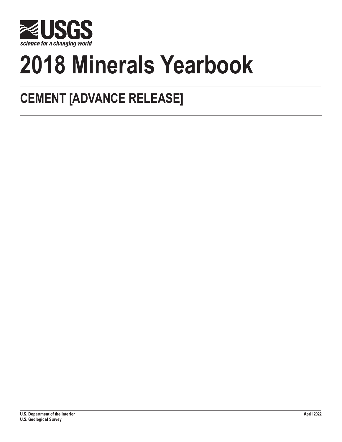

# **2018 Minerals Yearbook**

# **CEMENT [ADVANCE RELEASE]**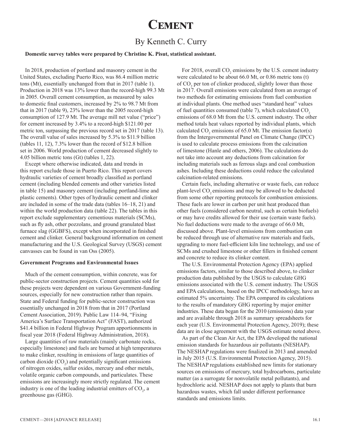## **Cement**

### By Kenneth C. Curry

### **Domestic survey tables were prepared by Christine K. Pisut, statistical assistant.**

In 2018, production of portland and masonry cement in the United States, excluding Puerto Rico, was 86.4 million metric tons (Mt), essentially unchanged from that in 2017 (table 1). Production in 2018 was 13% lower than the record-high 99.3 Mt in 2005. Overall cement consumption, as measured by sales to domestic final customers, increased by 2% to 98.7 Mt from that in 2017 (table 9), 23% lower than the 2005 record-high consumption of 127.9 Mt. The average mill net value ("price") for cement increased by 3.4% to a record-high \$121.00 per metric ton, surpassing the previous record set in 2017 (table 13). The overall value of sales increased by 5.3% to \$11.9 billion (tables 11, 12), 7.3% lower than the record of \$12.8 billion set in 2006. World production of cement decreased slightly to 4.05 billion metric tons (Gt) (tables 1, 22).

Except where otherwise indicated, data and trends in this report exclude those in Puerto Rico. This report covers hydraulic varieties of cement broadly classified as portland cement (including blended cements and other varieties listed in table 15) and masonry cement (including portland-lime and plastic cements). Other types of hydraulic cement and clinker are included in some of the trade data (tables 16–18, 21) and within the world production data (table 22). The tables in this report exclude supplementary cementious materials (SCMs), such as fly ash, other pozzolans, and ground granulated blast furnace slag (GGBFS), except when incorporated in finished cement and clinker. General background information on cement manufacturing and the U.S. Geological Survey (USGS) cement canvasses can be found in van Oss (2005).

### **Government Programs and Environmental Issues**

Much of the cement consumption, within concrete, was for public-sector construction projects. Cement quantities sold for these projects were dependent on various Government-funding sources, especially for new construction rather than repairs. State and Federal funding for public-sector construction was essentially unchanged in 2018 from that in 2017 (Portland Cement Association, 2019). Public Law 114–94, "Fixing America's Surface Transportation Act" (FAST), authorized \$41.4 billion in Federal Highway Program apportionments in fiscal year 2018 (Federal Highway Administration, 2018).

Large quantities of raw materials (mainly carbonate rocks, especially limestone) and fuels are burned at high temperatures to make clinker, resulting in emissions of large quantities of carbon dioxide  $(CO_2)$  and potentially significant emissions of nitrogen oxides, sulfur oxides, mercury and other metals, volatile organic carbon compounds, and particulates. These emissions are increasingly more strictly regulated. The cement industry is one of the leading industrial emitters of  $CO<sub>2</sub>$ , a greenhouse gas (GHG).

For 2018, overall  $CO_2$  emissions by the U.S. cement industry were calculated to be about 66.0 Mt, or 0.86 metric tons (t) of  $CO_2$  per ton of clinker produced, slightly lower than those in 2017. Overall emissions were calculated from an average of two methods for estimating emissions from fuel combustion at individual plants. One method uses "standard heat" values of fuel quantities consumed (table 7), which calculated  $CO<sub>2</sub>$ emissions of 68.0 Mt from the U.S. cement industry. The other method totals heat values reported by individual plants, which calculated  $CO_2$  emissions of 65.0 Mt. The emission factor(s) from the Intergovernmental Panel on Climate Change (IPCC) is used to calculate process emissions from the calcination of limestone (Hanle and others, 2006). The calculations do not take into account any deductions from calcination for including materials such as ferrous slags and coal combustion ashes. Including these deductions could reduce the calculated calcination-related emissions.

Certain fuels, including alternative or waste fuels, can reduce plant-level CO<sub>2</sub> emissions and may be allowed to be deducted from some other reporting protocols for combustion emissions. These fuels are lower in carbon per unit heat produced than other fuels (considered carbon neutral, such as certain biofuels) or may have credits allowed for their use (certain waste fuels). No fuel deductions were made to the average of 66.0 Mt, discussed above. Plant-level emissions from combustion can be reduced through use of alternative raw materials and fuels, upgrading to more fuel-efficient kiln line technology, and use of SCMs and crushed limestone or other fillers in finished cement and concrete to reduce its clinker content.

The U.S. Environmental Protection Agency (EPA) applied emissions factors, similar to those described above, to clinker production data published by the USGS to calculate GHG emissions associated with the U.S. cement industry. The USGS and EPA calculations, based on the IPCC methodology, have an estimated 5% uncertainty. The EPA compared its calculations to the results of mandatory GHG reporting by major emitter industries. These data began for the 2010 (emissions) data year and are available through 2018 as summary spreadsheets for each year (U.S. Environmental Protection Agency, 2019); these data are in close agreement with the USGS estimate noted above.

As part of the Clean Air Act, the EPA developed the national emission standards for hazardous air pollutants (NESHAP). The NESHAP regulations were finalized in 2013 and amended in July 2015 (U.S. Environmental Protection Agency, 2015). The NESHAP regulations established new limits for stationary sources on emissions of mercury, total hydrocarbons, particulate matter (as a surrogate for nonvolatile metal pollutants), and hydrochloric acid. NESHAP does not apply to plants that burn hazardous wastes, which fall under different performance standards and emissions limits.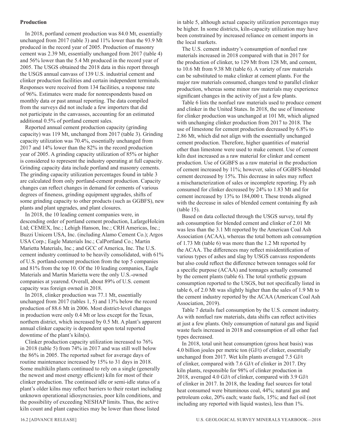### **Production**

In 2018, portland cement production was 84.0 Mt, essentially unchanged from 2017 (table 3) and 11% lower than the 93.9 Mt produced in the record year of 2005. Production of masonry cement was 2.39 Mt, essentially unchanged from 2017 (table 4) and 56% lower than the 5.4 Mt produced in the record year of 2005. The USGS obtained the 2018 data in this report through the USGS annual canvass of 139 U.S. industrial cement and clinker production facilities and certain independent terminals. Responses were received from 134 facilities, a response rate of 96%. Estimates were made for nonrespondents based on monthly data or past annual reporting. The data compiled from the surveys did not include a few importers that did not participate in the canvasses, accounting for an estimated additional 0.5% of portland cement sales.

Reported annual cement production capacity (grinding capacity) was 119 Mt, unchanged from 2017 (table 3). Grinding capacity utilization was 70.4%, essentially unchanged from 2017 and 14% lower than the 82% in the record production year of 2005. A grinding capacity utilization of 85% or higher is considered to represent the industry operating at full capacity. Grinding capacity data include portland and masonry cements. The grinding capacity utilization percentages found in table 3 are calculated from only portland-cement production. Capacity changes can reflect changes in demand for cements of various degrees of fineness, grinding equipment upgrades, shifts of some grinding capacity to other products (such as GGBFS), new plants and plant upgrades, and plant closures.

In 2018, the 10 leading cement companies were, in descending order of portland cement production, LafargeHolcim Ltd; CEMEX, Inc.; Lehigh Hanson, Inc.; CRH Americas, Inc.; Buzzi Unicem USA, Inc. (including Alamo Cement Co.); Argos USA Corp.; Eagle Materials Inc.; CalPortland Co.; Martin Marietta Materials, Inc.; and GCC of America, Inc. The U.S. cement industry continued to be heavily consolidated, with 61% of U.S. portland-cement production from the top 5 companies and 81% from the top 10. Of the 10 leading companies, Eagle Materials and Martin Marietta were the only U.S.-owned companies at yearend. Overall, about 89% of U.S. cement capacity was foreign owned in 2018.

In 2018, clinker production was 77.1 Mt, essentially unchanged from 2017 (tables 1, 5) and 13% below the record production of 88.6 Mt in 2006. Most district-level changes in production were only 0.4 Mt or less except for the Texas, northern district, which increased by 0.5 Mt. A plant's apparent annual clinker capacity is dependent upon total reported downtime of the plant's kiln(s).

Clinker production capacity utilization increased to 76% in 2018 (table 5) from 74% in 2017 and was still well below the 86% in 2005. The reported subset for average days of routine maintenance increased by 15% to 31 days in 2018. Some multikiln plants continued to rely on a single (generally the newest and most energy efficient) kiln for most of their clinker production. The continued idle or semi-idle status of a plant's older kilns may reflect barriers to their restart including unknown operational idiosyncrasies, poor kiln conditions, and the possibility of exceeding NESHAP limits. Thus, the active kiln count and plant capacities may be lower than those listed

in table 5, although actual capacity utilization percentages may be higher. In some districts, kiln-capacity utilization may have been constrained by increased reliance on cement imports in the local markets.

The U.S. cement industry's consumption of nonfuel raw materials increased in 2018 compared with that in 2017 for the production of clinker, to 129 Mt from 128 Mt, and cement, to 10.6 Mt from 9.38 Mt (table 6). A variety of raw materials can be substituted to make clinker at cement plants. For the major raw materials consumed, changes tend to parallel clinker production, whereas some minor raw materials may experience significant changes in the activity of just a few plants.

Table 6 lists the nonfuel raw materials used to produce cement and clinker in the United States. In 2018, the use of limestone for clinker production was unchanged at 101 Mt, which aligned with unchanging clinker production from 2017 to 2018. The use of limestone for cement production decreased by 6.8% to 2.86 Mt, which did not align with the essentially unchanged cement production. Therefore, higher quantities of material other than limestone were used to make cement. Use of cement kiln dust increased as a raw material for clinker and cement production. Use of GGBFS as a raw material in the production of cement increased by 11%; however, sales of GGBFS-blended cement decreased by 15%. This decrease in sales may reflect a mischaracterization of sales or incomplete reporting. Fly ash consumed for clinker decreased by 24% to 1.83 Mt and for cement increased by 13% to 184,000 t. These trends aligned with the decrease in sales of blended cement containing fly ash (table 15).

Based on data collected through the USGS survey, total fly ash consumption for blended cement and clinker of 2.01 Mt was less than the 3.1 Mt reported by the American Coal Ash Association (ACAA), whereas the total bottom ash consumption of 1.73 Mt (table 6) was more than the 1.2 Mt reported by the ACAA. The differences may reflect misidentification of various types of ashes and slag by USGS canvass respondents but also could reflect the difference between tonnages sold for a specific purpose (ACAA) and tonnages actually consumed by the cement plants (table 6). The total synthetic gypsum consumption reported to the USGS, but not specifically listed in table 6, of 2.0 Mt was slightly higher than the sales of 1.9 Mt to the cement industry reported by the ACAA (American Coal Ash Association, 2019).

Table 7 details fuel consumption by the U.S. cement industry. As with nonfuel raw materials, data shifts can reflect activities at just a few plants. Only consumption of natural gas and liquid waste fuels increased in 2018 and consumption of all other fuel types decreased.

In 2018, total unit heat consumption (gross heat basis) was 4.0 billion joules per metric ton (GJ/t) of clinker, essentially unchanged from 2017. Wet kiln plants averaged 7.5 GJ/t of clinker, compared with 7.6 GJ/t of clinker in 2017. Dry kiln plants, responsible for 98% of clinker production in 2018, averaged 4.0 GJ/t of clinker, compared with 3.9 GJ/t of clinker in 2017. In 2018, the leading fuel sources for total heat consumed were bituminous coal, 44%; natural gas and petroleum coke, 20% each; waste fuels, 15%; and fuel oil (not including any reported with liquid wastes), less than 1%.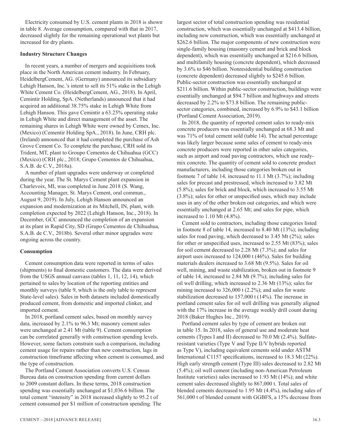Electricity consumed by U.S. cement plants in 2018 is shown in table 8. Average consumption, compared with that in 2017, decreased slightly for the remaining operational wet plants but increased for dry plants.

### **Industry Structure Changes**

In recent years, a number of mergers and acquisitions took place in the North American cement industry. In February, HeidelbergCement, AG. (Germany) announced its subsidiary Lehigh Hanson, Inc.'s intent to sell its 51% stake in the Lehigh White Cement Co. (HeidelbergCement, AG., 2018). In April, Cemintir Holding, SpA. (Netherlands) announced that it had acquired an additional 38.75% stake in Lehigh White from Lehigh Hanson. This gave Cemintir a 63.25% operating stake in Lehigh White and direct management of the asset. The remaining shares in Lehigh White were owned by Cemex, Inc. (Mexico) (Cementir Holding SpA., 2018). In June, CRH plc. (Ireland) announced that it had completed the purchase of Ash Grove Cement Co. To complete the purchase, CRH sold its Trident, MT, plant to Groupo Cementos de Chihuahua (GCC) (Mexico) (CRH plc., 2018; Grupo Cementos de Chihuahua, S.A.B. de C.V., 2018a).

A number of plant upgrades were underway or completed during the year. The St. Marys Cement plant expansion in Charlevoix, MI, was completed in June 2018 (S. Wang, Accounting Manager, St. Marys Cement, oral commun., August 9, 2019). In July, Lehigh Hanson announced an expansion and modernization at its Mitchell, IN, plant, with completion expected by 2022 (Lehigh Hanson, Inc., 2018). In December, GCC announced the completion of an expansion at its plant in Rapid City, SD (Grupo Cementos de Chihuahua, S.A.B. de C.V., 2018b). Several other minor upgrades were ongoing across the country.

### **Consumption**

Cement consumption data were reported in terms of sales (shipments) to final domestic customers. The data were derived from the USGS annual canvass (tables 1, 11, 12, 14), which pertained to sales by location of the reporting entities and monthly surveys (table 9, which is the only table to represent State-level sales). Sales in both datasets included domestically produced cement, from domestic and imported clinker, and imported cement.

In 2018, portland cement sales, based on monthly survey data, increased by 2.1% to 96.3 Mt; masonry cement sales were unchanged at 2.41 Mt (table 9). Cement consumption can be correlated generally with construction spending levels. However, some factors constrain such a comparison, including cement usage for repairs rather than new construction, lags in construction timeframe affecting when cement is consumed, and the type of construction.

The Portland Cement Association converts U.S. Census Bureau data on construction spending from current dollars to 2009 constant dollars. In these terms, 2018 construction spending was essentially unchanged at \$1,036.6 billion. The total cement "intensity" in 2018 increased slightly to 95.2 t of cement consumed per \$1 million of construction spending. The largest sector of total construction spending was residential construction, which was essentially unchanged at \$413.4 billion, including new construction, which was essentially unchanged at \$262.6 billion. The major components of new construction were single-family housing (masonry cement and brick and block dependent), which was essentially unchanged at \$216.6 billion, and multifamily housing (concrete dependent), which decreased by 3.6% to \$46 billion. Nonresidential building construction (concrete dependent) decreased slightly to \$245.6 billion. Public-sector construction was essentially unchanged at \$211.6 billion. Within public-sector construction, buildings were essentially unchanged at \$94.7 billion and highways and streets decreased by 2.2% to \$73.8 billion. The remaining publicsector categories, combined, increased by 6.9% to \$43.1 billion (Portland Cement Association, 2019).

In 2018, the quantity of reported cement sales to ready-mix concrete producers was essentially unchanged at 68.3 Mt and was 71% of total cement sold (table 14). The actual percentage was likely larger because some sales of cement to ready-mix concrete producers were reported in other sales categories, such as airport and road paving contractors, which use readymix concrete. The quantity of cement sold to concrete product manufacturers, including those categories broken out in footnote 7 of table 14, increased to 11.1 Mt (3.7%); including sales for precast and prestressed, which increased to 3.82 Mt (5.8%); sales for brick and block, which increased to 3.55 Mt (3.8%); sales for other or unspecified uses, which may include uses in any of the other broken out categories, and which were essentially unchanged at 2.65 Mt; and sales for pipe, which increased to 1.10 Mt (4.8%).

Cement sold to contractors, including those categories listed in footnote 8 of table 14, increased to 8.40 Mt (13%); including sales for road paving, which decreased to 3.45 Mt (2%); sales for other or unspecified uses, increased to 2.55 Mt (83%); sales for soil cement decreased to 2.28 Mt (7.3%); and sales for airport uses increased to 124,000 t (46%). Sales for building materials dealers increased to 3.68 Mt (9.5%). Sales for oil well, mining, and waste stabilization, broken out in footnote 9 of table 14, increased to 2.84 Mt (9.7%); including sales for oil well drilling, which increased to 2.36 Mt (13%); sales for mining increased to 326,000 t (2.2%); and sales for waste stabilization decreased to 157,000 t (14%). The increase in portland cement sales for oil well drilling was generally aligned with the 17% increase in the average weekly drill count during 2018 (Baker Hughes Inc., 2019).

Portland cement sales by type of cement are broken out in table 15. In 2018, sales of general use and moderate heat cements (Types I and II) decreased to 70.0 Mt (2.4%). Sulfateresistant varieties (Type V and Type II/V hybrids reported as Type V), including equivalent cements sold under ASTM International C1157 specifications, increased to 18.3 Mt (22%). High early strength cement (Type III) sales decreased to 2.82 Mt (5.4%); oil well cement (including non-American Petroleum Institute varieties) sales increased to 1.93 Mt (14%); and white cement sales decreased slightly to 867,000 t. Total sales of blended cements decreased to 1.95 Mt (4.4%), including sales of 561,000 t of blended cement with GGBFS, a 15% decrease from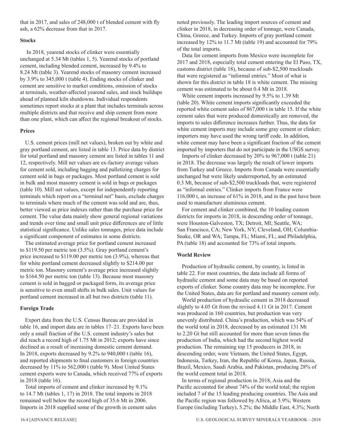that in 2017, and sales of 248,000 t of blended cement with fly ash, a 62% decrease from that in 2017.

### **Stocks**

 In 2018, yearend stocks of clinker were essentially unchanged at 5.34 Mt (tables 1, 5). Yearend stocks of portland cement, including blended cement, increased by 9.4% to 8.24 Mt (table 3). Yearend stocks of masonry cement increased by 3.9% to 345,000 t (table 4). Ending stocks of clinker and cement are sensitive to market conditions, omission of stocks at terminals, weather-affected yearend sales, and stock buildups ahead of planned kiln shutdowns. Individual respondents sometimes report stocks at a plant that includes terminals across multiple districts and that receive and ship cement from more than one plant, which can affect the regional breakout of stocks.

### **Prices**

U.S. cement prices (mill net values), broken out by white and gray portland cement, are listed in table 13. Price data by district for total portland and masonry cement are listed in tables 11 and 12, respectively. Mill net values are ex-factory average values for cement sold, including bagging and palletizing charges for cement sold in bags or packages. Most portland cement is sold in bulk and most masonry cement is sold in bags or packages (table 10). Mill net values, except for independently reporting terminals which report on a "terminal net" basis, exclude charges to terminals where much of the cement was sold and are, thus, better viewed as price indexes rather than the purchase price for cement. The value data mainly show general regional variations and trends over time and small unit price differences are of little statistical significance. Unlike sales tonnages, price data include a significant component of estimates in some districts.

The estimated average price for portland cement increased to \$119.50 per metric ton (3.5%). Gray portland cement's price increased to \$119.00 per metric ton (3.9%), whereas that for white portland cement decreased slightly to \$214.00 per metric ton. Masonry cement's average price increased slightly to \$164.50 per metric ton (table 13). Because most masonry cement is sold in bagged or packaged form, its average price is sensitive to even small shifts in bulk sales. Unit values for portland cement increased in all but two districts (table 11).

### **Foreign Trade**

Export data from the U.S. Census Bureau are provided in table 16, and import data are in tables 17–21. Exports have been only a small fraction of the U.S. cement industry's sales but did reach a record high of 1.75 Mt in 2012; exports have since declined as a result of increasing domestic cement demand. In 2018, exports decreased by 9.2% to 940,000 t (table 16), and reported shipments to final customers in foreign countries decreased by 11% to 562,000 t (table 9). Most United States cement exports were to Canada, which received 77% of exports in 2018 (table 16).

Total imports of cement and clinker increased by 9.1% to 14.7 Mt (tables 1, 17) in 2018. The total imports in 2018 remained well below the record high of 35.6 Mt in 2006. Imports in 2018 supplied some of the growth in cement sales

noted previously. The leading import sources of cement and clinker in 2018, in decreasing order of tonnage, were Canada, China, Greece, and Turkey. Imports of gray portland cement increased by 12% to 11.7 Mt (table 19) and accounted for 79% of the total imports.

Data for cement imports from Mexico were incomplete for 2017 and 2018, especially total cement entering the El Paso, TX, customs district (table 18), because of sub-\$2,500 truckloads that were registered as "informal entries." Most of what is shown for this district in table 18 is white cement. The missing cement was estimated to be about 0.4 Mt in 2018.

White cement imports increased by 9.5% to 1.39 Mt (table 20). White cement imports significantly exceeded the reported white cement sales of 867,000 t in table 15. If the white cement sales that were produced domestically are removed, the imports to sales difference increases further. Thus, the data for white cement imports may include some gray cement or clinker; importers may have used the wrong tariff code. In addition, white cement may have been a significant fraction of the cement imported by importers that do not participate in the USGS survey.

Imports of clinker decreased by 20% to 967,000 t (table 21) in 2018. The decrease was largely the result of lower imports from Turkey and Greece. Imports from Canada were essentially unchanged but were likely underreported, by an estimated 0.3 Mt, because of sub-\$2,500 truckloads that, were registered as "informal entries." Clinker imports from France were 116,000 t, an increase of 61% in 2018, and in the past have been used to manufacture aluminous cement.

For cement and clinker combined, the 10 leading custom districts for imports in 2018, in descending order of tonnage, were Houston-Galveston, TX; Detroit, MI; Seattle, WA; San Francisco, CA; New York, NY; Cleveland, OH; Columbia-Snake, OR and WA; Tampa, FL; Miami, FL; and Philadelphia, PA (table 18) and accounted for 73% of total imports.

### **World Review**

Production of hydraulic cement, by country, is listed in table 22. For most countries, the data include all forms of hydraulic cement and some data may be based on reported exports of clinker. Some country data may be incomplete. For the United States, data are for portland and masonry cement only.

World production of hydraulic cement in 2018 decreased slightly to 4.05 Gt from the revised 4.11 Gt in 2017. Cement was produced in 160 countries, but production was very unevenly distributed. China's production, which was 54% of the world total in 2018, decreased by an estimated 131 Mt to 2.20 Gt but still accounted for more than seven times the production of India, which had the second highest world production. The remaining top 15 producers in 2018, in descending order, were Vietnam, the United States, Egypt, Indonesia, Turkey, Iran, the Republic of Korea, Japan, Russia, Brazil, Mexico, Saudi Arabia, and Pakistan, producing 28% of the world cement total in 2018.

In terms of regional production in 2018, Asia and the Pacific accounted for about 74% of the world total; the region included 7 of the 15 leading producing countries. The Asia and the Pacific region was followed by Africa, at 5.9%; Western Europe (including Turkey), 5.2%; the Middle East, 4.3%; North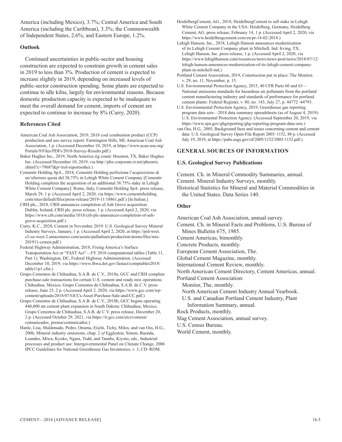America (including Mexico), 3.7%; Central America and South America (including the Caribbean), 3.3%; the Commonwealth of Independent States, 2.6%; and Eastern Europe, 1.2%.

### **Outlook**

Continued uncertainties in public-sector and housing construction are expected to constrain growth in cement sales in 2019 to less than 3%. Production of cement is expected to increase slightly in 2019, depending on increased levels of public-sector construction spending. Some plants are expected to continue to idle kilns, largely for environmental reasons. Because domestic production capacity is expected to be inadequate to meet the overall demand for cement, imports of cement are expected to continue to increase by 8% (Curry, 2020).

### **References Cited**

- American Coal Ash Association, 2019, 2018 coal combustion product (CCP) production and use survey report: Farmington Hills, MI, American Coal Ash Association, 1 p. (Accessed December 10, 2019, at https://www.acaa-usa.org/ Portals/9/Files/PDFs/2018-Survey-Results.pdf.)
- Baker Hughes Inc., 2019, North America rig count: Houston, TX, Baker Hughes Inc. (Accessed December 10, 2019, via http://phx.corporate-ir.net/phoenix. zhtml?c=79687&p=irol-reportsother.)
- Cementir Holding SpA., 2018, Cementir Holding perfeziona l'acquisizione di un'ulteriore quota del 38,75% in Lehigh White Cement Company [Cementir Holding completes the acquisition of an additional 38.75% stake in Lehigh White Cement Company]: Rome, Italy, Cementir Holding SpA. press release, March 29, 1 p. (Accessed April 2, 2020, via https://www.cementirholding. com/sites/default/files/press-release/2019-11/18861.pdf.) [In Italian.]
- CRH plc., 2018, CRH announces completion of Ash Grove acquisition: Dublin, Ireland, CRH plc. press release, 1 p. (Accessed April 2, 2020, via https://www.crh.com/media/1018/crh-plc-announces-completion-of-ashgrove-acquisition.pdf.)
- Curry, K.C., 2020, Cement in November 2019: U.S. Geological Survey Mineral Industry Surveys, January, 1 p. (Accessed April 2, 2020, at https://prd-wret. s3-us-west-2.amazonaws.com/assets/palladium/production/atoms/files/mis-201911-cemen.pdf.)
- Federal Highway Administration, 2018, Fixing America's Surface Transportation Act or "FAST Act"—FY 2018 computational tables (Table 11, Part 1): Washington, DC, Federal Highway Administration. (Accessed December 10, 2019, via https://www.fhwa.dot.gov/fastact/comptables2018/ table11p1.cfm.)
- Grupo Cementos de Chihuahua, S.A.B. de C.V., 2018a, GCC and CRH complete purchase-sale transactions for certain U.S. cement and ready-mix operations: Chihuahua, Mexico, Grupo Cementos de Chihuahua, S.A.B. de C.V. press release, June 25, 2 p. (Accessed April 2, 2020, via https://www.gcc.com/wpcontent/uploads/2018/07/GCCs-Asset-Purchase-Sale-and-CC.pdf.)
- Grupo Cementos de Chihuahua, S.A.B. de C.V., 2018b, GCC begins operating 440,000 mt cement plant expansion in South Dakota: Chihuahua, Mexico, Grupo Cementos de Chihuahua, S.A.B. de C.V. press release, December 20, 2 p. (Accessed October 29, 2021, via https://ir.gcc.com/en/eventosn/ comunicados\_prensa/comunicados.)
- Hanle, Lisa, Maldonado, Pedro, Onuma, Eiichi, Tichy, Milos, and van Oss, H.G., 2006, Mineral industry emissions, chap. 2 *of* Eggleston, Simon, Buenda, Leandro, Miwa, Kyoko, Ngara, Todd, and Tanabe, Kiyoto, eds., Industrial processes and product use: Intergovernmental Panel on Climate Change, 2006 IPCC Guidelines for National Greenhouse Gas Inventories, v. 3, CD–ROM.
- HeidelbergCement, AG., 2018, HeidelbergCement to sell stake in Lehigh White Cement Company in the USA: Heidelberg, Germany, Heidelberg Cement, AG. press release, February 14, 1 p. (Accessed April 2, 2020, via https://www.heidelbergcement.com/en/pr-14-02-2018.)
- Lehigh Hanson, Inc., 2018, Lehigh Hanson announces modernization of its Lehigh Cement Company plant in Mitchell, Ind: Irving, TX, Lehigh Hanson, Inc. press release, 1 p. (Accessed April 2, 2020, via https://www.lehighhanson.com/resources/news/news-post/news/2018/07/12/ lehigh-hanson-announces-modernization-of-its-lehigh-cement-companyplant-in-mitchell-ind.)
- Portland Cement Association, 2019, Construction put in place: The Monitor, v. 29, no. 11, November, p. 15.
- U.S. Environmental Protection Agency, 2015, 40 CFR Parts 60 and 63— National emissions standards for hazardous air pollutants from the portland cement manufacturing industry and standards of performance for portland cement plants: Federal Register, v. 80, no. 143, July 27, p. 44772−44793.
- U.S. Environmental Protection Agency, 2019, Greenhouse gas reporting program data sets—2018 data summary spreadsheets (as of August 4, 2019): U.S. Environmental Protection Agency. (Accessed September 20, 2019, via https://www.epa.gov/ghgreporting/ghg-reporting-program-data-sets.)
- van Oss, H.G., 2005, Background facts and issues concerning cement and cement data: U.S. Geological Survey Open-File Report 2005–1152, 88 p. (Accessed July 19, 2019, at https://pubs.usgs.gov/of/2005/1152/2005-1152.pdf.)

### **GENERAL SOURCES OF INFORMATION**

### **U.S. Geological Survey Publications**

Cement. Ch. in Mineral Commodity Summaries, annual.

Cement. Mineral Industry Surveys, monthly.

Historical Statistics for Mineral and Material Commodities in the United States. Data Series 140.

### **Other**

American Coal Ash Association, annual survey.

Cement. Ch. in Mineral Facts and Problems, U.S. Bureau of Mines Bulletin 675, 1985.

Cement Americas, bimonthly.

Concrete Products, monthly.

European Cement Association, The.

Global Cement Magazine, monthly.

International Cement Review, monthly.

North American Cement Directory, Cement Americas, annual.

Portland Cement Association:

Monitor, The, monthly.

North American Cement Industry Annual Yearbook.

U.S. and Canadian Portland Cement Industry, Plant Information Summary, annual.

Rock Products, monthly.

Slag Cement Association, annual survey.

U.S. Census Bureau.

World Cement, monthly.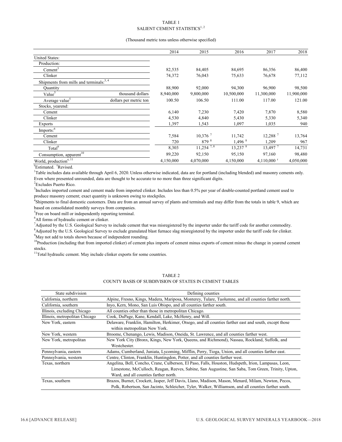### TABLE 1 SALIENT CEMENT STATISTICS $^{1, 2}$

### (Thousand metric tons unless otherwise specified)

|                                                      | 2014      | 2015                    | 2016                 | 2017                  | 2018       |
|------------------------------------------------------|-----------|-------------------------|----------------------|-----------------------|------------|
| United States:                                       |           |                         |                      |                       |            |
| Production:                                          |           |                         |                      |                       |            |
| Cement <sup>3</sup>                                  | 82,535    | 84,405                  | 84,695               | 86,356                | 86,400     |
| Clinker                                              | 74,372    | 76,043                  | 75,633               | 76,678                | 77,112     |
| Shipments from mills and terminals: <sup>3,4</sup>   |           |                         |                      |                       |            |
| Quantity                                             | 88,900    | 92,000                  | 94,300               | 96,900                | 98,500     |
| Value <sup>5</sup><br>thousand dollars               | 8,940,000 | 9,800,000               | 10,500,000           | 11,300,000            | 11,900,000 |
| Average value <sup>5</sup><br>dollars per metric ton | 100.50    | 106.50                  | 111.00               | 117.00                | 121.00     |
| Stocks, yearend:                                     |           |                         |                      |                       |            |
| Cement                                               | 6,140     | 7,230                   | 7,420                | 7,870                 | 8,580      |
| Clinker                                              | 4,530     | 4,840                   | 5,430                | 5,330                 | 5,340      |
| Exports                                              | 1,397     | 1,543                   | 1,097                | 1,035                 | 940        |
| $Imports:$ <sup>6</sup>                              |           |                         |                      |                       |            |
| Cement                                               | 7,584     | $10,376$ <sup>7</sup>   | 11,742               | $12,288$ <sup>7</sup> | 13,764     |
| Clinker                                              | 720       | 879 8                   | $1,496$ <sup>8</sup> | 1.209                 | 967        |
| Total <sup>9</sup>                                   | 8,303     | $11,254$ <sup>7,8</sup> | $13,237$ $8$         | 13,497 7              | 14,731     |
| Consumption, apparent <sup>10</sup>                  | 89,220    | 92,150                  | 95,150               | 97,160                | 98,480     |
| World, production <sup>e, 11</sup>                   | 4,150,000 | 4,070,000               | 4,150,000            | 4,110,000 $r$         | 4,050,000  |

<sup>e</sup>Estimated. <sup>r</sup>Revised.

1 Table includes data available through April 6, 2020. Unless otherwise indicated, data are for portland (including blended) and masonry cements only. Even where presented unrounded, data are thought to be accurate to no more than three significant digits.

<sup>2</sup> Excludes Puerto Rico.

<sup>3</sup>Includes imported cement and cement made from imported clinker. Includes less than 0.5% per year of double-counted portland cement used to produce masonry cement; exact quantity is unknown owing to stockpiles.

4 Shipments to final domestic customers. Data are from an annual survey of plants and terminals and may differ from the totals in table 9, which are based on consolidated monthly surveys from companies.

<sup>5</sup>Free on board mill or independently reporting terminal.

<sup>6</sup>All forms of hydraulic cement or clinker.

<sup>7</sup>Adjusted by the U.S. Geological Survey to include cement that was misregistered by the importer under the tariff code for another commodity.

8 Adjusted by the U.S. Geological Survey to exclude granulated blast furnace slag misregistered by the importer under the tariff code for clinker.

 $9^9$ May not add to totals shown because of independent rounding.

<sup>10</sup>Production (including that from imported clinker) of cement plus imports of cement minus exports of cement minus the change in yearend cement stocks.

 $11$ Total hydraulic cement. May include clinker exports for some countries.

| State subdivision              | Defining counties                                                                                     |
|--------------------------------|-------------------------------------------------------------------------------------------------------|
| California, northern           | Alpine, Fresno, Kings, Madera, Mariposa, Monterey, Tulare, Tuolumne, and all counties farther north.  |
| California, southern           | Inyo, Kern, Mono, San Luis Obispo, and all counties farther south.                                    |
| Illinois, excluding Chicago    | All counties other than those in metropolitan Chicago.                                                |
| Illinois, metropolitan Chicago | Cook, DuPage, Kane, Kendall, Lake, McHenry, and Will.                                                 |
| New York, eastern              | Delaware, Franklin, Hamilton, Herkimer, Otsego, and all counties farther east and south, except those |
|                                | within metropolitan New York.                                                                         |
| New York, western              | Broome, Chenango, Lewis, Madison, Oneida, St. Lawrence, and all counties farther west.                |
| New York, metropolitan         | New York City (Bronx, Kings, New York, Queens, and Richmond), Nassau, Rockland, Suffolk, and          |
|                                | Westchester.                                                                                          |
| Pennsylvania, eastern          | Adams, Cumberland, Juniata, Lycoming, Mifflin, Perry, Tioga, Union, and all counties farther east.    |
| Pennsylvania, western          | Centre, Clinton, Franklin, Huntingdon, Potter, and all counties farther west.                         |
| Texas, northern                | Angelina, Bell, Concho, Crane, Culberson, El Paso, Falls, Houston, Hudspeth, Irion, Lampasas, Leon,   |
|                                | Limestone, McCulloch, Reagan, Reeves, Sabine, San Augustine, San Saba, Tom Green, Trinity, Upton,     |
|                                | Ward, and all counties farther north.                                                                 |
| Texas, southern                | Brazos, Burnet, Crockett, Jasper, Jeff Davis, Llano, Madison, Mason, Menard, Milam, Newton, Pecos,    |
|                                | Polk, Robertson, San Jacinto, Schleicher, Tyler, Walker, Williamson, and all counties farther south.  |

TABLE 2 COUNTY BASIS OF SUBDIVISION OF STATES IN CEMENT TABLES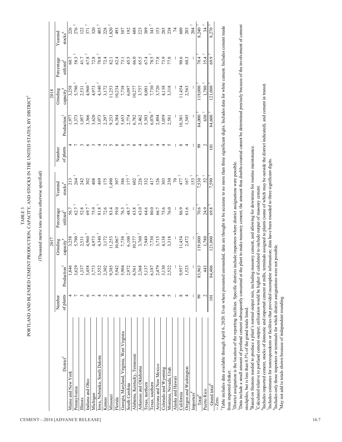TABLE 3 TABLE 3

# PORTLAND AND BLENDED CEMENT PRODUCTION, CAPACITY, AND STOCKS IN THE UNITED STATES, BY DISTRICT PORTLAND AND BLENDED CEMENT PRODUCTION, CAPACITY, AND STOCKS IN THE UNITED STATES, BY DISTRICT1

(Thousand metric tons unless otherwise specified) (Thousand metric tons unless otherwise specified)

|                                                                                                                                                                         |              |                                                                          | 2017                                                                                                                    |                                                           |                                           |           |                                           | 2018                   |                       |                                                  |
|-------------------------------------------------------------------------------------------------------------------------------------------------------------------------|--------------|--------------------------------------------------------------------------|-------------------------------------------------------------------------------------------------------------------------|-----------------------------------------------------------|-------------------------------------------|-----------|-------------------------------------------|------------------------|-----------------------|--------------------------------------------------|
|                                                                                                                                                                         | Number       |                                                                          | Grinding                                                                                                                | Percentage                                                | Yearend                                   | Number    |                                           | Grinding               | Percentage            | Yearend                                          |
| $\mathrm{District}^2$                                                                                                                                                   | of plants    | Production <sup>3</sup>                                                  | capacity <sup>4</sup>                                                                                                   | utilized <sup>5</sup>                                     | $\frac{\text{stocks}^6}{\text{stocks}}$   | of plants | Production <sup>3</sup>                   | capacity <sup>4</sup>  | utilized <sup>5</sup> | stocks $^{6}$                                    |
| Maine and New York                                                                                                                                                      |              |                                                                          |                                                                                                                         | 56.7                                                      |                                           |           |                                           | 3,258                  | 60.7                  |                                                  |
| Pennsylvania                                                                                                                                                            |              |                                                                          | $3,258$<br>5,790 $^7$                                                                                                   |                                                           |                                           |           | 1,977<br>\$,373                           | 5,790                  | 58.3                  | 226<br>276                                       |
| <b>Illinois</b>                                                                                                                                                         |              |                                                                          | 2,531                                                                                                                   | 52.8                                                      |                                           |           | 1,057                                     | 2,531                  | 41.7                  |                                                  |
| Indiana and Ohio                                                                                                                                                        | ≌            | 1,846<br>3,628<br>3,637<br>3,773,852<br>3,942<br>3,942<br>3,942<br>3,942 | $4.960$ $^7$                                                                                                            | 69.7                                                      | 3 3 3 3 3 4                               |           | 3,366                                     |                        | 67.8 <sup>7</sup>     | 122<br>371                                       |
| Michigan                                                                                                                                                                |              |                                                                          |                                                                                                                         | $75.9$<br>81.8                                            |                                           |           | 3,620                                     |                        | 72.8                  | 320                                              |
| Iowa, Nebraska, South Dakota                                                                                                                                            |              |                                                                          |                                                                                                                         |                                                           | 469                                       |           |                                           |                        | $70.8$                |                                                  |
| Kansas                                                                                                                                                                  |              |                                                                          |                                                                                                                         | 72.6                                                      | 175                                       |           |                                           |                        | 72.4                  | $\begin{array}{c} 485 \\ 228 \\ 820 \end{array}$ |
| Missouri                                                                                                                                                                |              |                                                                          |                                                                                                                         | 83.4                                                      | ,490                                      |           | 3,073<br>2,297<br>3,384<br>6,384          |                        | 82.1                  |                                                  |
| Florida                                                                                                                                                                 | $\infty$     |                                                                          |                                                                                                                         | 59.0                                                      | 307                                       |           |                                           |                        | 62.4                  | 493                                              |
| Georgia, Maryland, Virginia, West Virginia                                                                                                                              | ७            | 5,904                                                                    |                                                                                                                         |                                                           | 386                                       |           |                                           |                        | 73.1                  | 307                                              |
| South Carolina                                                                                                                                                          | $\sim$       | 2,972                                                                    |                                                                                                                         |                                                           | $\begin{array}{c} 177 \\ 602 \end{array}$ |           |                                           |                        | 45.5                  |                                                  |
| Alabama, Kentucky, Tennessee                                                                                                                                            | $\infty$     |                                                                          |                                                                                                                         |                                                           |                                           |           |                                           |                        |                       |                                                  |
| Arkansas and Oklahoma                                                                                                                                                   | 4            | 6,561<br>2,368<br>5,187<br>6,187<br>5,522<br>3,522                       | $4,973$<br>$4,340$<br>$7,723$<br>$1,253$<br>$7,780$<br>$6,100$<br>$7,7949$<br>$7,7949$<br>$7,713$<br>$4,138$<br>$3,318$ | $\begin{bmatrix} 6.3 \\ 4.87 \\ 6.3 \\ 6.3 \end{bmatrix}$ | 226                                       |           | 5,653<br>2,774<br>2,782<br>6,393<br>6,070 |                        | 66.0<br>65.5          |                                                  |
| Texas, northern                                                                                                                                                         | ╰            |                                                                          |                                                                                                                         | 64.6                                                      | 332<br>417                                |           |                                           |                        | 67.4                  |                                                  |
| Texas, southern                                                                                                                                                         | 5            |                                                                          |                                                                                                                         | 80.0                                                      |                                           |           |                                           |                        | 78.5                  |                                                  |
| Arizona and New Mexico                                                                                                                                                  |              |                                                                          |                                                                                                                         | 66.7                                                      | 126                                       |           | 2,894                                     |                        | 77.8                  |                                                  |
| Colorado and Wyoming                                                                                                                                                    | 4            |                                                                          |                                                                                                                         | 75.6                                                      | 303                                       |           | 3,059                                     |                        | 73.9                  |                                                  |
| Montana, Nevada, Utah                                                                                                                                                   |              |                                                                          |                                                                                                                         | 76.0                                                      | 230                                       |           | 2,581                                     |                        | 77.8                  |                                                  |
| Alaska and Hawaii                                                                                                                                                       |              |                                                                          |                                                                                                                         |                                                           | $\sqrt{2}$                                |           |                                           |                        |                       |                                                  |
| California                                                                                                                                                              | ${}^{\circ}$ | 9,957                                                                    | 1,454                                                                                                                   | 86.9                                                      | 477                                       |           | 10,381                                    | 1,454                  | 90.6                  |                                                  |
| Oregon and Washington                                                                                                                                                   | 4            | 1,523                                                                    | 2,472                                                                                                                   | 61.6                                                      | 167                                       |           | 1,545                                     | 2,563                  | 60.3                  |                                                  |
| Importers <sup>8</sup>                                                                                                                                                  | I            |                                                                          |                                                                                                                         |                                                           | 153 <sup>7</sup>                          |           |                                           |                        |                       | 204 <sup>7</sup>                                 |
| $\text{Tota}^9$                                                                                                                                                         | 99           | 83,963                                                                   | 119,000 <sup>7</sup>                                                                                                    | 70.6                                                      | 7,530 7                                   | 99        | 84,000                                    | 119,000                | 70.4                  | 8,240 7                                          |
| Puerto Rico                                                                                                                                                             | 2            | 443                                                                      | 1,780                                                                                                                   | 24.9                                                      | 52 <sup>7</sup>                           | 2         | 630 <sup>7</sup>                          | $1,780$ $^7\,$         | 35.47                 |                                                  |
| Grand total <sup>9</sup>                                                                                                                                                | 101          | 84,406                                                                   | $121,000$ <sup>7</sup>                                                                                                  | 69.8                                                      | $7,590$ <sup>7</sup>                      | 101       | 84,600                                    | $121,000$ <sup>7</sup> | 69.9 <sup>7</sup>     | 8,270 7                                          |
| $-Zero.$                                                                                                                                                                |              |                                                                          |                                                                                                                         |                                                           |                                           |           |                                           |                        |                       |                                                  |
| Table includes data available through a mil 6, 2020. Even where when when data are a month to a more than three coming includes data for white coment mode compationals |              |                                                                          |                                                                                                                         |                                                           |                                           |           |                                           |                        |                       |                                                  |

1Table includes data available through April 6, 2020. Even where presented unrounded, data are thought to be accurate to no more than three significant digits. Includes data for white cement. Includes cement made from imported clinker. from imported clinker.

District assignation is the location of the reporting facilities. Specific districts include importers where district assignations were possible. 2District assignation is the location of the reporting facilities. Specific districts include importers where district assignations were possible.

3Data include a small amount of portland cement subsequently consumed at the plant to make masonry cement; the amount thus double-counted cannot be determined precisely because of the involvement of cement Data include a small amount of portland cement subsequently consumed at the plant to make masonry cement; the amount thus double-counted cannot be determined precisely because of the involvement of cement stockpiles, but is less than 0.5% of the grand totals listed. stockpiles, but is less than 0.5% of the grand totals listed.

Based on fineness needed to produce a plant's normal output mix, including masonry cement, and allowing for downtime for routine maintenance. 4Based on fineness needed to produce a plant's normal output mix, including masonry cement, and allowing for downtime for routine maintenance.

Calculated relative to portland cement output; utilization would be higher if calculated to include output of masonry cement. 5Calculated relative to portland cement output; utilization would be higher if calculated to include output of masonry cement.

6Includes imported cement, stocks of domestic and imported cement at mills, terminals assigned to plants (some of which may be outside the district indicated), and cement in transit. Includes imported cement, stocks of domestic and imported cement at mills, terminals assigned to plants (some of which may be outside the district indicated), and cement in transit.

Includes estimates for nonrespondents or facilities that provided incomplete information; data have been rounded to three significant digits. 7Includes estimates for nonrespondents or facilities that provided incomplete information; data have been rounded to three significant digits. Includes only those importers or terminals for which district assignations were not possible. Includes only those importers or terminals for which district assignations were not possible.

May not add to totals shown because of independent rounding. 9May not add to totals shown because of independent rounding.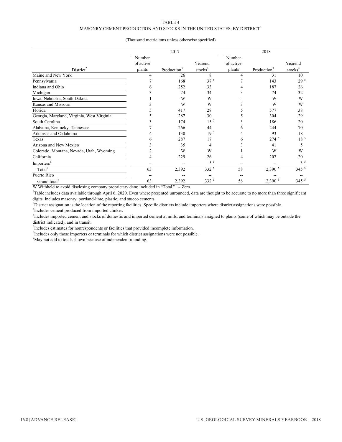### MASONRY CEMENT PRODUCTION AND STOCKS IN THE UNITED STATES, BY DISTRICT  $^{\rm l}$

### (Thousand metric tons unless otherwise specified)

|                                            |           | 2017                    |                     |           | 2018                    |                     |
|--------------------------------------------|-----------|-------------------------|---------------------|-----------|-------------------------|---------------------|
|                                            | Number    |                         |                     | Number    |                         |                     |
|                                            | of active |                         | Yearend             | of active |                         | Yearend             |
| $Distriet^2$                               | plants    | Production <sup>3</sup> | stocks <sup>4</sup> | plants    | Production <sup>3</sup> | stocks <sup>4</sup> |
| Maine and New York                         | 4         | 26                      | 8                   | 4         | 31                      | 10                  |
| Pennsylvania                               |           | 168                     | 37 <sup>5</sup>     |           | 143                     | 29 <sup>5</sup>     |
| Indiana and Ohio                           |           | 252                     | 33                  |           | 187                     | 26                  |
| Michigan                                   |           | 74                      | 34                  |           | 74                      | 32                  |
| Iowa, Nebraska, South Dakota               |           | W                       | W                   |           | W                       | W                   |
| Kansas and Missouri                        |           | W                       | W                   |           | W                       | W                   |
| Florida                                    |           | 417                     | 28                  |           | 577                     | 38                  |
| Georgia, Maryland, Virginia, West Virginia |           | 287                     | 30                  |           | 304                     | 29                  |
| South Carolina                             |           | 174                     | 15 <sup>5</sup>     |           | 186                     | 20                  |
| Alabama, Kentucky, Tennessee               |           | 266                     | 44                  | h         | 244                     | 70                  |
| Arkansas and Oklahoma                      |           | 130                     | 19 <sup>5</sup>     |           | 93                      | 18                  |
| Texas                                      |           | 287                     | 17                  | 6         | $274^{\frac{5}{}}$      | 18 <sup>5</sup>     |
| Arizona and New Mexico                     |           | 35                      | 4                   |           | 41                      | 5                   |
| Colorado, Montana, Nevada, Utah, Wyoming   |           | W                       | W                   |           | W                       | W                   |
| California                                 |           | 229                     | 26                  | 4         | 207                     | 20                  |
| Imports <sup>6</sup>                       |           |                         | $5^{\circ}$         |           |                         | $3^5$               |
| Total <sup>'</sup>                         | 63        | 2,392                   | 332 5               | 58        | $2,390\overline{5}$     | $345^{\frac{1}{5}}$ |
| Puerto Rico                                |           |                         |                     | --        |                         |                     |
| Grand total <sup>'</sup>                   | 63        | 2,392                   | $332^{5}$           | 58        | $2,390^5$               | $345^{5}$           |

W Withheld to avoid disclosing company proprietary data; included in "Total." -- Zero.

<sup>1</sup>Table includes data available through April 6, 2020. Even where presented unrounded, data are thought to be accurate to no more than three significant digits. Includes masonry, portland-lime, plastic, and stucco cements.

<sup>2</sup>District assignation is the location of the reporting facilities. Specific districts include importers where district assignations were possible.

<sup>3</sup>Includes cement produced from imported clinker.

<sup>4</sup>Includes imported cement and stocks of domestic and imported cement at mills, and terminals assigned to plants (some of which may be outside the district indicated), and in transit.

<sup>5</sup>Includes estimates for nonrespondents or facilities that provided incomplete information.

<sup>6</sup>Includes only those importers or terminals for which district assignations were not possible.

 $^{7}$ May not add to totals shown because of independent rounding.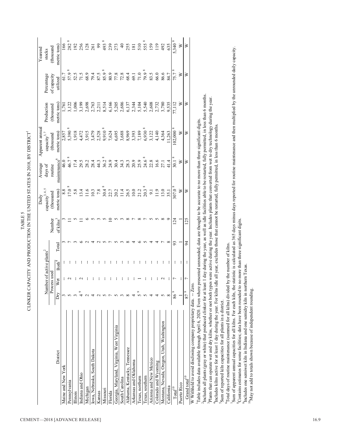| $\Gamma$ and $\Gamma$ and $\Gamma$ and $\Gamma$ and $\Gamma$ and $\Gamma$ and $\Gamma$ and $\Gamma$ and $\Gamma$ and $\Gamma$ and $\Gamma$ and $\Gamma$ and $\Gamma$ and $\Gamma$ and $\Gamma$ and $\Gamma$ and $\Gamma$ and $\Gamma$ and $\Gamma$ and $\Gamma$ and $\Gamma$ and $\Gamma$ and $\Gamma$ and $\Gamma$ and $\Gamma$ |
|----------------------------------------------------------------------------------------------------------------------------------------------------------------------------------------------------------------------------------------------------------------------------------------------------------------------------------|
| ーーミ                                                                                                                                                                                                                                                                                                                              |

|                                                                  |                 |              |                         |       |                       | Daily                                                   | Average                    | Apparent annua                                                                                                        |                         |              | Yearend               |
|------------------------------------------------------------------|-----------------|--------------|-------------------------|-------|-----------------------|---------------------------------------------------------|----------------------------|-----------------------------------------------------------------------------------------------------------------------|-------------------------|--------------|-----------------------|
|                                                                  |                 |              | Number of active plants |       |                       | capacity <sup>3, 4,</sup>                               | days of                    | capacity $\hat{\mathcal{O}}$                                                                                          | Production              | Percentage   | stocks                |
|                                                                  |                 | Process used |                         |       | Number                | (thousand                                               | routine                    | (thousand                                                                                                             | (thousand               | of capacity  | (thousand             |
| District                                                         | Dry             | Wet          | Both <sup>4</sup>       | Total | of kilns <sup>3</sup> | metric tons)                                            | maintenance                | metric tons                                                                                                           | metric tons             | utilized     | metric tons           |
| Maine and New York                                               | 3               |              |                         |       |                       |                                                         | 46.0                       | 2,857                                                                                                                 | 1,761                   |              | $\frac{66}{5}$        |
| Pennsylvania                                                     |                 |              |                         |       |                       | $\begin{smallmatrix} 8.8 \\ 7.0 \\ 8 \end{smallmatrix}$ | 46.7 $^{\circ}$            | $5,390$ $^{\circ}$                                                                                                    | ,122                    | 61.7<br>57.9 | 282                   |
| Illinois                                                         | 3               |              |                         |       |                       | 5.8                                                     | 17.4                       | 1,918                                                                                                                 | 00 <sub>i</sub>         | 52.5         | 192                   |
| Indiana and Ohio                                                 |                 |              |                         |       |                       | 13.4                                                    | 29.5                       | 4,472                                                                                                                 | ,199                    | 71.5         | 256                   |
| Michigan                                                         |                 |              |                         |       |                       | 11.6                                                    | 28.2                       | 3,915                                                                                                                 | 2,698                   | 68.9         | 128                   |
| Iowa, Nebraska, South Dakota                                     |                 |              |                         |       |                       | 10.3                                                    |                            |                                                                                                                       | 2,763                   | 79.4         | 261                   |
| Kansas                                                           |                 |              |                         |       |                       | 7.8                                                     |                            |                                                                                                                       |                         | 87.5         | 99                    |
| Missouri                                                         |                 |              |                         |       |                       | 30.48                                                   |                            |                                                                                                                       |                         |              | 493                   |
| Florida                                                          |                 |              |                         |       |                       | 22.7                                                    |                            |                                                                                                                       | 2,211<br>8,514<br>6,166 | 80.9         | 239                   |
| Georgia, Maryland, Virginia, West Virginia                       |                 |              |                         |       |                       |                                                         | 30.4                       |                                                                                                                       | 5,205                   | 77.8         | 273                   |
| South Carolina                                                   |                 |              |                         |       |                       |                                                         |                            |                                                                                                                       |                         | 72.8         |                       |
| Alabama, Kentucky, Tennessee                                     | $\infty$        |              |                         |       |                       | $20.2$<br>$14.5$<br>$10.0$<br>$10.0$                    | $34.3$<br>$28.3$<br>$20.9$ |                                                                                                                       |                         | 68.4         | 255                   |
| Arkansas and Oklahoma                                            | 4               |              |                         |       |                       |                                                         |                            | $3,479$<br>$2,528$<br>$2,528$<br>$7,624$<br>$6,688$<br>$7,689$<br>$7,689$<br>$7,789$<br>$7,122$<br>$7,122$<br>$7,122$ | 2,686<br>6,137<br>2,344 | 69.1         | $\overline{181}$      |
| Texas, northern                                                  | 5 °             |              |                         |       |                       | $\frac{21.2}{20.3}$                                     | 25.9                       |                                                                                                                       | 5,104                   | 71.0<br>79.9 | 510                   |
| Texas, southern                                                  |                 |              |                         |       |                       |                                                         |                            |                                                                                                                       | 5,540                   |              | 555                   |
| Arizona and New Mexico                                           |                 |              |                         |       |                       | 51                                                      | 22.8                       |                                                                                                                       | 2,608                   | 83.5         | 159                   |
| Colorado and Wyoming                                             |                 |              |                         |       |                       | $\frac{1}{2}$                                           | 16.6                       | 4,140                                                                                                                 | 2,732                   | 66.0         | $\stackrel{\circ}{=}$ |
| Montana, Nevada, Oregon, Utah, Washington                        |                 |              |                         |       |                       | 13.0                                                    | 27.1                       | 4,364                                                                                                                 | 3,780                   | 86.6         | 492                   |
| California                                                       | $\infty$        |              |                         |       |                       | 35.1                                                    | 41.4                       | 11,263                                                                                                                | 9,535                   | 84.7         | 635                   |
| $\mathrm{Total}^{10}$                                            | 86 <sup>9</sup> |              |                         | 93    | 124                   | 307.0 8                                                 | 30.1                       | $102,000$ $\frac{8}{3}$                                                                                               | 77,112                  | 75.7         | 5,340 8               |
| Puerto Rico                                                      |                 |              |                         |       |                       | ≥                                                       | ≥                          | ≽                                                                                                                     | ⋧                       | ⋗            | ⋗                     |
| $\frac{\text{Grand total}}{ }$                                   | $879$           |              |                         | 24    | 125                   | ⋗                                                       | ⋧                          | ≽                                                                                                                     | ≽                       | ⋧            | ≽                     |
| W Withheld to avoid disclosing company proprietary data. -- Zero |                 |              |                         |       |                       |                                                         |                            |                                                                                                                       |                         |              |                       |

W Withheld to avoid disclosing company proprietary data. -- Zero.

1Table includes data available through April 6, 2020. Even where presented unrounded, data are thought to be accurate to no more than three significant digits.

Includes all plants (gray or white) that produced clinker for at least 1 day during the year, as well as idle facilities able to be restarted, fully permitted, in less than 6 months. 2Includes all plants (gray or white) that produced clinker for at least 1 day during the year, as well as idle facilities able to be restarted, fully permitted, in less than 6 months.

Plants that can operate wet and dry kilns, whether or not both types were active during the year. Includes plants that converted from wet to dry technology during the year. 3Plants that can operate wet and dry kilns, whether or not both types were active during the year. Includes plants that converted from wet to dry technology during the year. "Includes kilns active for at least 1 day during the year. For kilns idle all year, excludes those that cannot be restarted, fully permitted, in less than 6 months. 4Includes kilns active for at least 1 day during the year. For kilns idle all year, excludes those that cannot be restarted, fully permitted, in less than 6 months.

Sum of reported kiln capacities for all plants in a district. 5Sum of reported kiln capacities for all plants in a district.

<sup>6</sup>Total days of routine maintenance (summed for all kilns) divided by the number of kilns. 6Total days of routine maintenance (summed for all kilns) divided by the number of kilns.

Sum of apparent annual capacities for all kilns. For each kiln, the statistic is calculated as 365 days minus days reported for routine maintenance and then multiplied by the unrounded daily capacity. 7Sum of apparent annual capacities for all kilns. For each kiln, the statistic is calculated as 365 days minus days reported for routine maintenance and then multiplied by the unrounded daily capacity. <sup>8</sup>Contains estimates for some facilities; data have been rounded to no more than three significant digits. 8Contains estimates for some facilities; data have been rounded to no more than three significant digits.

<sup>9</sup>Includes one semiwet kiln in Indiana and one semidry kiln in northern Texas. 9Includes one semiwet kiln in Indiana and one semidry kiln in northern Texas.

 $^{10}$ May not add to totals shown because of independent rounding.  $^{10}$ May not add to totals shown because of independent rounding.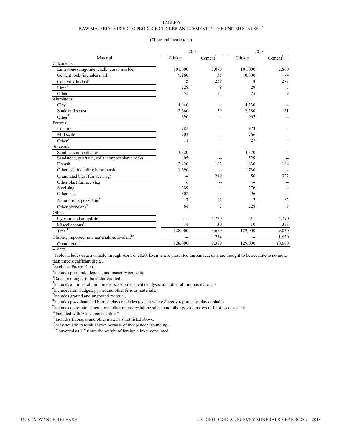### RAW MATERIALS USED TO PRODUCE CLINKER AND CEMENT IN THE UNITED STATES  $^{1,\,2}$

### (Thousand metric tons)

|                                                           | 2017    |                     | 2018    |            |
|-----------------------------------------------------------|---------|---------------------|---------|------------|
| Material                                                  | Clinker | Cement <sup>3</sup> | Clinker | $Cement^3$ |
| Calcareous:                                               |         |                     |         |            |
| Limestone (aragonite, chalk, coral, marble)               | 101,000 | 3,070               | 101,000 | 2,860      |
| Cement rock (includes marl)                               | 9,260   | 35                  | 10,800  | 74         |
| Cement kiln dust <sup>4</sup>                             | 5       | 259                 | 8       | 277        |
| Lime <sup>4</sup>                                         | 228     | 9                   | 29      | 5          |
| Other                                                     | 55      | 14                  | 75      | 9          |
| Aluminous:                                                |         |                     |         |            |
| Clay                                                      | 4,040   |                     | 4,230   |            |
| Shale and schist                                          | 2,660   | 39                  | 2,280   | 61         |
| Other <sup>5</sup>                                        | 690     |                     | 967     |            |
| Ferrous:                                                  |         |                     |         |            |
| Iron ore                                                  | 785     |                     | 973     |            |
| Mill scale                                                | 703     |                     | 766     |            |
| Other <sup>6</sup>                                        | 11      |                     | 27      |            |
| Siliceous:                                                |         |                     |         |            |
| Sand, calcium silicates                                   | 3,220   |                     | 3,370   |            |
| Sandstone, quartzite, soils, nonpozzolanic rocks          | 805     |                     | 529     |            |
| Fly ash                                                   | 2,420   | 163                 | 1,830   | 184        |
| Other ash, including bottom ash                           | 1,690   |                     | 1,730   |            |
| Granulated blast furnace slag <sup>7</sup>                |         | 289                 | 50      | 322        |
| Other blast furnace slag                                  | 6       |                     |         |            |
| Steel slag                                                | 289     |                     | 276     |            |
| Other slag                                                | 302     |                     | 96      |            |
| Natural rock pozzolans <sup>8</sup>                       | 7       | 11                  | 7       | 82         |
| Other pozzolans <sup>9</sup>                              | 64      | $\overline{c}$      | 228     | 3          |
| Other:                                                    |         |                     |         |            |
| Gypsum and anhydrite                                      | (10)    | 4,720               | (10)    | 4,790      |
| $Miscellaneous$ <sup>11</sup>                             | 14      | 30                  | 10      | 353        |
| Total $12$                                                | 128,000 | 8,650               | 129,000 | 9,020      |
| Clinker, imported, raw materials equivalent <sup>13</sup> |         | 734                 |         | 1,630      |
| Grand total $\overline{1^12}$                             | 128,000 | 9,380               | 129,000 | 10,600     |

-- Zero.

<sup>1</sup>Table includes data available through April 6, 2020. Even where presented unrounded, data are thought to be accurate to no more than three significant digits.

<sup>2</sup> Excludes Puerto Rico.

<sup>3</sup>Includes portland, blended, and masonry cements.

<sup>4</sup>Data are thought to be underreported.

<sup>5</sup>Includes alumina, aluminum dross, bauxite, spent catalysts, and other aluminous materials.

<sup>6</sup>Includes iron sludges, pyrite, and other ferrous materials.

<sup>7</sup>Includes ground and unground material.

 ${}^{8}$ Includes pozzolana and burned clays or shales (except where directly reported as clay or shale).

<sup>9</sup>Includes diatomite, silica fume, other microcrystalline silica, and other pozzolans, even if not used as such.

 $\rm^{10}$  Included with "Calcareous: Other."

 $11$ Includes fluorspar and other materials not listed above.

<sup>12</sup>May not add to totals shown because of independent rounding.

<sup>13</sup>Converted as 1.7 times the weight of foreign clinker consumed.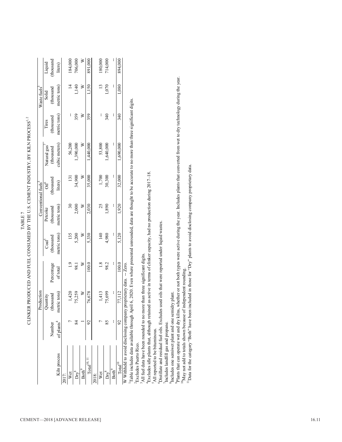|                                                                                                                                                                                                                                |                        | Production  |            |                 |                          | Conventional fuels <sup>3</sup> |               |              | Waste fuels  |          |
|--------------------------------------------------------------------------------------------------------------------------------------------------------------------------------------------------------------------------------|------------------------|-------------|------------|-----------------|--------------------------|---------------------------------|---------------|--------------|--------------|----------|
|                                                                                                                                                                                                                                |                        | uantity     |            | $\text{Coul}^2$ | Petcoke                  | ÖÏ                              | Natural gas   | Tires        | Solid        | Liquid   |
|                                                                                                                                                                                                                                | Number                 | housand     | Percentage | (thousand       | (thousand                | thousano                        | (thousand     | (thousand    | (thousand    | thousand |
| Kiln process                                                                                                                                                                                                                   | of plants <sup>4</sup> | metric tons | of total   | metric tons)    | metric tons)             | liters)                         | cubic meters) | metric tons) | metric tons) | liters)  |
| 2017:                                                                                                                                                                                                                          |                        |             |            |                 |                          |                                 |               |              |              |          |
| Wet                                                                                                                                                                                                                            |                        | 1,420       | 1.9        | 135             | $\overline{\mathbf{30}}$ | 131                             | 56,200        | i            |              | 184,000  |
| $Dry^8$                                                                                                                                                                                                                        |                        | 75,259      | 98.1       | 5,200           | 2,000                    | 34,900                          | ,390,000      | 359          | 1,140        | 706,000  |
| $\mathrm{Both}^9$                                                                                                                                                                                                              |                        | $\geq$      | ≥          | $\geq$          | ≥                        | ≥                               | ⋝             | ≥            | ⋨            | ≥        |
| $Total^{10, 11}$                                                                                                                                                                                                               |                        | 76,678      | 100.0      | 5,330           | 2,030                    | 35,000                          | 1,440,000     | 359          | 1,150        | 891,000  |
| 2018:                                                                                                                                                                                                                          |                        |             |            |                 |                          |                                 |               |              |              |          |
| Wet                                                                                                                                                                                                                            |                        | 1,413       | 1.8        | 140             | 25                       |                                 | 53,800        | I            |              | 180,000  |
| $\overline{\mathsf{Dry}}^*$                                                                                                                                                                                                    |                        | 75,699      | 98.2       | 4,980           | 1,890                    | 1,700<br>30,300                 | 1,640,000     | 340          | 1,070        | 714,000  |
| Both <sup>9</sup>                                                                                                                                                                                                              |                        | I           | ľ          | I               | I                        | ľ                               | I             | I            | I            |          |
| $\cdot$ otal $^{10}$                                                                                                                                                                                                           |                        | 77,112      | 100.0      | 5,120           | 1,920                    | 32,000                          | 1,690,000     | 340          | 1,080        | 894,000  |
| WWW.COMPANY.com and the company of the company of the contract of the contract of the contract of the contract of the contract of the contract of the contract of the contract of the contract of the contract of the contract |                        |             | 7          |                 |                          |                                 |               |              |              |          |

CLINKER PRODUCED AND FUEL CONSUMED BY THE U.S. CEMENT INDUSTRY, BY KILN PROCESS $^{1,2}$ CLINKER PRODUCED AND FUEL CONSUMED BY THE U.S. CEMENT INDUSTRY, BY KILN PROCESS $^{1,2}$ TABLE 7 TABLE 7

W Withheld to avoid disclosing company proprietary data. -- Zero. W Withheld to avoid disclosing company proprietary data. -- Zero.

Table includes data available through April 6, 2020. Even where presented unrounded, data are thought to be accurate to no more than three significant digits.<br>Excludes Puerto Rico. 1Table includes data available through April 6, 2020. Even where presented unrounded, data are thought to be accurate to no more than three significant digits.

Excludes Puerto Rico.

All fuel data have been rounded to no more than three significant digits. <sup>3</sup>All fuel data have been rounded to no more than three significant digits.

Excludes idle plants that, although retained as active in terms of clinker capacity, had no production during 2017-18.  $^4$ Excludes idle plants that, although retained as active in terms of clinker capacity, had no production during 2017–18.

All reported to be bituminous. 5All reported to be bituminous.

'Distillate and residual fuel oils. Excludes used oils that were reported under liquid wastes. 6Distillate and residual fuel oils. Excludes used oils that were reported under liquid wastes.

Includes landfill gas and propane. 7Includes landfill gas and propane.

Includes one semiwet plant and one semidry plant. <sup>8</sup>Includes one semiwet plant and one semidry plant.

Plants that can operate wet and dry kilns, whether or not both types were active during the year. Includes plants that converted from wet to dry technology during the year. 9Plants that can operate wet and dry kilns, whether or not both types were active during the year. Includes plants that converted from wet to dry technology during the year.  $^{10}$ May not add to totals shown because of independent rounding.  $^{10}$ May not add to totals shown because of independent rounding.

<sup>11</sup>Data for the category "Both" have been included in those for "Dry" plants to avoid disclosing company proprietary data. 11Data for the category "Both" have been included in those for "Dry" plants to avoid disclosing company proprietary data.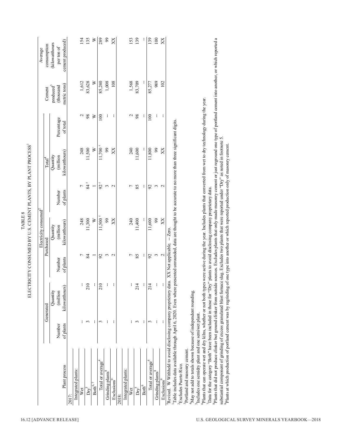| 135<br>139<br>100<br>$\geq$<br>289<br>139<br>154<br>$^{66}$<br>153<br>XX<br>X<br>cement produced)<br>(kilowatthours<br>per ton of<br>83,709<br>83,628<br>≥<br>85,240<br>1,008<br>989<br>1,612<br>108<br>1,568<br>85,277<br>102<br>metric tons)<br>$\boldsymbol{p}$ roduced $\boldsymbol{\delta}$<br>(thousand<br>$98$<br>98<br>100<br>$\sim$<br>$\gtrsim$<br>$100\,$<br>$\mathbf 2$<br>÷<br>ł<br>H<br>Percentage<br>of total<br>$11,700$ <sup>r</sup><br>11,600<br>11,500<br>$99$<br>240<br>11,800<br>$^{99}$<br>248<br>≥<br>XX<br>XX<br>kilowatthours)<br>Quantity<br>(million<br>84 r<br>92 <sup>r</sup><br>$\overline{ }$<br>$\frac{3}{2}$<br>85<br>$\overline{ }$<br>$\mathcal{S}$<br>H<br>$\omega$<br>$\sim$<br>of plants<br>Number<br>11,500 <sup>r</sup><br>11,300<br>$\geq$<br>240<br>11,400<br>248<br>$\mathfrak{g}$<br>11,600<br>$^{99}$<br>XX<br>XX<br>kilowatthours)<br>Quantity<br>(million<br>$-Zero$<br>Purchased<br>85<br>84<br>$\overline{ }$<br>÷<br>Γ<br>$92$<br>$\frac{3}{2}$<br>$\mathcal{S}$<br>$\omega$<br>$\overline{ }$<br>of plants<br>Number<br>$\overline{10}$<br>210<br>$\overline{1}$<br>$\overline{1}$<br>÷<br>ł<br>J.<br>ł.<br>÷<br>ł<br>÷<br>kilowatthours)<br>$\overline{\mathcal{L}}$<br>$\overline{\mathcal{L}}$<br>$\sim$<br>Quantity<br>million<br>Generated<br>$\mathfrak{c}$<br>3<br>$\sim$<br>÷<br>$\epsilon$<br>÷<br>of plants<br>Number |  | Plants that did not produce clinker but ground clinker from outside sources. Excludes plants that only made masonry cement or just reground one type of portland cement into another, or which reported a<br>Plants that can operate wet and dry kilns, whether or not both types were active during the year. Includes plants that converted from wet to dry technology during the year.<br>Table includes data available through April 6, 2020. Even where presented unrounded, data are thought to be accurate to no more than three significant digits.<br>substantial component of grinding of excess granulated blast furnace slag. Excludes two plants that were reported under "Dry" as noted in footnote 5.<br>Plants at which production of portland cement was by regrinding of one type into another or which reported production only of masonry cement.<br>"Data for the category "Both" have been included in those for "Dry" plants to avoid disclosing company proprietary data.<br>'Revised. W Withheld to avoid disclosing company proprietary data. XX Not applicable.<br><sup>4</sup> May not add to totals shown because of independent rounding.<br><sup>5</sup> Includes one semidry plant and one semiwet plant.<br><sup>3</sup> Portland and masonry cement.<br>Total or average <sup>4</sup><br>Total or average <sup>'</sup><br>$^2\mbox{Excludes}$ Puerto Rico.<br>Integrated plants:<br>Integrated plants:<br>Grinding plants <sup>8</sup><br>Grinding plants <sup>8</sup> | Plant process |  | Electricity consumed <sup>2</sup> |                    |        | Average     |
|------------------------------------------------------------------------------------------------------------------------------------------------------------------------------------------------------------------------------------------------------------------------------------------------------------------------------------------------------------------------------------------------------------------------------------------------------------------------------------------------------------------------------------------------------------------------------------------------------------------------------------------------------------------------------------------------------------------------------------------------------------------------------------------------------------------------------------------------------------------------------------------------------------------------------------------------------------------------------------------------------------------------------------------------------------------------------------------------------------------------------------------------------------------------------------------------------------------------------------------------------------------------------------------------------------------------------------------------------------------------------------|--|----------------------------------------------------------------------------------------------------------------------------------------------------------------------------------------------------------------------------------------------------------------------------------------------------------------------------------------------------------------------------------------------------------------------------------------------------------------------------------------------------------------------------------------------------------------------------------------------------------------------------------------------------------------------------------------------------------------------------------------------------------------------------------------------------------------------------------------------------------------------------------------------------------------------------------------------------------------------------------------------------------------------------------------------------------------------------------------------------------------------------------------------------------------------------------------------------------------------------------------------------------------------------------------------------------------------------------------------------------------------------------------------------------------------------------------------------------------------------------------------------------|---------------|--|-----------------------------------|--------------------|--------|-------------|
|                                                                                                                                                                                                                                                                                                                                                                                                                                                                                                                                                                                                                                                                                                                                                                                                                                                                                                                                                                                                                                                                                                                                                                                                                                                                                                                                                                                    |  |                                                                                                                                                                                                                                                                                                                                                                                                                                                                                                                                                                                                                                                                                                                                                                                                                                                                                                                                                                                                                                                                                                                                                                                                                                                                                                                                                                                                                                                                                                          |               |  |                                   | Total <sup>4</sup> | Cement | consumption |
|                                                                                                                                                                                                                                                                                                                                                                                                                                                                                                                                                                                                                                                                                                                                                                                                                                                                                                                                                                                                                                                                                                                                                                                                                                                                                                                                                                                    |  |                                                                                                                                                                                                                                                                                                                                                                                                                                                                                                                                                                                                                                                                                                                                                                                                                                                                                                                                                                                                                                                                                                                                                                                                                                                                                                                                                                                                                                                                                                          |               |  |                                   |                    |        |             |
|                                                                                                                                                                                                                                                                                                                                                                                                                                                                                                                                                                                                                                                                                                                                                                                                                                                                                                                                                                                                                                                                                                                                                                                                                                                                                                                                                                                    |  |                                                                                                                                                                                                                                                                                                                                                                                                                                                                                                                                                                                                                                                                                                                                                                                                                                                                                                                                                                                                                                                                                                                                                                                                                                                                                                                                                                                                                                                                                                          |               |  |                                   |                    |        |             |
|                                                                                                                                                                                                                                                                                                                                                                                                                                                                                                                                                                                                                                                                                                                                                                                                                                                                                                                                                                                                                                                                                                                                                                                                                                                                                                                                                                                    |  |                                                                                                                                                                                                                                                                                                                                                                                                                                                                                                                                                                                                                                                                                                                                                                                                                                                                                                                                                                                                                                                                                                                                                                                                                                                                                                                                                                                                                                                                                                          |               |  |                                   |                    |        |             |
|                                                                                                                                                                                                                                                                                                                                                                                                                                                                                                                                                                                                                                                                                                                                                                                                                                                                                                                                                                                                                                                                                                                                                                                                                                                                                                                                                                                    |  |                                                                                                                                                                                                                                                                                                                                                                                                                                                                                                                                                                                                                                                                                                                                                                                                                                                                                                                                                                                                                                                                                                                                                                                                                                                                                                                                                                                                                                                                                                          |               |  |                                   |                    |        |             |
|                                                                                                                                                                                                                                                                                                                                                                                                                                                                                                                                                                                                                                                                                                                                                                                                                                                                                                                                                                                                                                                                                                                                                                                                                                                                                                                                                                                    |  |                                                                                                                                                                                                                                                                                                                                                                                                                                                                                                                                                                                                                                                                                                                                                                                                                                                                                                                                                                                                                                                                                                                                                                                                                                                                                                                                                                                                                                                                                                          |               |  |                                   |                    |        |             |
|                                                                                                                                                                                                                                                                                                                                                                                                                                                                                                                                                                                                                                                                                                                                                                                                                                                                                                                                                                                                                                                                                                                                                                                                                                                                                                                                                                                    |  |                                                                                                                                                                                                                                                                                                                                                                                                                                                                                                                                                                                                                                                                                                                                                                                                                                                                                                                                                                                                                                                                                                                                                                                                                                                                                                                                                                                                                                                                                                          |               |  |                                   |                    |        |             |
|                                                                                                                                                                                                                                                                                                                                                                                                                                                                                                                                                                                                                                                                                                                                                                                                                                                                                                                                                                                                                                                                                                                                                                                                                                                                                                                                                                                    |  |                                                                                                                                                                                                                                                                                                                                                                                                                                                                                                                                                                                                                                                                                                                                                                                                                                                                                                                                                                                                                                                                                                                                                                                                                                                                                                                                                                                                                                                                                                          |               |  |                                   |                    |        |             |
|                                                                                                                                                                                                                                                                                                                                                                                                                                                                                                                                                                                                                                                                                                                                                                                                                                                                                                                                                                                                                                                                                                                                                                                                                                                                                                                                                                                    |  |                                                                                                                                                                                                                                                                                                                                                                                                                                                                                                                                                                                                                                                                                                                                                                                                                                                                                                                                                                                                                                                                                                                                                                                                                                                                                                                                                                                                                                                                                                          |               |  |                                   |                    |        |             |
|                                                                                                                                                                                                                                                                                                                                                                                                                                                                                                                                                                                                                                                                                                                                                                                                                                                                                                                                                                                                                                                                                                                                                                                                                                                                                                                                                                                    |  |                                                                                                                                                                                                                                                                                                                                                                                                                                                                                                                                                                                                                                                                                                                                                                                                                                                                                                                                                                                                                                                                                                                                                                                                                                                                                                                                                                                                                                                                                                          |               |  |                                   |                    |        |             |
|                                                                                                                                                                                                                                                                                                                                                                                                                                                                                                                                                                                                                                                                                                                                                                                                                                                                                                                                                                                                                                                                                                                                                                                                                                                                                                                                                                                    |  |                                                                                                                                                                                                                                                                                                                                                                                                                                                                                                                                                                                                                                                                                                                                                                                                                                                                                                                                                                                                                                                                                                                                                                                                                                                                                                                                                                                                                                                                                                          |               |  |                                   |                    |        |             |
|                                                                                                                                                                                                                                                                                                                                                                                                                                                                                                                                                                                                                                                                                                                                                                                                                                                                                                                                                                                                                                                                                                                                                                                                                                                                                                                                                                                    |  |                                                                                                                                                                                                                                                                                                                                                                                                                                                                                                                                                                                                                                                                                                                                                                                                                                                                                                                                                                                                                                                                                                                                                                                                                                                                                                                                                                                                                                                                                                          |               |  |                                   |                    |        |             |
|                                                                                                                                                                                                                                                                                                                                                                                                                                                                                                                                                                                                                                                                                                                                                                                                                                                                                                                                                                                                                                                                                                                                                                                                                                                                                                                                                                                    |  |                                                                                                                                                                                                                                                                                                                                                                                                                                                                                                                                                                                                                                                                                                                                                                                                                                                                                                                                                                                                                                                                                                                                                                                                                                                                                                                                                                                                                                                                                                          |               |  |                                   |                    |        |             |
|                                                                                                                                                                                                                                                                                                                                                                                                                                                                                                                                                                                                                                                                                                                                                                                                                                                                                                                                                                                                                                                                                                                                                                                                                                                                                                                                                                                    |  |                                                                                                                                                                                                                                                                                                                                                                                                                                                                                                                                                                                                                                                                                                                                                                                                                                                                                                                                                                                                                                                                                                                                                                                                                                                                                                                                                                                                                                                                                                          |               |  |                                   |                    |        |             |
|                                                                                                                                                                                                                                                                                                                                                                                                                                                                                                                                                                                                                                                                                                                                                                                                                                                                                                                                                                                                                                                                                                                                                                                                                                                                                                                                                                                    |  |                                                                                                                                                                                                                                                                                                                                                                                                                                                                                                                                                                                                                                                                                                                                                                                                                                                                                                                                                                                                                                                                                                                                                                                                                                                                                                                                                                                                                                                                                                          |               |  |                                   |                    |        |             |
|                                                                                                                                                                                                                                                                                                                                                                                                                                                                                                                                                                                                                                                                                                                                                                                                                                                                                                                                                                                                                                                                                                                                                                                                                                                                                                                                                                                    |  |                                                                                                                                                                                                                                                                                                                                                                                                                                                                                                                                                                                                                                                                                                                                                                                                                                                                                                                                                                                                                                                                                                                                                                                                                                                                                                                                                                                                                                                                                                          |               |  |                                   |                    |        |             |
|                                                                                                                                                                                                                                                                                                                                                                                                                                                                                                                                                                                                                                                                                                                                                                                                                                                                                                                                                                                                                                                                                                                                                                                                                                                                                                                                                                                    |  |                                                                                                                                                                                                                                                                                                                                                                                                                                                                                                                                                                                                                                                                                                                                                                                                                                                                                                                                                                                                                                                                                                                                                                                                                                                                                                                                                                                                                                                                                                          |               |  |                                   |                    |        |             |
|                                                                                                                                                                                                                                                                                                                                                                                                                                                                                                                                                                                                                                                                                                                                                                                                                                                                                                                                                                                                                                                                                                                                                                                                                                                                                                                                                                                    |  |                                                                                                                                                                                                                                                                                                                                                                                                                                                                                                                                                                                                                                                                                                                                                                                                                                                                                                                                                                                                                                                                                                                                                                                                                                                                                                                                                                                                                                                                                                          |               |  |                                   |                    |        |             |
|                                                                                                                                                                                                                                                                                                                                                                                                                                                                                                                                                                                                                                                                                                                                                                                                                                                                                                                                                                                                                                                                                                                                                                                                                                                                                                                                                                                    |  |                                                                                                                                                                                                                                                                                                                                                                                                                                                                                                                                                                                                                                                                                                                                                                                                                                                                                                                                                                                                                                                                                                                                                                                                                                                                                                                                                                                                                                                                                                          |               |  |                                   |                    |        |             |
|                                                                                                                                                                                                                                                                                                                                                                                                                                                                                                                                                                                                                                                                                                                                                                                                                                                                                                                                                                                                                                                                                                                                                                                                                                                                                                                                                                                    |  |                                                                                                                                                                                                                                                                                                                                                                                                                                                                                                                                                                                                                                                                                                                                                                                                                                                                                                                                                                                                                                                                                                                                                                                                                                                                                                                                                                                                                                                                                                          |               |  |                                   |                    |        |             |
|                                                                                                                                                                                                                                                                                                                                                                                                                                                                                                                                                                                                                                                                                                                                                                                                                                                                                                                                                                                                                                                                                                                                                                                                                                                                                                                                                                                    |  |                                                                                                                                                                                                                                                                                                                                                                                                                                                                                                                                                                                                                                                                                                                                                                                                                                                                                                                                                                                                                                                                                                                                                                                                                                                                                                                                                                                                                                                                                                          |               |  |                                   |                    |        |             |
|                                                                                                                                                                                                                                                                                                                                                                                                                                                                                                                                                                                                                                                                                                                                                                                                                                                                                                                                                                                                                                                                                                                                                                                                                                                                                                                                                                                    |  |                                                                                                                                                                                                                                                                                                                                                                                                                                                                                                                                                                                                                                                                                                                                                                                                                                                                                                                                                                                                                                                                                                                                                                                                                                                                                                                                                                                                                                                                                                          |               |  |                                   |                    |        |             |
|                                                                                                                                                                                                                                                                                                                                                                                                                                                                                                                                                                                                                                                                                                                                                                                                                                                                                                                                                                                                                                                                                                                                                                                                                                                                                                                                                                                    |  |                                                                                                                                                                                                                                                                                                                                                                                                                                                                                                                                                                                                                                                                                                                                                                                                                                                                                                                                                                                                                                                                                                                                                                                                                                                                                                                                                                                                                                                                                                          |               |  |                                   |                    |        |             |
|                                                                                                                                                                                                                                                                                                                                                                                                                                                                                                                                                                                                                                                                                                                                                                                                                                                                                                                                                                                                                                                                                                                                                                                                                                                                                                                                                                                    |  |                                                                                                                                                                                                                                                                                                                                                                                                                                                                                                                                                                                                                                                                                                                                                                                                                                                                                                                                                                                                                                                                                                                                                                                                                                                                                                                                                                                                                                                                                                          |               |  |                                   |                    |        |             |
|                                                                                                                                                                                                                                                                                                                                                                                                                                                                                                                                                                                                                                                                                                                                                                                                                                                                                                                                                                                                                                                                                                                                                                                                                                                                                                                                                                                    |  |                                                                                                                                                                                                                                                                                                                                                                                                                                                                                                                                                                                                                                                                                                                                                                                                                                                                                                                                                                                                                                                                                                                                                                                                                                                                                                                                                                                                                                                                                                          |               |  |                                   |                    |        |             |
|                                                                                                                                                                                                                                                                                                                                                                                                                                                                                                                                                                                                                                                                                                                                                                                                                                                                                                                                                                                                                                                                                                                                                                                                                                                                                                                                                                                    |  |                                                                                                                                                                                                                                                                                                                                                                                                                                                                                                                                                                                                                                                                                                                                                                                                                                                                                                                                                                                                                                                                                                                                                                                                                                                                                                                                                                                                                                                                                                          |               |  |                                   |                    |        |             |
|                                                                                                                                                                                                                                                                                                                                                                                                                                                                                                                                                                                                                                                                                                                                                                                                                                                                                                                                                                                                                                                                                                                                                                                                                                                                                                                                                                                    |  |                                                                                                                                                                                                                                                                                                                                                                                                                                                                                                                                                                                                                                                                                                                                                                                                                                                                                                                                                                                                                                                                                                                                                                                                                                                                                                                                                                                                                                                                                                          |               |  |                                   |                    |        |             |
|                                                                                                                                                                                                                                                                                                                                                                                                                                                                                                                                                                                                                                                                                                                                                                                                                                                                                                                                                                                                                                                                                                                                                                                                                                                                                                                                                                                    |  |                                                                                                                                                                                                                                                                                                                                                                                                                                                                                                                                                                                                                                                                                                                                                                                                                                                                                                                                                                                                                                                                                                                                                                                                                                                                                                                                                                                                                                                                                                          |               |  |                                   |                    |        |             |
|                                                                                                                                                                                                                                                                                                                                                                                                                                                                                                                                                                                                                                                                                                                                                                                                                                                                                                                                                                                                                                                                                                                                                                                                                                                                                                                                                                                    |  |                                                                                                                                                                                                                                                                                                                                                                                                                                                                                                                                                                                                                                                                                                                                                                                                                                                                                                                                                                                                                                                                                                                                                                                                                                                                                                                                                                                                                                                                                                          |               |  |                                   |                    |        |             |
|                                                                                                                                                                                                                                                                                                                                                                                                                                                                                                                                                                                                                                                                                                                                                                                                                                                                                                                                                                                                                                                                                                                                                                                                                                                                                                                                                                                    |  |                                                                                                                                                                                                                                                                                                                                                                                                                                                                                                                                                                                                                                                                                                                                                                                                                                                                                                                                                                                                                                                                                                                                                                                                                                                                                                                                                                                                                                                                                                          |               |  |                                   |                    |        |             |
|                                                                                                                                                                                                                                                                                                                                                                                                                                                                                                                                                                                                                                                                                                                                                                                                                                                                                                                                                                                                                                                                                                                                                                                                                                                                                                                                                                                    |  |                                                                                                                                                                                                                                                                                                                                                                                                                                                                                                                                                                                                                                                                                                                                                                                                                                                                                                                                                                                                                                                                                                                                                                                                                                                                                                                                                                                                                                                                                                          |               |  |                                   |                    |        |             |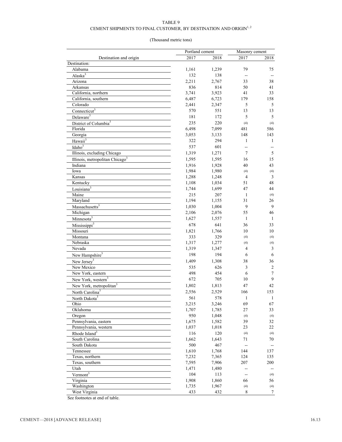### CEMENT SHIPMENTS TO FINAL CUSTOMER, BY DESTINATION AND ORIGIN $^{\mathrm{l},\mathrm{2}}$

### (Thousand metric tons)

|                                             | Portland cement |       | Masonry cement |                          |
|---------------------------------------------|-----------------|-------|----------------|--------------------------|
| Destination and origin                      | 2017            | 2018  | 2017           | 2018                     |
| Destination:                                |                 |       |                |                          |
| Alabama                                     | 1,161           | 1,239 | 79             | 75                       |
| Alaska <sup>3</sup>                         | 132             | 138   | $\sim$         | $\overline{\phantom{a}}$ |
| Arizona                                     | 2,211           | 2,767 | 33             | 38                       |
| Arkansas                                    | 836             | 814   | 50             | 41                       |
| California, northern                        | 3,741           | 3,923 | 41             | 33                       |
| California, southern                        | 6,487           | 6,723 | 179            | 158                      |
| Colorado                                    | 2,441           | 2,347 | 5              | 5                        |
| $Connecticut$ <sup>3</sup>                  | 570             | 551   | 13             | 13                       |
| Delaware <sup>3</sup>                       | 181             | 172   | 5              | $\mathfrak s$            |
| District of Columbia <sup>3</sup>           | 235             | 220   | (4)            | (4)                      |
| Florida                                     | 6,498           | 7,099 | 481            | 586                      |
| Georgia                                     | 3,053           | 3,133 | 148            | 143                      |
|                                             | 322             | 294   | 1              | $\mathbf{1}$             |
| Hawaii <sup>3</sup>                         |                 |       |                |                          |
| Idaho <sup>3</sup>                          | 537             | 601   | --             | --                       |
| Illinois, excluding Chicago                 | 1,319           | 1,271 | $\overline{7}$ | 5                        |
| Illinois, metropolitan Chicago <sup>3</sup> | 1,595           | 1,595 | 16             | 15                       |
| Indiana                                     | 1,916           | 1,928 | 40             | 43                       |
| Iowa                                        | 1,984           | 1,980 | (4)            | (4)                      |
| Kansas                                      | 1,288           | 1,248 | $\overline{4}$ | $\mathfrak{Z}$           |
| Kentucky                                    | 1,108           | 1,034 | 51             | 48                       |
| Louisiana <sup>3</sup>                      | 1,744           | 1,699 | 47             | 44                       |
| Maine                                       | 215             | 207   | $\mathbf{1}$   | (4)                      |
| Maryland                                    | 1,194           | 1,155 | 31             | 26                       |
| Massachusetts <sup>3</sup>                  | 1,030           | 1,004 | 9              | 9                        |
| Michigan                                    | 2,106           | 2,076 | 55             | 46                       |
| Minnesota <sup>3</sup>                      | 1,627           | 1,557 | $\mathbf{1}$   | 1                        |
| Mississippi <sup>3</sup>                    | 678             | 641   | 36             | 33                       |
| Missouri                                    | 1,821           | 1,766 | 10             | 10                       |
| Montana                                     | 333             | 329   | (4)            | (4)                      |
| Nebraska                                    | 1,317           | 1,277 | (4)            | (4)                      |
| Nevada                                      | 1,319           | 1,347 | 4              | $\mathfrak{Z}$           |
| New Hampshire <sup>3</sup>                  | 198             | 194   | 6              | 6                        |
| New Jersey <sup>3</sup>                     | 1,409           | 1,308 | 38             | 36                       |
| New Mexico                                  | 535             | 626   | 3              | $\sqrt{2}$               |
| New York, eastern                           | 498             | 454   | 6              | $\tau$                   |
|                                             |                 |       |                | 9                        |
| New York, western <sup>3</sup>              | 672             | 705   | 10             |                          |
| New York, metropolitan <sup>3</sup>         | 1,802           | 1,813 | 47             | 42                       |
| North Carolina <sup>3</sup>                 | 2,556           | 2,529 | 166            | 153                      |
| North Dakota <sup>3</sup>                   | 561             | 578   | $\overline{1}$ | $\mathbf{1}$             |
| Ohio                                        | 3,215           | 3,246 | 69             | 67                       |
| Oklahoma                                    | 1,707           | 1,785 | 27             | 33                       |
| Oregon                                      | 950             | 1,048 | (4)            | (4)                      |
| Pennsylvania, eastern                       | 1,675           | 1,582 | 39             | 32                       |
| Pennsylvania, western                       | 1,037           | 1,018 | 23             | 22                       |
| Rhode Island <sup>3</sup>                   | 116             | 120   | (4)            | (4)                      |
| South Carolina                              | 1,662           | 1,643 | 71             | 70                       |
| South Dakota                                | 500             | 467   | $\overline{a}$ |                          |
| Tennessee                                   | 1,610           | 1,768 | 144            | 137                      |
| Texas, northern                             | 7,232           | 7,365 | 124            | 135                      |
| Texas, southern                             | 7,595           | 7,906 | 207            | 200                      |
| Utah                                        | 1,471           | 1,480 | $\overline{a}$ |                          |
| Vermont <sup>3</sup>                        | 104             | 113   | $\overline{a}$ | (4)                      |
| Virginia                                    | 1,908           | 1,860 | 66             | 56                       |
| Washington                                  | 1,735           | 1,967 | (4)            | (4)                      |
| West Virginia                               | 433             | 432   | $\,$ $\,$      | $\tau$                   |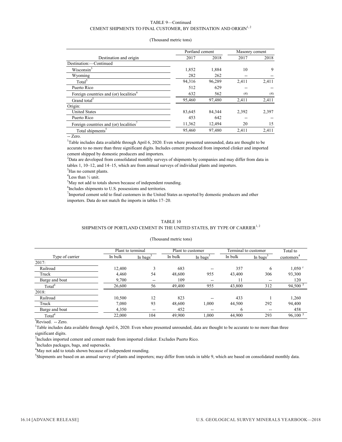### TABLE 9—Continued CEMENT SHIPMENTS TO FINAL CUSTOMER, BY DESTINATION AND ORIGIN $^{1,\,2}$

|        |        | Masonry cement  |       |
|--------|--------|-----------------|-------|
| 2017   | 2018   | 2017            | 2018  |
|        |        |                 |       |
| 1,852  | 1,884  | 10              | 9     |
| 282    | 262    | --              |       |
| 94,316 | 96,289 | 2.411           | 2,411 |
| 512    | 629    | --              |       |
| 632    | 562    | (4)             | (4)   |
| 95,460 | 97,480 | 2,411           | 2,411 |
|        |        |                 |       |
| 83,645 | 84,344 | 2.392           | 2,397 |
| 453    | 642    | --              |       |
| 11,362 | 12,494 | 20              | 15    |
| 95,460 | 97,480 | 2,411           | 2,411 |
|        |        | Portland cement |       |

### (Thousand metric tons)

-- Zero.

<sup>1</sup>Table includes data available through April 6, 2020. Even where presented unrounded, data are thought to be accurate to no more than three significant digits. Includes cement produced from imported clinker and imported cement shipped by domestic producers and importers.

2 Data are developed from consolidated monthly surveys of shipments by companies and may differ from data in tables 1, 10–12, and 14–15, which are from annual surveys of individual plants and importers.

<sup>3</sup>Has no cement plants.

 ${}^{4}$ Less than  $\frac{1}{2}$  unit.

<sup>5</sup>May not add to totals shown because of independent rounding.

<sup>6</sup>Includes shipments to U.S. possessions and territories.

 $7$ Imported cement sold to final customers in the United States as reported by domestic producers and other importers. Data do not match the imports in tables 17–20.

### TABLE 10 SHIPMENTS OF PORTLAND CEMENT IN THE UNITED STATES, BY TYPE OF CARRIER<sup>1,2</sup>

### (Thousand metric tons)

|                    | Plant to terminal |                                         | Plant to customer |                      | Terminal to customer |                          | Total to               |
|--------------------|-------------------|-----------------------------------------|-------------------|----------------------|----------------------|--------------------------|------------------------|
| Type of carrier    | In bulk           | In bags <sup><math>\degree</math></sup> | In bulk           | In bags <sup>2</sup> | In bulk              | In bags <sup>3</sup>     | customers <sup>®</sup> |
| 2017:              |                   |                                         |                   |                      |                      |                          |                        |
| Railroad           | 12.400            | 3                                       | 683               | $- -$                | 357                  | 6                        | $1,050$ <sup>r</sup>   |
| Truck              | 4,460             | 54                                      | 48,600            | 955                  | 43,400               | 306                      | 93,300                 |
| Barge and boat     | 9,700             | $\hspace{0.05cm}$ – $\hspace{0.05cm}$   | 109               | $- -$                | 11                   | $\overline{\phantom{a}}$ | 120                    |
| Total              | 26,600            | 56                                      | 49,400            | 955                  | 43,800               | 312                      | 94,500 5               |
| 2018:              |                   |                                         |                   |                      |                      |                          |                        |
| Railroad           | 10,500            | 12                                      | 823               | $- -$                | 433                  |                          | 1,260                  |
| Truck              | 7,080             | 93                                      | 48,600            | 1.000                | 44,500               | 292                      | 94,400                 |
| Barge and boat     | 4,350             | $- -$                                   | 452               | $- -$                | O                    | --                       | 458                    |
| Total <sup>4</sup> | 22,000            | 104                                     | 49,900            | 1.000                | 44,900               | 293                      | 96,100 <sup>5</sup>    |

<sup>r</sup>Revised. -- Zero.

<sup>1</sup>Table includes data available through April 6, 2020. Even where presented unrounded, data are thought to be accurate to no more than three significant digits.

 $2$ Includes imported cement and cement made from imported clinker. Excludes Puerto Rico.

<sup>3</sup> Includes packages, bags, and supersacks.

<sup>4</sup>May not add to totals shown because of independent rounding.

5 Shipments are based on an annual survey of plants and importers; may differ from totals in table 9, which are based on consolidated monthly data.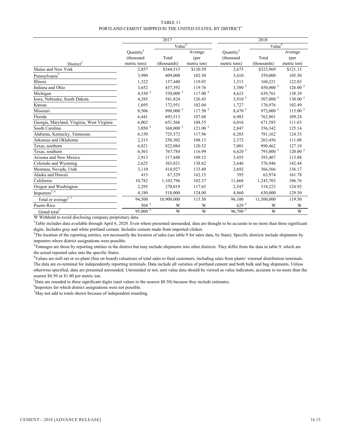### TABLE 11 PORTLAND CEMENT SHIPPED IN THE UNITED STATES, BY DISTRICT $^{\mathrm{1}}$

|                                                         | 2017                  |             |                       |                      | 2018               |                     |  |  |
|---------------------------------------------------------|-----------------------|-------------|-----------------------|----------------------|--------------------|---------------------|--|--|
|                                                         | Value <sup>4</sup>    |             |                       |                      | Value <sup>4</sup> |                     |  |  |
|                                                         | Quantity <sup>3</sup> |             | Average               | Quantity             |                    | Average             |  |  |
|                                                         | (thousand             | Total       | (per                  | (thousand            | Total              | (per                |  |  |
| District <sup>2</sup>                                   | metric tons)          | (thousands) | metric ton)           | metric tons)         | (thousands)        | metric ton)         |  |  |
| Maine and New York                                      | 2,857                 | \$344,513   | \$120.59              | 2,675                | \$323,969          | \$121.13            |  |  |
| Pennsylvania <sup>5</sup>                               | 3,990                 | 409,000     | 102.50                | 3,410                | 359,000            | 105.50              |  |  |
| Illinois                                                | 1,322                 | 157,440     | 119.05                | 1,313                | 160,221            | 122.03              |  |  |
| Indiana and Ohio                                        | 3,652                 | 437,392     | 119.76                | 3,580 <sup>5</sup>   | 450,000 5          | 126.00 <sup>5</sup> |  |  |
| Michigan                                                | 4,530 $5$             | 530,000 5   | 117.00 <sup>5</sup>   | 4,623                | 639,761            | 138.39              |  |  |
| Iowa, Nebraska, South Dakota                            | 4,285                 | 541,824     | 126.45                | 3,910 <sup>5</sup>   | 507,000 5          | 130.00 5            |  |  |
| Kansas                                                  | 1,695                 | 172,951     | 102.04                | 1,727                | 176,976            | 102.49              |  |  |
| Missouri                                                | 8,506                 | 998,000 5   | $117.50$ <sup>5</sup> | 8,470 5              | 972,000 5          | 115.00 <sup>5</sup> |  |  |
| Florida                                                 | 6,441                 | 693,513     | 107.68                | 6,983                | 762,801            | 109.24              |  |  |
| Georgia, Maryland, Virginia, West Virginia              | 6,002                 | 651,566     | 108.55                | 6,016                | 671,585            | 111.63              |  |  |
| South Carolina                                          | 3,050 <sup>5</sup>    | $368,000^5$ | 121.00 <sup>5</sup>   | 2,847                | 356,342            | 125.14              |  |  |
| Alabama, Kentucky, Tennessee                            | 6,150                 | 725,372     | 117.96                | 6,283                | 781,162            | 124.33              |  |  |
| Arkansas and Oklahoma                                   | 2,315                 | 250,302     | 108.13                | 2,372                | 263,456            | 111.08              |  |  |
| Texas, northern                                         | 6,821                 | 822,084     | 120.52                | 7,001                | 890,462            | 127.19              |  |  |
| Texas, southern                                         | 6,563                 | 767,784     | 116.99                | 6,620 <sup>5</sup>   | 793,000 5          | 120.00 <sup>5</sup> |  |  |
| Arizona and New Mexico                                  | 2,913                 | 317,848     | 109.12                | 3,455                | 393,407            | 113.88              |  |  |
| Colorado and Wyoming                                    | 2,625                 | 363,821     | 138.62                | 2,646                | 376,946            | 142.44              |  |  |
| Montana, Nevada, Utah                                   | 3,110                 | 414,927     | 133.40                | 2,692                | 366,566            | 136.17              |  |  |
| Alaska and Hawaii                                       | 415                   | 67,329      | 162.15                | 395                  | 63,974             | 161.78              |  |  |
| California                                              | 10,782                | 1,103,796   | 102.37                | 11,668               | 1,245,703          | 106.76              |  |  |
| Oregon and Washington                                   | 2,295                 | 270,019     | 117.65                | 2,547                | 318,223            | 124.92              |  |  |
| $Importers^{5, 6}$                                      | 4,180                 | 518,000     | 124.00                | 4,860                | 630,000            | 129.50              |  |  |
| Total or average <sup>5, <math>\frac{7}{7}</math></sup> | 94,500                | 10,900,000  | 115.50                | 96,100               | 11,500,000         | 119.50              |  |  |
| Puerto Rico                                             | $504$ <sup>5</sup>    | W           | W                     | 629 <sup>5</sup>     | W                  | W                   |  |  |
| Grand total <sup>7</sup>                                | $95,000\overline{5}$  | W           | W                     | $96,700\overline{5}$ | W                  | W                   |  |  |

W Withheld to avoid disclosing company proprietary data.

<sup>1</sup>Table includes data available through April 6, 2020. Even where presented unrounded, data are thought to be accurate to no more than three significant digits. Includes gray and white portland cement. Includes cement made from imported clinker.

<sup>2</sup>The location of the reporting entities, not necessarily the location of sales (see table 9 for sales data, by State). Specific districts include shipments by importers where district assignations were possible.

<sup>3</sup>Tonnages are those by reporting entities in the district but may include shipments into other districts. They differ from the data in table 9, which are the actual reported sales into the specific States.

4 Values are mill net or ex-plant (free on board) valuations of total sales to final customers, including sales from plants' external distribution terminals. The data are ex-terminal for independently reporting terminals. Data include all varieties of portland cement and both bulk and bag shipments. Unless otherwise specified, data are presented unrounded. Unrounded or not, unit value data should be viewed as value indicators, accurate to no more than the nearest \$0.50 or \$1.00 per metric ton.

 $5$ Data are rounded to three significant digits (unit values to the nearest \$0.50) because they include estimates.

<sup>6</sup>Importers for which district assignations were not possible.

 $\sqrt{7}$ May not add to totals shown because of independent rounding.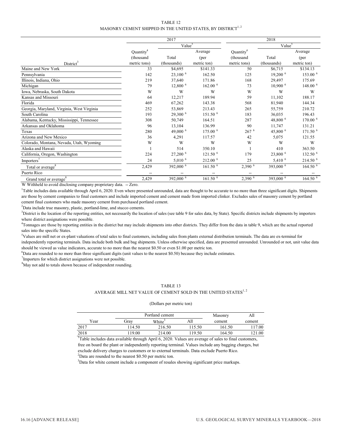### TABLE 12 MASONRY CEMENT SHIPPED IN THE UNITED STATES, BY DISTRICT<sup>1, 2</sup>

|                                                 |                                   | 2017                  |                     |                      | 2018                  |                     |  |  |
|-------------------------------------------------|-----------------------------------|-----------------------|---------------------|----------------------|-----------------------|---------------------|--|--|
|                                                 |                                   | Value <sup>5</sup>    |                     |                      | Value <sup>5</sup>    |                     |  |  |
|                                                 | Quantity <sup>4</sup>             |                       | Average             | Quantity             |                       | Average             |  |  |
|                                                 | (thousand                         | Total                 | (per                | (thousand            | Total                 | (per)               |  |  |
| District <sup>3</sup>                           | metric tons)                      | (thousands)           | metric ton)         | metric tons)         | (thousands)           | metric ton)         |  |  |
| Maine and New York                              | 33                                | \$4,695               | \$141.33            | 50                   | \$6,715               | \$134.13            |  |  |
| Pennsylvania                                    | 142                               | $23,100^{6}$          | 162.50              | 125                  | $19,200$ <sup>6</sup> | 153.00 $^6$         |  |  |
| Illinois, Indiana, Ohio                         | 219                               | 37,640                | 171.86              | 168                  | 29,497                | 175.69              |  |  |
| Michigan                                        | 79                                | $12,800$ <sup>6</sup> | 162.00 <sup>6</sup> | 73                   | $10,900$ <sup>6</sup> | 148.00 6            |  |  |
| Iowa, Nebraska, South Dakota                    | W                                 | W                     | W                   | W                    | W                     | W                   |  |  |
| Kansas and Missouri                             | 64                                | 12,217                | 189.94              | 59                   | 11,102                | 188.17              |  |  |
| Florida                                         | 469                               | 67,262                | 143.38              | 568                  | 81,940                | 144.34              |  |  |
| Georgia, Maryland, Virginia, West Virginia      | 252                               | 53,869                | 213.43              | 265                  | 55,759                | 210.72              |  |  |
| South Carolina                                  | 193                               | 29,300 <sup>6</sup>   | 151.50 6            | 183                  | 36,035                | 196.43              |  |  |
| Alabama, Kentucky, Mississippi, Tennessee       | 308                               | 50,749                | 164.51              | 287                  | 48,800 $^6$           | 170.00 <sup>6</sup> |  |  |
| Arkansas and Oklahoma                           | 96                                | 13,104                | 136.99              | 90                   | 11,747                | 131.21              |  |  |
| Texas                                           | 280                               | 49,000 6              | 175.00 $^6$         | 267 <sup>6</sup>     | 45,800 $^6$           | 171.50 <sup>6</sup> |  |  |
| Arizona and New Mexico                          | 36                                | 4,291                 | 117.57              | 42                   | 5,075                 | 121.55              |  |  |
| Colorado, Montana, Nevada, Utah, Wyoming        | W                                 | W                     | W                   | W                    | W                     | W                   |  |  |
| Alaska and Hawaii                               |                                   | 514                   | 350.10              |                      | 410                   | 363.50              |  |  |
| California, Oregon, Washington                  | 224                               | 27,200 6              | 121.50 <sup>6</sup> | 179                  | 23,800 6              | 132.50 $^6$         |  |  |
| $\mbox{Importers}^7$                            | 24                                | $5,010^{-6}$          | 212.00 6            | 25                   | $5,410^{6}$           | 214.50 6            |  |  |
| Total or average <sup>8</sup>                   | 2,429                             | 392,000 6             | 161.50 <sup>6</sup> | $2,390$ <sup>6</sup> | 393,000 6             | 164.50 <sup>6</sup> |  |  |
| Puerto Rico                                     |                                   |                       |                     |                      |                       |                     |  |  |
| Grand total or average <sup>8</sup><br>$\cdots$ | 2,429<br>$\overline{\phantom{a}}$ | 392,000 6             | 161.50 <sup>6</sup> | $2,390$ <sup>6</sup> | 393,000 6             | 164.50 <sup>6</sup> |  |  |

W Withheld to avoid disclosing company proprietary data. -- Zero.

<sup>1</sup>Table includes data available through April 6, 2020. Even where presented unrounded, data are thought to be accurate to no more than three significant digits. Shipments are those by cement companies to final customers and include imported cement and cement made from imported clinker. Excludes sales of masonry cement by portland cement final customers who made masonry cement from purchased portland cement.

 $2$ Data include true masonry, plastic, portland-lime, and stucco cements.

<sup>3</sup>District is the location of the reporting entities, not necessarily the location of sales (see table 9 for sales data, by State). Specific districts include shipments by importers where district assignations were possible.

<sup>4</sup>Tonnages are those by reporting entities in the district but may include shipments into other districts. They differ from the data in table 9, which are the actual reported sales into the specific States.

 $5$ Values are mill net or ex-plant valuations of total sales to final customers, including sales from plants external distribution terminals. The data are ex-terminal for independently reporting terminals. Data include both bulk and bag shipments. Unless otherwise specified, data are presented unrounded. Unrounded or not, unit value data should be viewed as value indicators, accurate to no more than the nearest \$0.50 or even \$1.00 per metric ton.

6 Data are rounded to no more than three significant digits (unit values to the nearest \$0.50) because they include estimates.

 $7$ Importers for which district assignations were not possible.

<sup>8</sup>May not add to totals shown because of independent rounding.

### TABLE 13

### AVERAGE MILL NET VALUE OF CEMENT SOLD IN THE UNITED STATES  $^{1,\,2}$

### (Dollars per metric ton)

|      |        | Portland cement    |        | Masonry | All    |
|------|--------|--------------------|--------|---------|--------|
| Year | Gray   | White <sup>3</sup> | A11    | cement  | cement |
| 2017 | 114.50 | 216.50             | 115.50 | 161.50  | 117.00 |
| 2018 | 19.00  | 214.00             | 119.50 | 164.50  | 121.00 |

<sup>1</sup>Table includes data available through April 6, 2020. Values are average of sales to final customers, free on board the plant or independently reporting terminal. Values include any bagging charges, but exclude delivery charges to customers or to external terminals. Data exclude Puerto Rico.  $2$ Data are rounded to the nearest \$0.50 per metric ton.

 $3$ Data for white cement include a component of resales showing significant price markups.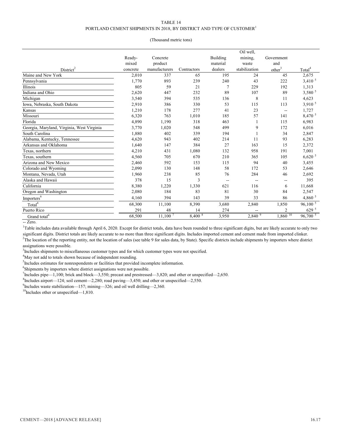### TABLE 14 PORTLAND CEMENT SHIPMENTS IN 2018, BY DISTRICT AND TYPE OF CUSTOMER<sup>1</sup>

### (Thousand metric tons)

|                                            |          |               |                    |                | Oil well.     |                          |                      |
|--------------------------------------------|----------|---------------|--------------------|----------------|---------------|--------------------------|----------------------|
|                                            | Ready-   | Concrete      |                    | Building       | mining,       | Government               |                      |
|                                            | mixed    | product       |                    | material       | waste         | and                      |                      |
| District <sup>2</sup>                      | concrete | manufacturers | Contractors        | dealers        | stabilization | other <sup>3</sup>       | Total <sup>4</sup>   |
| Maine and New York                         | 2,010    | 337           | 65                 | 195            | 24            | 45                       | 2,675                |
| Pennsylvania                               | 1,770    | 893           | 239                | 240            | 43            | 222                      | $3,410^{5}$          |
| Illinois                                   | 805      | 59            | 21                 | $\overline{7}$ | 229           | 192                      | 1,313                |
| Indiana and Ohio                           | 2,620    | 447           | 232                | 89             | 107           | 89                       | 3,580 5              |
| Michigan                                   | 3,540    | 394           | 535                | 136            | 8             | 11                       | 4,623                |
| Iowa, Nebraska, South Dakota               | 2,910    | 386           | 330                | 53             | 115           | 113                      | 3,910 <sup>5</sup>   |
| Kansas                                     | 1,210    | 178           | 277                | 41             | 23            | --                       | 1,727                |
| Missouri                                   | 6,320    | 763           | 1,010              | 185            | 57            | 141                      | $8,470^{5}$          |
| Florida                                    | 4,890    | 1,190         | 318                | 463            | 1             | 115                      | 6,983                |
| Georgia, Maryland, Virginia, West Virginia | 3,770    | 1,020         | 548                | 499            | 9             | 172                      | 6,016                |
| South Carolina                             | 1,880    | 402           | 339                | 194            |               | 34                       | 2,847                |
| Alabama, Kentucky, Tennessee               | 4,620    | 943           | 402                | 214            | 11            | 93                       | 6,283                |
| Arkansas and Oklahoma                      | 1,640    | 147           | 384                | 27             | 163           | 15                       | 2,372                |
| Texas, northern                            | 4,210    | 431           | 1,080              | 132            | 958           | 191                      | 7,001                |
| Texas, southern                            | 4,560    | 705           | 670                | 210            | 365           | 105                      | $6,620$ <sup>5</sup> |
| Arizona and New Mexico                     | 2,460    | 592           | 153                | 115            | 94            | 40                       | 3,455                |
| Colorado and Wyoming                       | 2,090    | 130           | 148                | 58             | 172           | 53                       | 2,646                |
| Montana, Nevada, Utah                      | 1,960    | 238           | 85                 | 76             | 284           | 46                       | 2,692                |
| Alaska and Hawaii                          | 378      | 15            | 3                  | --             | $\sim$        | $\overline{\phantom{a}}$ | 395                  |
| California                                 | 8,380    | 1,220         | 1,330              | 621            | 116           | 6                        | 11,668               |
| Oregon and Washington                      | 2,080    | 184           | 83                 | 81             | 30            | 84                       | 2,547                |
| Importers <sup>6</sup>                     | 4,160    | 394           | 143                | 39             | 33            | 86                       | 4,860 $5$            |
| Total <sup>4</sup>                         | 68,300   | 11,100        | 8,390              | 3,680          | 2,840         | 1,850                    | $96,100^{5}$         |
| Puerto Rico                                | 291      | 48            | 14                 | 274            | --            | $\overline{2}$           | 629 <sup>5</sup>     |
| Grand total <sup>4</sup>                   | 68,500   | $11,100^7$    | 8,400 <sup>8</sup> | 3,950          | 2,840 9       | $1,860$ <sup>10</sup>    | $96,700\overline{5}$ |

-- Zero.

<sup>1</sup>Table includes data available through April 6, 2020. Except for district totals, data have been rounded to three significant digits, but are likely accurate to only two significant digits. District totals are likely accurate to no more than three significant digits. Includes imported cement and cement made from imported clinker. <sup>2</sup>The location of the reporting entity, not the location of sales (see table 9 for sales data, by State). Specific districts include shipments by importers where district

assignations were possible.

<sup>3</sup>Includes shipments to miscellaneous customer types and for which customer types were not specified.

<sup>4</sup>May not add to totals shown because of independent rounding.

<sup>5</sup>Includes estimates for nonrespondents or facilities that provided incomplete information.

<sup>6</sup>Shipments by importers where district assignations were not possible.

 $^{7}$ Includes pipe—1,100; brick and block—3,550; precast and prestressed—3,820; and other or unspecified—2,650.

 ${}^{8}$ Includes airport—124; soil cement—2,280; road paving—3,450; and other or unspecified—2,550.

 $^{9}$ Includes waste stabilization—157; mining—326; and oil well drilling—2,360.

 $10$ Includes other or unspecified—1,810.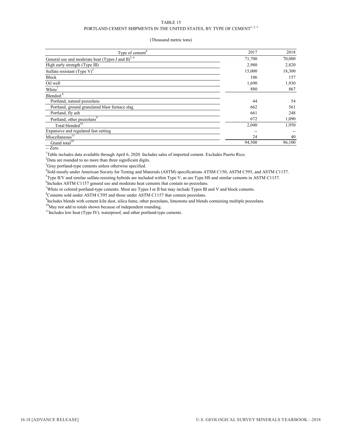### TABLE 15 PORTLAND CEMENT SHIPMENTS IN THE UNITED STATES, BY TYPE OF CEMENT $^{1,2,3}$

### (Thousand metric tons)

| Type of cement <sup>4</sup>                                       | 2017   | 2018   |
|-------------------------------------------------------------------|--------|--------|
| General use and moderate heat (Types I and $II$ ) <sup>5, 6</sup> | 71,700 | 70,000 |
| High early strength (Type III)                                    | 2,980  | 2,820  |
| Sulfate resistant (Type $V$ ) <sup>5</sup>                        | 15,000 | 18,300 |
| Block                                                             | 106    | 157    |
| Oil well                                                          | 1,690  | 1,930  |
| White <sup>7</sup>                                                | 880    | 867    |
| Blended: <sup>8</sup>                                             |        |        |
| Portland, natural pozzolans                                       | 44     | 54     |
| Portland, ground granulated blast furnace slag                    | 662    | 561    |
| Portland, fly ash                                                 | 661    | 248    |
| Portland, other pozzolans <sup>9</sup>                            | 672    | 1,090  |
| Total blended <sup>10</sup>                                       | 2,040  | 1,950  |
| Expansive and regulated fast setting                              |        |        |
| Miscellaneous <sup>11</sup>                                       | 24     | 40     |
| Grand total $10$                                                  | 94,500 | 96,100 |

-- Zero.

<sup>1</sup>Table includes data available through April 6, 2020. Includes sales of imported cement. Excludes Puerto Rico.

 $2$ Data are rounded to no more than three significant digits.

 $3$ Gray portland-type cements unless otherwise specified.

4 Sold mostly under American Society for Testing and Materials (ASTM) specifications ATSM C150, ASTM C595, and ASTM C1157.

5 Type II/V and similar sulfate-resisting hybrids are included within Type V, as are Type HS and similar cements in ASTM C1157.

<sup>6</sup>Includes ASTM C1157 general use and moderate heat cements that contain no pozzolans.

White or colored portland-type cements. Most are Types I or II but may include Types III and V and block cements.

 ${}^{8}$ Cements sold under ASTM C595 and those under ASTM C1157 that contain pozzolans.

<sup>9</sup>Includes blends with cement kiln dust, silica fume, other pozzolans, limestone and blends containing multiple pozzolans.

<sup>10</sup>May not add to totals shown because of independent rounding.

<sup>11</sup>Includes low heat (Type IV), waterproof, and other portland-type cements.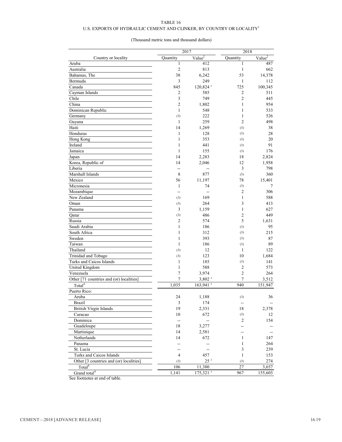### U.S. EXPORTS OF HYDRAULIC CEMENT AND CLINKER, BY COUNTRY OR LOCALITY  $^{\rm l}$

### (Thousand metric tons and thousand dollars)

|                                          |                | 2017                              |                | 2018                     |
|------------------------------------------|----------------|-----------------------------------|----------------|--------------------------|
| Country or locality                      | Ouantity       | $Value^2$                         | Quantity       | $Value^2$                |
| Aruba                                    | 1              | 412                               | 1              | 487                      |
| Australia                                | $\overline{2}$ | 813                               | 1              | 662                      |
| Bahamas, The                             | 38             | 6,242                             | 53             | 14,378                   |
| Bermuda                                  | 3              | 249                               | $\mathbf{1}$   | 112                      |
| Canada                                   | 845            | 120,824 r                         | 725            | 100,345                  |
| Cayman Islands                           | 2              | 585                               | 2              | 511                      |
| Chile                                    | 3              | 749                               | $\overline{2}$ | 445                      |
| China                                    | $\overline{2}$ | 1,802                             | $\mathbf{1}$   | 954                      |
| Dominican Republic                       | 1              | 548                               | $\mathbf{1}$   | 533                      |
| Germany                                  | (3)            | 222                               | 1              | 526                      |
| Guyana                                   | $\mathbf{1}$   | 259                               | $\overline{2}$ | 498                      |
| Haiti                                    | 14             | 1,269                             | (3)            | 38                       |
| Honduras                                 | 1              | 128                               | (3)            | 28                       |
| Hong Kong                                | 1              | 353                               | (3)            | 20                       |
| Ireland                                  | $\mathbf{1}$   | 441                               | (3)            | 91                       |
| Jamaica                                  | 1              | 155                               | (3)            | 176                      |
| Japan                                    | 14             | 2,283                             | 18             | 2,824                    |
| Korea, Republic of                       | 14             | 2,046                             | 12             | 1,958                    |
| Liberia                                  | --             |                                   | $\overline{3}$ | 798                      |
| Marshall Islands                         | 8              | 877                               | (3)            | 360                      |
| Mexico                                   | 56             | 11,197                            | 78             | 15,401                   |
| Micronesia                               | 1              | 74                                | (3)            | 7                        |
| Mozambique                               |                |                                   | $\overline{2}$ | 306                      |
| New Zealand                              | (3)            | 169                               | 1              | 588                      |
| Oman                                     | (3)            | 264                               | 3              | 413                      |
| Panama                                   | 3              | 1,159                             | $\mathbf{1}$   | 627                      |
| Qatar                                    | (3)            | 486                               | $\overline{2}$ | 449                      |
| Russia                                   | 2              | 574                               | 5              | 1,631                    |
| Saudi Arabia                             | 1              | 186                               | (3)            | 95                       |
| South Africa                             | $\mathbf{1}$   | 312                               | (3)            | 215                      |
| Sweden                                   | 1              | 393                               | (3)            | 87                       |
| Taiwan                                   | 1              | 186                               | (3)            | 89                       |
| Thailand                                 | (3)            | 12                                | 1              | 122                      |
| Trinidad and Tobago                      | (3)            | 123                               | 10             | 1,684                    |
| Turks and Caicos Islands                 | 1              | 185                               | (3)            | 141                      |
| United Kingdom                           | 1              | 588                               | 2              | 573                      |
| Venezuela                                | $\tau$         |                                   | $\overline{2}$ | 264                      |
| Other [71 countries and (or) localities] | 7              | 3,974                             | 7              | 3,512                    |
| Total <sup>4</sup>                       |                | $3,802$ <sup>r</sup><br>163,941 r | 940            |                          |
| Puerto Rico:                             | 1,035          |                                   |                | 151,947                  |
|                                          |                |                                   |                |                          |
| Aruba                                    | 24             | 1,188                             | (3)            | 36                       |
| <b>Brazil</b>                            | $\mathfrak{Z}$ | 174                               | --             | $\overline{\phantom{a}}$ |
| British Virgin Islands                   | 19             | 2,331                             | 18             | 2,378                    |
| Curacao                                  | 10             | 672                               | (3)            | 12                       |
| Dominica                                 | $\overline{a}$ | --                                | 2              | 154                      |
| Guadeloupe                               | 18             | 3,277                             | --             |                          |
| Martinique                               | 14             | 2,581                             | --             |                          |
| Netherlands                              | 14             | 672                               | 1              | 147                      |
| Panama                                   |                |                                   | 1              | 264                      |
| St. Lucia                                |                |                                   | 3              | 239                      |
| Turks and Caicos Islands                 | 4              | 457                               | $\mathbf{1}$   | 153                      |
| Other [3 countries and (or) localities]  | (3)            | $25$ <sup>r</sup>                 | (3)            | 274                      |
| Total <sup>4</sup>                       | 106            | 11,380                            | 27             | 3,657                    |
| Grand total <sup>4</sup>                 | 1,141          | $175,321$ <sup>r</sup>            | 967            | 155,603                  |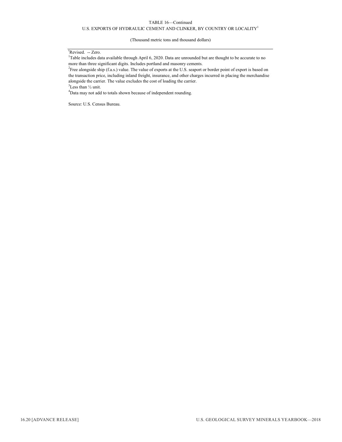### U.S. EXPORTS OF HYDRAULIC CEMENT AND CLINKER, BY COUNTRY OR LOCALITY<sup>1</sup>

(Thousand metric tons and thousand dollars)

### <sup>r</sup>Revised. -- Zero.

<sup>1</sup>Table includes data available through April 6, 2020. Data are unrounded but are thought to be accurate to no more than three significant digits. Includes portland and masonry cements.

<sup>2</sup> Free alongside ship (f.a.s.) value. The value of exports at the U.S. seaport or border point of export is based on the transaction price, including inland freight, insurance, and other charges incurred in placing the merchandise alongside the carrier. The value excludes the cost of loading the carrier.

 ${}^{3}$ Less than  $\frac{1}{2}$  unit.

<sup>4</sup>Data may not add to totals shown because of independent rounding.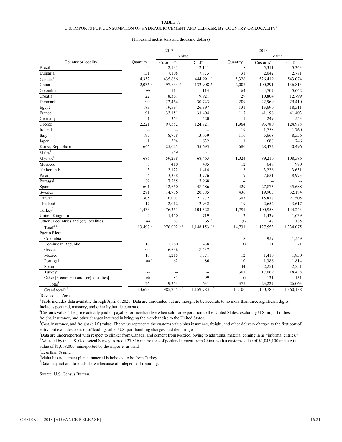### U.S. IMPORTS FOR CONSUMPTION OF HYDRAULIC CEMENT AND CLINKER, BY COUNTRY OR LOCALITY  $^{\rm l}$

### (Thousand metric tons and thousand dollars)

| Value<br>Value<br>$\overline{\text{Customs}^2}$<br>$\overline{\text{Customs}^2}$<br>C.i.f. <sup>3</sup><br>C.i.f. <sup>3</sup><br>Country or locality<br>Quantity<br>Quantity<br>$\overline{4}$<br>2,141<br>8<br>2,131<br>5,311<br>5,343<br><b>Brazil</b><br>131<br>7,108<br>7,873<br>31<br>2,042<br>2,771<br>Bulgaria<br>Canada <sup>4</sup><br>4,352<br>435,686 r<br>444,991 r<br>543,074<br>5,326<br>526,419<br>$2,036$ <sup>5</sup><br>97,834 5<br>132,908 5<br>China<br>2,007<br>100,291<br>136,813<br>64<br>4,707<br>5,642<br>Colombia<br>(6)<br>114<br>114<br>8,367<br>22<br>9,921<br>29<br>10,804<br>12,799<br>Croatia<br>22,464 r<br>209<br>190<br>30,743<br>22,969<br>29,410<br>183<br>19,594<br>26,397<br>131<br>18,511<br>13,690<br>91<br>33,151<br>33,404<br>117<br>41,196<br>41,403<br>$\mathbf{1}$<br>363<br>420<br>$\mathbf{1}$<br>249<br>553<br>Germany<br>2,221<br>97,582<br>124,721<br>1,964<br>93,780<br>124,978<br>Greece<br>19<br>Ireland<br>1,758<br>1,760<br>195<br>8,778<br>13,659<br>116<br>5,668<br>8,556<br>594<br>688<br>632<br>746<br>$\mathbf{1}$<br>$\mathbf{1}$<br>Japan<br>Korea, Republic of<br>25,025<br>35,693<br>680<br>40,496<br>646<br>28,472<br>Malta <sup>7</sup><br>5<br>549<br>551<br>Ξ.<br>Mexico <sup>4</sup><br>686<br>59,238<br>1,024<br>89,210<br>108,586<br>68,463<br>$\,$ 8 $\,$<br>410<br>485<br>12<br>648<br>970<br>Morocco<br>3<br>3<br>3,122<br>3,414<br>3,236<br>3,631<br>$\overline{4}$<br>9<br>3,338<br>3,776<br>7,621<br>8,973<br>Poland<br>89<br>7,285<br>7,968<br>--<br>32,650<br>Spain<br>601<br>48,486<br>429<br>27,875<br>35,688<br>271<br>14,736<br>436<br>19,905<br>32,184<br>20,585<br>16,007<br>303<br>Taiwan<br>305<br>21,772<br>15,818<br>21,505<br>17<br>19<br>Thailand<br>2,012<br>2,932<br>2,652<br>3,617<br>Turkey <sup>7</sup><br>1,433<br>76,351<br>104,322<br>1,791<br>100,958<br>144,243<br>$1,719$ <sup>r</sup><br>United Kingdom<br>$\overline{c}$<br>$1,450$ <sup>r</sup><br>$\overline{c}$<br>1,439<br>1,639<br>$65$ <sup>r</sup><br>Other [7 countries and (or) localities]<br>$63$ <sup>r</sup><br>148<br>(6)<br>185<br>(6)<br>Total $4, 8$<br>$13,497$ <sup>5</sup><br>976,002 r, 5<br>$1,148,153$ <sup>r, 5</sup><br>14,731<br>1,127,553<br>1,334,075<br>Puerto Rico:<br>Colombia<br>8<br>959<br>1,559<br>--<br>--<br>--<br>Dominican Republic<br>16<br>1,260<br>1,438<br>21<br>21<br>(6)<br>100<br>6,636<br>Greece<br>8,437<br>--<br>$10\,$<br>1,571<br>12<br>Mexico<br>1,215<br>1,410<br>1,830<br>10<br>$(6)$ <sup>r</sup><br>62<br>86<br>1,386<br>1,814<br>Portugal<br>44<br>2,251<br>2,251<br>Spain<br>$\overline{\phantom{a}}$<br>−−<br>301<br>17,069<br>18,438<br>Turkey<br>--<br>--<br>99<br>Other [3 countries and (or) localities]<br>81<br>131<br>151<br>(6)<br>(6)<br>Total <sup>8</sup><br>9,253<br>11,631<br>375<br>126<br>23,227<br>26,063<br>$1,159,783$ <sup>r, 5</sup><br>$13,623$ <sup>5</sup><br>985,255 <sup>r,5</sup><br>15,106<br>1,150,780<br>1,360,138 |                             | 2017 | 2018 |  |  |  |
|----------------------------------------------------------------------------------------------------------------------------------------------------------------------------------------------------------------------------------------------------------------------------------------------------------------------------------------------------------------------------------------------------------------------------------------------------------------------------------------------------------------------------------------------------------------------------------------------------------------------------------------------------------------------------------------------------------------------------------------------------------------------------------------------------------------------------------------------------------------------------------------------------------------------------------------------------------------------------------------------------------------------------------------------------------------------------------------------------------------------------------------------------------------------------------------------------------------------------------------------------------------------------------------------------------------------------------------------------------------------------------------------------------------------------------------------------------------------------------------------------------------------------------------------------------------------------------------------------------------------------------------------------------------------------------------------------------------------------------------------------------------------------------------------------------------------------------------------------------------------------------------------------------------------------------------------------------------------------------------------------------------------------------------------------------------------------------------------------------------------------------------------------------------------------------------------------------------------------------------------------------------------------------------------------------------------------------------------------------------------------------------------------------------------------------------------------------------------------------------------------------------------------------------------------------------------------------------------------------------------------------------------------------------------------------------------------------------------------------------------------------------------------------------------------------------------------------------------------------------------------------------------------------------------------------------------------------------------|-----------------------------|------|------|--|--|--|
|                                                                                                                                                                                                                                                                                                                                                                                                                                                                                                                                                                                                                                                                                                                                                                                                                                                                                                                                                                                                                                                                                                                                                                                                                                                                                                                                                                                                                                                                                                                                                                                                                                                                                                                                                                                                                                                                                                                                                                                                                                                                                                                                                                                                                                                                                                                                                                                                                                                                                                                                                                                                                                                                                                                                                                                                                                                                                                                                                                      |                             |      |      |  |  |  |
|                                                                                                                                                                                                                                                                                                                                                                                                                                                                                                                                                                                                                                                                                                                                                                                                                                                                                                                                                                                                                                                                                                                                                                                                                                                                                                                                                                                                                                                                                                                                                                                                                                                                                                                                                                                                                                                                                                                                                                                                                                                                                                                                                                                                                                                                                                                                                                                                                                                                                                                                                                                                                                                                                                                                                                                                                                                                                                                                                                      |                             |      |      |  |  |  |
|                                                                                                                                                                                                                                                                                                                                                                                                                                                                                                                                                                                                                                                                                                                                                                                                                                                                                                                                                                                                                                                                                                                                                                                                                                                                                                                                                                                                                                                                                                                                                                                                                                                                                                                                                                                                                                                                                                                                                                                                                                                                                                                                                                                                                                                                                                                                                                                                                                                                                                                                                                                                                                                                                                                                                                                                                                                                                                                                                                      |                             |      |      |  |  |  |
|                                                                                                                                                                                                                                                                                                                                                                                                                                                                                                                                                                                                                                                                                                                                                                                                                                                                                                                                                                                                                                                                                                                                                                                                                                                                                                                                                                                                                                                                                                                                                                                                                                                                                                                                                                                                                                                                                                                                                                                                                                                                                                                                                                                                                                                                                                                                                                                                                                                                                                                                                                                                                                                                                                                                                                                                                                                                                                                                                                      |                             |      |      |  |  |  |
|                                                                                                                                                                                                                                                                                                                                                                                                                                                                                                                                                                                                                                                                                                                                                                                                                                                                                                                                                                                                                                                                                                                                                                                                                                                                                                                                                                                                                                                                                                                                                                                                                                                                                                                                                                                                                                                                                                                                                                                                                                                                                                                                                                                                                                                                                                                                                                                                                                                                                                                                                                                                                                                                                                                                                                                                                                                                                                                                                                      |                             |      |      |  |  |  |
|                                                                                                                                                                                                                                                                                                                                                                                                                                                                                                                                                                                                                                                                                                                                                                                                                                                                                                                                                                                                                                                                                                                                                                                                                                                                                                                                                                                                                                                                                                                                                                                                                                                                                                                                                                                                                                                                                                                                                                                                                                                                                                                                                                                                                                                                                                                                                                                                                                                                                                                                                                                                                                                                                                                                                                                                                                                                                                                                                                      |                             |      |      |  |  |  |
|                                                                                                                                                                                                                                                                                                                                                                                                                                                                                                                                                                                                                                                                                                                                                                                                                                                                                                                                                                                                                                                                                                                                                                                                                                                                                                                                                                                                                                                                                                                                                                                                                                                                                                                                                                                                                                                                                                                                                                                                                                                                                                                                                                                                                                                                                                                                                                                                                                                                                                                                                                                                                                                                                                                                                                                                                                                                                                                                                                      |                             |      |      |  |  |  |
|                                                                                                                                                                                                                                                                                                                                                                                                                                                                                                                                                                                                                                                                                                                                                                                                                                                                                                                                                                                                                                                                                                                                                                                                                                                                                                                                                                                                                                                                                                                                                                                                                                                                                                                                                                                                                                                                                                                                                                                                                                                                                                                                                                                                                                                                                                                                                                                                                                                                                                                                                                                                                                                                                                                                                                                                                                                                                                                                                                      |                             |      |      |  |  |  |
|                                                                                                                                                                                                                                                                                                                                                                                                                                                                                                                                                                                                                                                                                                                                                                                                                                                                                                                                                                                                                                                                                                                                                                                                                                                                                                                                                                                                                                                                                                                                                                                                                                                                                                                                                                                                                                                                                                                                                                                                                                                                                                                                                                                                                                                                                                                                                                                                                                                                                                                                                                                                                                                                                                                                                                                                                                                                                                                                                                      | Denmark                     |      |      |  |  |  |
|                                                                                                                                                                                                                                                                                                                                                                                                                                                                                                                                                                                                                                                                                                                                                                                                                                                                                                                                                                                                                                                                                                                                                                                                                                                                                                                                                                                                                                                                                                                                                                                                                                                                                                                                                                                                                                                                                                                                                                                                                                                                                                                                                                                                                                                                                                                                                                                                                                                                                                                                                                                                                                                                                                                                                                                                                                                                                                                                                                      | Egypt                       |      |      |  |  |  |
|                                                                                                                                                                                                                                                                                                                                                                                                                                                                                                                                                                                                                                                                                                                                                                                                                                                                                                                                                                                                                                                                                                                                                                                                                                                                                                                                                                                                                                                                                                                                                                                                                                                                                                                                                                                                                                                                                                                                                                                                                                                                                                                                                                                                                                                                                                                                                                                                                                                                                                                                                                                                                                                                                                                                                                                                                                                                                                                                                                      | France                      |      |      |  |  |  |
|                                                                                                                                                                                                                                                                                                                                                                                                                                                                                                                                                                                                                                                                                                                                                                                                                                                                                                                                                                                                                                                                                                                                                                                                                                                                                                                                                                                                                                                                                                                                                                                                                                                                                                                                                                                                                                                                                                                                                                                                                                                                                                                                                                                                                                                                                                                                                                                                                                                                                                                                                                                                                                                                                                                                                                                                                                                                                                                                                                      |                             |      |      |  |  |  |
|                                                                                                                                                                                                                                                                                                                                                                                                                                                                                                                                                                                                                                                                                                                                                                                                                                                                                                                                                                                                                                                                                                                                                                                                                                                                                                                                                                                                                                                                                                                                                                                                                                                                                                                                                                                                                                                                                                                                                                                                                                                                                                                                                                                                                                                                                                                                                                                                                                                                                                                                                                                                                                                                                                                                                                                                                                                                                                                                                                      |                             |      |      |  |  |  |
|                                                                                                                                                                                                                                                                                                                                                                                                                                                                                                                                                                                                                                                                                                                                                                                                                                                                                                                                                                                                                                                                                                                                                                                                                                                                                                                                                                                                                                                                                                                                                                                                                                                                                                                                                                                                                                                                                                                                                                                                                                                                                                                                                                                                                                                                                                                                                                                                                                                                                                                                                                                                                                                                                                                                                                                                                                                                                                                                                                      |                             |      |      |  |  |  |
|                                                                                                                                                                                                                                                                                                                                                                                                                                                                                                                                                                                                                                                                                                                                                                                                                                                                                                                                                                                                                                                                                                                                                                                                                                                                                                                                                                                                                                                                                                                                                                                                                                                                                                                                                                                                                                                                                                                                                                                                                                                                                                                                                                                                                                                                                                                                                                                                                                                                                                                                                                                                                                                                                                                                                                                                                                                                                                                                                                      | Italy                       |      |      |  |  |  |
|                                                                                                                                                                                                                                                                                                                                                                                                                                                                                                                                                                                                                                                                                                                                                                                                                                                                                                                                                                                                                                                                                                                                                                                                                                                                                                                                                                                                                                                                                                                                                                                                                                                                                                                                                                                                                                                                                                                                                                                                                                                                                                                                                                                                                                                                                                                                                                                                                                                                                                                                                                                                                                                                                                                                                                                                                                                                                                                                                                      |                             |      |      |  |  |  |
|                                                                                                                                                                                                                                                                                                                                                                                                                                                                                                                                                                                                                                                                                                                                                                                                                                                                                                                                                                                                                                                                                                                                                                                                                                                                                                                                                                                                                                                                                                                                                                                                                                                                                                                                                                                                                                                                                                                                                                                                                                                                                                                                                                                                                                                                                                                                                                                                                                                                                                                                                                                                                                                                                                                                                                                                                                                                                                                                                                      |                             |      |      |  |  |  |
|                                                                                                                                                                                                                                                                                                                                                                                                                                                                                                                                                                                                                                                                                                                                                                                                                                                                                                                                                                                                                                                                                                                                                                                                                                                                                                                                                                                                                                                                                                                                                                                                                                                                                                                                                                                                                                                                                                                                                                                                                                                                                                                                                                                                                                                                                                                                                                                                                                                                                                                                                                                                                                                                                                                                                                                                                                                                                                                                                                      |                             |      |      |  |  |  |
|                                                                                                                                                                                                                                                                                                                                                                                                                                                                                                                                                                                                                                                                                                                                                                                                                                                                                                                                                                                                                                                                                                                                                                                                                                                                                                                                                                                                                                                                                                                                                                                                                                                                                                                                                                                                                                                                                                                                                                                                                                                                                                                                                                                                                                                                                                                                                                                                                                                                                                                                                                                                                                                                                                                                                                                                                                                                                                                                                                      |                             |      |      |  |  |  |
|                                                                                                                                                                                                                                                                                                                                                                                                                                                                                                                                                                                                                                                                                                                                                                                                                                                                                                                                                                                                                                                                                                                                                                                                                                                                                                                                                                                                                                                                                                                                                                                                                                                                                                                                                                                                                                                                                                                                                                                                                                                                                                                                                                                                                                                                                                                                                                                                                                                                                                                                                                                                                                                                                                                                                                                                                                                                                                                                                                      |                             |      |      |  |  |  |
|                                                                                                                                                                                                                                                                                                                                                                                                                                                                                                                                                                                                                                                                                                                                                                                                                                                                                                                                                                                                                                                                                                                                                                                                                                                                                                                                                                                                                                                                                                                                                                                                                                                                                                                                                                                                                                                                                                                                                                                                                                                                                                                                                                                                                                                                                                                                                                                                                                                                                                                                                                                                                                                                                                                                                                                                                                                                                                                                                                      | Netherlands                 |      |      |  |  |  |
|                                                                                                                                                                                                                                                                                                                                                                                                                                                                                                                                                                                                                                                                                                                                                                                                                                                                                                                                                                                                                                                                                                                                                                                                                                                                                                                                                                                                                                                                                                                                                                                                                                                                                                                                                                                                                                                                                                                                                                                                                                                                                                                                                                                                                                                                                                                                                                                                                                                                                                                                                                                                                                                                                                                                                                                                                                                                                                                                                                      |                             |      |      |  |  |  |
|                                                                                                                                                                                                                                                                                                                                                                                                                                                                                                                                                                                                                                                                                                                                                                                                                                                                                                                                                                                                                                                                                                                                                                                                                                                                                                                                                                                                                                                                                                                                                                                                                                                                                                                                                                                                                                                                                                                                                                                                                                                                                                                                                                                                                                                                                                                                                                                                                                                                                                                                                                                                                                                                                                                                                                                                                                                                                                                                                                      | Portugal                    |      |      |  |  |  |
|                                                                                                                                                                                                                                                                                                                                                                                                                                                                                                                                                                                                                                                                                                                                                                                                                                                                                                                                                                                                                                                                                                                                                                                                                                                                                                                                                                                                                                                                                                                                                                                                                                                                                                                                                                                                                                                                                                                                                                                                                                                                                                                                                                                                                                                                                                                                                                                                                                                                                                                                                                                                                                                                                                                                                                                                                                                                                                                                                                      |                             |      |      |  |  |  |
|                                                                                                                                                                                                                                                                                                                                                                                                                                                                                                                                                                                                                                                                                                                                                                                                                                                                                                                                                                                                                                                                                                                                                                                                                                                                                                                                                                                                                                                                                                                                                                                                                                                                                                                                                                                                                                                                                                                                                                                                                                                                                                                                                                                                                                                                                                                                                                                                                                                                                                                                                                                                                                                                                                                                                                                                                                                                                                                                                                      | Sweden                      |      |      |  |  |  |
|                                                                                                                                                                                                                                                                                                                                                                                                                                                                                                                                                                                                                                                                                                                                                                                                                                                                                                                                                                                                                                                                                                                                                                                                                                                                                                                                                                                                                                                                                                                                                                                                                                                                                                                                                                                                                                                                                                                                                                                                                                                                                                                                                                                                                                                                                                                                                                                                                                                                                                                                                                                                                                                                                                                                                                                                                                                                                                                                                                      |                             |      |      |  |  |  |
|                                                                                                                                                                                                                                                                                                                                                                                                                                                                                                                                                                                                                                                                                                                                                                                                                                                                                                                                                                                                                                                                                                                                                                                                                                                                                                                                                                                                                                                                                                                                                                                                                                                                                                                                                                                                                                                                                                                                                                                                                                                                                                                                                                                                                                                                                                                                                                                                                                                                                                                                                                                                                                                                                                                                                                                                                                                                                                                                                                      |                             |      |      |  |  |  |
|                                                                                                                                                                                                                                                                                                                                                                                                                                                                                                                                                                                                                                                                                                                                                                                                                                                                                                                                                                                                                                                                                                                                                                                                                                                                                                                                                                                                                                                                                                                                                                                                                                                                                                                                                                                                                                                                                                                                                                                                                                                                                                                                                                                                                                                                                                                                                                                                                                                                                                                                                                                                                                                                                                                                                                                                                                                                                                                                                                      |                             |      |      |  |  |  |
|                                                                                                                                                                                                                                                                                                                                                                                                                                                                                                                                                                                                                                                                                                                                                                                                                                                                                                                                                                                                                                                                                                                                                                                                                                                                                                                                                                                                                                                                                                                                                                                                                                                                                                                                                                                                                                                                                                                                                                                                                                                                                                                                                                                                                                                                                                                                                                                                                                                                                                                                                                                                                                                                                                                                                                                                                                                                                                                                                                      |                             |      |      |  |  |  |
|                                                                                                                                                                                                                                                                                                                                                                                                                                                                                                                                                                                                                                                                                                                                                                                                                                                                                                                                                                                                                                                                                                                                                                                                                                                                                                                                                                                                                                                                                                                                                                                                                                                                                                                                                                                                                                                                                                                                                                                                                                                                                                                                                                                                                                                                                                                                                                                                                                                                                                                                                                                                                                                                                                                                                                                                                                                                                                                                                                      |                             |      |      |  |  |  |
|                                                                                                                                                                                                                                                                                                                                                                                                                                                                                                                                                                                                                                                                                                                                                                                                                                                                                                                                                                                                                                                                                                                                                                                                                                                                                                                                                                                                                                                                                                                                                                                                                                                                                                                                                                                                                                                                                                                                                                                                                                                                                                                                                                                                                                                                                                                                                                                                                                                                                                                                                                                                                                                                                                                                                                                                                                                                                                                                                                      |                             |      |      |  |  |  |
|                                                                                                                                                                                                                                                                                                                                                                                                                                                                                                                                                                                                                                                                                                                                                                                                                                                                                                                                                                                                                                                                                                                                                                                                                                                                                                                                                                                                                                                                                                                                                                                                                                                                                                                                                                                                                                                                                                                                                                                                                                                                                                                                                                                                                                                                                                                                                                                                                                                                                                                                                                                                                                                                                                                                                                                                                                                                                                                                                                      |                             |      |      |  |  |  |
|                                                                                                                                                                                                                                                                                                                                                                                                                                                                                                                                                                                                                                                                                                                                                                                                                                                                                                                                                                                                                                                                                                                                                                                                                                                                                                                                                                                                                                                                                                                                                                                                                                                                                                                                                                                                                                                                                                                                                                                                                                                                                                                                                                                                                                                                                                                                                                                                                                                                                                                                                                                                                                                                                                                                                                                                                                                                                                                                                                      |                             |      |      |  |  |  |
|                                                                                                                                                                                                                                                                                                                                                                                                                                                                                                                                                                                                                                                                                                                                                                                                                                                                                                                                                                                                                                                                                                                                                                                                                                                                                                                                                                                                                                                                                                                                                                                                                                                                                                                                                                                                                                                                                                                                                                                                                                                                                                                                                                                                                                                                                                                                                                                                                                                                                                                                                                                                                                                                                                                                                                                                                                                                                                                                                                      |                             |      |      |  |  |  |
|                                                                                                                                                                                                                                                                                                                                                                                                                                                                                                                                                                                                                                                                                                                                                                                                                                                                                                                                                                                                                                                                                                                                                                                                                                                                                                                                                                                                                                                                                                                                                                                                                                                                                                                                                                                                                                                                                                                                                                                                                                                                                                                                                                                                                                                                                                                                                                                                                                                                                                                                                                                                                                                                                                                                                                                                                                                                                                                                                                      |                             |      |      |  |  |  |
|                                                                                                                                                                                                                                                                                                                                                                                                                                                                                                                                                                                                                                                                                                                                                                                                                                                                                                                                                                                                                                                                                                                                                                                                                                                                                                                                                                                                                                                                                                                                                                                                                                                                                                                                                                                                                                                                                                                                                                                                                                                                                                                                                                                                                                                                                                                                                                                                                                                                                                                                                                                                                                                                                                                                                                                                                                                                                                                                                                      |                             |      |      |  |  |  |
|                                                                                                                                                                                                                                                                                                                                                                                                                                                                                                                                                                                                                                                                                                                                                                                                                                                                                                                                                                                                                                                                                                                                                                                                                                                                                                                                                                                                                                                                                                                                                                                                                                                                                                                                                                                                                                                                                                                                                                                                                                                                                                                                                                                                                                                                                                                                                                                                                                                                                                                                                                                                                                                                                                                                                                                                                                                                                                                                                                      |                             |      |      |  |  |  |
|                                                                                                                                                                                                                                                                                                                                                                                                                                                                                                                                                                                                                                                                                                                                                                                                                                                                                                                                                                                                                                                                                                                                                                                                                                                                                                                                                                                                                                                                                                                                                                                                                                                                                                                                                                                                                                                                                                                                                                                                                                                                                                                                                                                                                                                                                                                                                                                                                                                                                                                                                                                                                                                                                                                                                                                                                                                                                                                                                                      |                             |      |      |  |  |  |
|                                                                                                                                                                                                                                                                                                                                                                                                                                                                                                                                                                                                                                                                                                                                                                                                                                                                                                                                                                                                                                                                                                                                                                                                                                                                                                                                                                                                                                                                                                                                                                                                                                                                                                                                                                                                                                                                                                                                                                                                                                                                                                                                                                                                                                                                                                                                                                                                                                                                                                                                                                                                                                                                                                                                                                                                                                                                                                                                                                      |                             |      |      |  |  |  |
|                                                                                                                                                                                                                                                                                                                                                                                                                                                                                                                                                                                                                                                                                                                                                                                                                                                                                                                                                                                                                                                                                                                                                                                                                                                                                                                                                                                                                                                                                                                                                                                                                                                                                                                                                                                                                                                                                                                                                                                                                                                                                                                                                                                                                                                                                                                                                                                                                                                                                                                                                                                                                                                                                                                                                                                                                                                                                                                                                                      |                             |      |      |  |  |  |
|                                                                                                                                                                                                                                                                                                                                                                                                                                                                                                                                                                                                                                                                                                                                                                                                                                                                                                                                                                                                                                                                                                                                                                                                                                                                                                                                                                                                                                                                                                                                                                                                                                                                                                                                                                                                                                                                                                                                                                                                                                                                                                                                                                                                                                                                                                                                                                                                                                                                                                                                                                                                                                                                                                                                                                                                                                                                                                                                                                      |                             |      |      |  |  |  |
|                                                                                                                                                                                                                                                                                                                                                                                                                                                                                                                                                                                                                                                                                                                                                                                                                                                                                                                                                                                                                                                                                                                                                                                                                                                                                                                                                                                                                                                                                                                                                                                                                                                                                                                                                                                                                                                                                                                                                                                                                                                                                                                                                                                                                                                                                                                                                                                                                                                                                                                                                                                                                                                                                                                                                                                                                                                                                                                                                                      | Grand total <sup>4, 8</sup> |      |      |  |  |  |

<sup>r</sup>Revised. -- Zero.

<sup>1</sup>Table includes data available through April 6, 2020. Data are unrounded but are thought to be accurate to no more than three significant digits. Includes portland, masonry, and other hydraulic cements.

<sup>2</sup>Customs value. The price actually paid or payable for merchandise when sold for exportation to the United States, excluding U.S. import duties, freight, insurance, and other charges incurred in bringing the merchandise to the United States.

<sup>3</sup>Cost, insurance, and freight (c.i.f.) value. The value represents the customs value plus insurance, freight, and other delivery charges to the first port of entry, but excludes costs of offloading, other U.S. port handling charges, and demurrage.

5 Adjusted by the U.S. Geological Survey to credit 27,816 metric tons of portland cement from China, with a customs value of \$1,043,100 and a c.i.f. value of \$1,068,000, misreported by the importer as sand. 4 Data are underreported with respect to clinker from Canada, and cement from Mexico, owing to additional material coming in as "informal entries."

 ${}^{6}$ Less than  $\frac{1}{2}$  unit.

 $^{7}$ Malta has no cement plants; material is believed to be from Turkey.

 ${}^{8}$ Data may not add to totals shown because of independent rounding.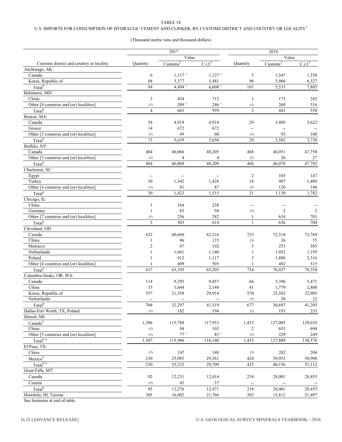### U.S. IMPORTS FOR CONSUMPTION OF HYDRAULIC CEMENT AND CLINKER, BY CUSTOMS DISTRICT AND COUNTRY OR LOCALITY  $^{\rm l}$

### (Thousand metric tons and thousand dollars)

|                                          |                | 2017                          |                                   |                | 2018                          |                     |
|------------------------------------------|----------------|-------------------------------|-----------------------------------|----------------|-------------------------------|---------------------|
|                                          |                | Value                         |                                   |                | Value                         |                     |
| Customs district and country or locality | Quantity       | $\overline{\text{Customs}^2}$ | C.i.f. <sup>3</sup>               | Ouantity       | $\overline{\text{Customs}^2}$ | C.i.f. <sup>3</sup> |
| Anchorage, AK:                           |                |                               |                                   |                |                               |                     |
| Canada                                   | 6              | $1,117$ <sup>r</sup>          | $1,127$ <sup>r</sup>              | 5              | 1,547                         | 1,558               |
| Korea, Republic of                       | 88             | 3,377                         | 5,481                             | 96             | 3,986                         | 6,327               |
| Total <sup>4</sup>                       | 94             | $4,494$ <sup>r</sup>          | $6,608$ <sup>r</sup>              | 101            | 5,533                         | 7,885               |
| Baltimore, MD:                           |                |                               |                                   |                |                               |                     |
| China                                    | $\mathfrak{Z}$ | 454                           | 712                               | $\mathbf{1}$   | 173                           | 242                 |
| Other [4 countries and (or) localities]  | (5)            | $209$ <sup>r</sup>            | 246 <sup>r</sup>                  | (5)            | 268                           | 316                 |
| Total <sup>4</sup>                       | $\overline{4}$ | 663                           | 959                               | $\overline{2}$ | 441                           | 558                 |
| Boston, MA:                              |                |                               |                                   |                |                               |                     |
| Canada                                   | 58             | 4,918                         | 4,918                             | 29             | 3,489                         | 3,622               |
| Greece                                   | 14             | 672                           | 672                               | $\overline{a}$ |                               |                     |
| Other [3 countries and (or) localities]  | (5)            | 49                            | 60                                | (5)            | 93                            | 108                 |
| Total <sup>4</sup>                       | 73             | 5,639                         | 5,650                             | 29             | 3,582                         | 3,730               |
| Buffalo, NY:                             |                |                               |                                   |                |                               |                     |
| Canada                                   | 484            | 46,066                        | 48,205                            | 468            | 46,051                        | 47,758              |
| Other [3 countries and (or) localities]  | (5)            | $\overline{4}$                | 4                                 | (5)            | 26                            | 27                  |
| Total <sup>4</sup>                       | 484            | 46,069                        | 48,209                            | 468            | 46,078                        | 47,785              |
| Charleston, SC:                          |                |                               |                                   |                |                               |                     |
|                                          |                |                               |                                   | $\overline{c}$ | 103                           | 147                 |
| Egypt<br>Turkey                          | --<br>30       | --<br>1,342                   | $\overline{\phantom{a}}$<br>1,428 | 18             | 907                           | 1,489               |
| Other [4 countries and (or) localities]  |                | 81                            | 87                                |                | 120                           | 146                 |
|                                          | (5)            |                               |                                   | (5)            |                               |                     |
| Total <sup>4</sup>                       | 30             | 1,423                         | 1,515                             | 21             | 1,130                         | 1,782               |
| Chicago, IL:                             |                |                               |                                   |                |                               |                     |
| China                                    | $\mathbf{1}$   | 164                           | 238                               | --             | ٠.                            |                     |
| Germany                                  | $\mathbf{1}$   | 83                            | 94                                | (5)            | $\overline{2}$                | $\overline{2}$      |
| Other [7 countries and (or) localities]  | (5)            | 256                           | 282                               | 1              | 634                           | 701                 |
| Total <sup>4</sup>                       | $\overline{2}$ | 503                           | 614                               | $\mathbf{1}$   | 636                           | 704                 |
| Cleveland, OH:                           |                |                               |                                   |                |                               |                     |
| $\rm Canada$                             | 632            | 60,660                        | 62,216                            | 725            | 72,318                        | 73,769              |
| China                                    | 1              | 86                            | 123                               | (5)            | 36                            | 55                  |
| Morocco                                  | $\mathfrak{2}$ | 87                            | 102                               | 5              | 253                           | 505                 |
| Netherlands                              | 1              | 1,041                         | 1,140                             | 1              | 1,052                         | 1,195               |
| Poland                                   | 1              | 912                           | 1,117                             | 3              | 1,896                         | 2,316               |
| Other [4 countries and (or) localities]  | $\mathbf{1}$   | 409                           | 505                               | 1              | 482                           | 515                 |
| Total <sup>4</sup>                       | 637            | 63,195                        | 65,203                            | 734            | 76,037                        | 78,354              |
| Columbia-Snake, OR, WA:                  |                |                               |                                   |                |                               |                     |
| Canada                                   | 114            | 9,295                         | 9,457                             | 66             | 5,396                         | 5,471               |
| China                                    | 33             | 1,644                         | 2,148                             | 41             | 1,779                         | 2,808               |
| Korea, Republic of                       | 557            | 21,358                        | 29,914                            | 570            | 23,502                        | 32,905              |
| Netherlands                              |                |                               |                                   | (5)            | 20                            | 22                  |
| Total <sup>4</sup>                       | 704            | 32,297                        | 41,519                            | 677            | 30,697                        | 41,205              |
| Dallas-Fort Worth, TX, Poland            | (5)            | 182                           | 194                               | (5)            | 193                           | 233                 |
| Detroit, MI:                             |                |                               |                                   |                |                               |                     |
| Canada <sup>6</sup>                      | 1,306          | 115,788                       | 117,953                           | 1,433          | 127,005                       | 129,635             |
| China                                    | (5)            | 94                            | 103                               | 2              | 655                           | 694                 |
| Other [5 countries and (or) localities]  | (5)            | 77r                           | 85r                               | (5)            | 229                           | 249                 |
| Total <sup>4, 6</sup>                    | 1,307          | 115,960                       | 118,140                           | 1,435          | 127,889                       | 130,578             |
| El Paso, TX:                             |                |                               |                                   |                |                               |                     |
| China                                    | (5)            | 147                           | 148                               | (5)            | 202                           | 204                 |
| Mexico <sup>6</sup>                      | 230            | 25,085                        | 29,561                            | 424            | 39,953                        | 50,908              |
| Total <sup>4, 6</sup>                    | 230            | 25,232                        | 29,709                            | 425            | 40,156                        | 51,112              |
| Great Falls, MT:                         |                |                               |                                   |                |                               |                     |
| Canada                                   | 92             | 12,231                        | 12,414                            | 218            | 28,001                        | 28,455              |
| Croatia                                  | (5)            | 45                            | 57                                |                |                               |                     |
| Total <sup>4</sup>                       | 93             | 12,276                        | 12,471                            | 218            | 28,001                        | 28,455              |
| Honolulu, HI, Taiwan                     | 305            | 16,002                        | 21,766                            | 303            | 15,812                        | 21,497              |
|                                          |                |                               |                                   |                |                               |                     |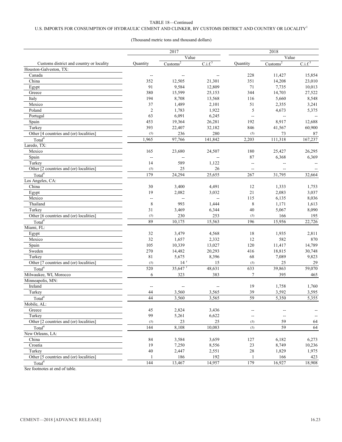### U.S. IMPORTS FOR CONSUMPTION OF HYDRAULIC CEMENT AND CLINKER, BY CUSTOMS DISTRICT AND COUNTRY OR LOCALITY<sup>1</sup>

### (Thousand metric tons and thousand dollars)

|                                          |                          | 2017                          |                          | 2018           |                    |                     |
|------------------------------------------|--------------------------|-------------------------------|--------------------------|----------------|--------------------|---------------------|
|                                          |                          | Value                         |                          | Value          |                    |                     |
| Customs district and country or locality | Quantity                 | $\overline{\text{Customs}^2}$ | C.i.f. <sup>3</sup>      | Quantity       | $\text{Customs}^2$ | C.i.f. <sup>3</sup> |
| Houston-Galveston, TX:                   |                          |                               |                          |                |                    |                     |
| Canada                                   | $\overline{\phantom{a}}$ | $\overline{a}$                | $\overline{\phantom{a}}$ | 228            | 11,427             | 15,854              |
| China                                    | 352                      | 12,505                        | 21,301                   | 351            | 14,208             | 23,010              |
| Egypt                                    | 91                       | 9,584                         | 12,809                   | 71             | 7,735              | 10,013              |
| Greece                                   | 380                      | 15,599                        | 25,153                   | 344            | 14,703             | 27,522              |
| Italy                                    | 194                      | 8,708                         | 13,568                   | 116            | 5,660              | 8,548               |
| Mexico                                   | 37                       | 1,489                         | 2,101                    | 51             | 2,355              | 3,241               |
| Poland                                   | $\sqrt{2}$               | 1,783                         | 1,922                    | 5              | 4,673              | 5,375               |
| Portugal                                 | 63                       | 6,091                         | 6,245                    |                |                    |                     |
| Spain                                    | 453                      | 19,364                        | 26,281                   | 192            | 8,917              | 12,688              |
| Turkey                                   | 393                      | 22,407                        | 32,182                   | 846            | 41,567             | 60,900              |
| Other [4 countries and (or) localities]  | (5)                      | 236                           | 280                      | (5)            | 73                 | 87                  |
| Total <sup>4</sup>                       | 1,965                    | 97,766                        | 141,842                  | 2,203          | 111,318            | 167,237             |
| Laredo, TX:                              |                          |                               |                          |                |                    |                     |
| Mexico                                   | 165                      | 23,680                        | 24,507                   | 180            | 25,427             | 26,295              |
| Spain                                    | --                       | $\overline{a}$                | Ξ.                       | 87             | 6,368              | 6,369               |
| Turkey                                   | 14                       | 589                           | 1,122                    | $\overline{a}$ |                    |                     |
| Other [2 countries and (or) localities]  | (5)                      | 25                            | 26                       | $\overline{a}$ |                    |                     |
| Total <sup>4</sup>                       | 179                      | 24,294                        | 25,655                   | 267            | 31,795             | 32,664              |
| Los Angeles, CA:                         |                          |                               |                          |                |                    |                     |
| China                                    | 30                       | 3,400                         | 4,491                    | 12             | 1,333              | 1,753               |
| Egypt                                    | 19                       | 2,082                         | 3,032                    | 21             | 2,083              | 3,037               |
| Mexico                                   | --                       | --                            | --                       | 115            | 6,135              | 8,036               |
| Thailand                                 | 8                        | 993                           | 1,444                    | 8              | 1,171              | 1,613               |
| Turkey                                   | 31                       | 3,469                         | 6,344                    | 40             | 5,067              | 8,090               |
| Other [6 countries and (or) localities]  | (5)                      | 230                           | 253                      | (5)            | 166                | 195                 |
| Total <sup>4</sup>                       | 89                       | 10,175                        | 15,563                   | 196            | 15,956             | 22,726              |
| Miami, FL:                               |                          |                               |                          |                |                    |                     |
| Egypt                                    | 32                       | 3,479                         | 4,568                    | 18             | 1,935              | 2,811               |
| Mexico                                   | 32                       | 1,657                         | 2,332                    | 12             | 582                | 870                 |
| Spain                                    | 105                      | 10,339                        | 13,027                   | 120            | 11,417             | 14,789              |
| Sweden                                   | 270                      | 14,482                        | 20,293                   | 416            | 18,815             | 30,748              |
| Turkey                                   | $8\sqrt{1}$              | 5,675                         | 8,396                    | 68             | 7,089              | 9,823               |
| Other [7 countries and (or) localities]  | (5)                      | $14$ <sup>r</sup>             | 15                       | (5)            | 25                 | 29                  |
| Total <sup>4</sup>                       | 520                      | 35,647 <sup>r</sup>           | 48,631                   | 633            | 39,863             | 59,070              |
| Milwaukee, WI, Morocco                   | 6                        | 323                           | 383                      | $\overline{7}$ | 395                | 465                 |
| Minneapolis, MN:                         |                          |                               |                          |                |                    |                     |
| Ireland                                  | --                       | $\overline{a}$                |                          | 19             | 1,758              | 1,760               |
| Turkey                                   | 44                       | 3,560                         | 3,565                    | 39             | 3,592              | 3,595               |
| $\mathrm{Total}^4$                       | 44                       | 3,560                         | 3,565                    | 59             | 5,350              | 5,355               |
| Mobile, AL:                              |                          |                               |                          |                |                    |                     |
| Greece                                   | 45                       | 2,824                         | 3,436                    |                |                    |                     |
| Turkey                                   | 99                       | 5,261                         | 6,622                    | --             |                    |                     |
| Other [2 countries and (or) localities]  | (5)                      | 23                            | 25                       | (5)            | 59                 | 64                  |
| Total <sup>4</sup>                       | 144                      | 8,108                         | 10,083                   | (5)            | 59                 | 64                  |
| New Orleans, LA:                         |                          |                               |                          |                |                    |                     |
| China                                    | 84                       | 3,584                         | 3,659                    | 127            | 6,182              | 6,273               |
| Croatia                                  | 19                       | 7,250                         | 8,556                    | 23             | 8,749              | 10,236              |
| Turkey                                   | 40                       | 2,447                         | 2,551                    | $28\,$         | 1,829              | 1,975               |
| Other [5 countries and (or) localities]  | $\mathbf{1}$             | 186                           | 192                      | 1              | 166                | 423                 |
| Total <sup>4</sup>                       | 144                      | 13,467                        | 14,957                   | 179            | 16,927             | 18,908              |
|                                          |                          |                               |                          |                |                    |                     |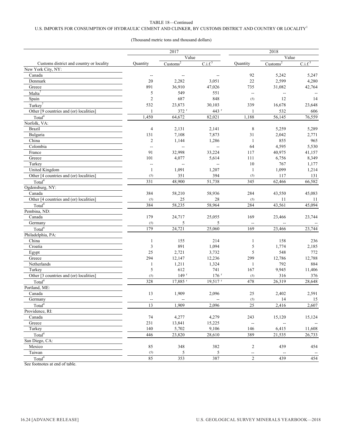### U.S. IMPORTS FOR CONSUMPTION OF HYDRAULIC CEMENT AND CLINKER, BY CUSTOMS DISTRICT AND COUNTRY OR LOCALITY  $^{\rm l}$

### (Thousand metric tons and thousand dollars)

|                                          | 2017                           |                               |                          | 2018                     |                               |                     |  |
|------------------------------------------|--------------------------------|-------------------------------|--------------------------|--------------------------|-------------------------------|---------------------|--|
|                                          |                                | Value                         |                          |                          | Value                         |                     |  |
| Customs district and country or locality | <b>Quantity</b>                | $\overline{\text{Customs}^2}$ | C.i.f. <sup>3</sup>      | Ouantity                 | $\overline{\text{Customs}^2}$ | C.i.f. <sup>3</sup> |  |
| New York City, NY:                       |                                |                               |                          |                          |                               |                     |  |
| Canada                                   | $\overline{\phantom{a}}$       | $\overline{\phantom{m}}$      | $\qquad \qquad -$        | 92                       | 5,242                         | 5,247               |  |
| Denmark                                  | 20                             | 2,282                         | 3,051                    | 22                       | 2,599                         | 4,280               |  |
| Greece                                   | 891                            | 36,910                        | 47,026                   | 735                      | 31,082                        | 42,764              |  |
| Malta <sup>7</sup>                       | 5                              | 549                           | 551                      | --                       | $\overline{\phantom{a}}$      |                     |  |
| Spain                                    | $\overline{2}$                 | 687                           | 848                      | (5)                      | 12                            | 14                  |  |
| Turkey <sup>7</sup>                      | 532                            | 23,873                        | 30,103                   | 339                      | 16,678                        | 23,648              |  |
| Other [9 countries and (or) localities]  | $\mathbf{1}$                   | 372 r                         | 443 <sup>r</sup>         | 1                        | 532                           | 606                 |  |
| Total <sup>4</sup>                       | 1,450                          | 64,672                        | 82,021                   | 1,188                    | 56,145                        | 76,559              |  |
| Norfolk, VA:                             |                                |                               |                          |                          |                               |                     |  |
| <b>Brazil</b>                            | $\overline{4}$                 | 2,131                         | 2,141                    | $\,8\,$                  | 5,259                         | 5,289               |  |
| Bulgaria                                 | 131                            | 7,108                         | 7,873                    | 31                       | 2,042                         | 2,771               |  |
| China                                    | $\sqrt{2}$                     | 1,144                         | 1,286                    | $\mathbf{1}$             | 855                           | 965                 |  |
| Colombia                                 | $\overline{a}$                 | $\overline{a}$                | $\overline{\phantom{a}}$ | 64                       | 4,595                         | 5,530               |  |
| France                                   | 91                             | 32,998                        | 33,224                   | 117                      | 40,975                        | 41,157              |  |
| Greece                                   | 101                            | 4,077                         | 5,614                    | 111                      | 6,756                         | 8,349               |  |
| Turkey                                   | $\overline{\phantom{a}}$       | $\overline{a}$                | $\overline{\phantom{a}}$ | 10                       | 767                           | 1,177               |  |
| United Kingdom                           | $\mathbf{1}$                   | 1,091                         | 1,207                    | 1                        | 1,099                         | 1,214               |  |
| Other [4 countries and (or) localities]  | (5)                            | 351                           | 394                      | (5)                      | 117                           | 131                 |  |
| Total <sup>4</sup>                       | 331                            | 48,900                        | 51,738                   | 345                      | 62,466                        | 66,582              |  |
| Ogdensburg, NY:                          |                                |                               |                          |                          |                               |                     |  |
| Canada                                   | 384                            | 58,210                        | 58,936                   | 284                      | 43,550                        | 45,083              |  |
| Other [4 countries and (or) localities]  | (5)                            | 25                            | 28                       | (5)                      | 11                            | 11                  |  |
| Total <sup>4</sup>                       | 384                            | 58,235                        | 58,964                   | 284                      | 43,561                        | 45,094              |  |
| Pembina, ND:                             |                                |                               |                          |                          |                               |                     |  |
| Canada                                   | 179                            | 24,717                        | 25,055                   | 169                      | 23,466                        | 23,744              |  |
| Germany                                  | (5)                            | 5                             | 5                        |                          |                               |                     |  |
| Total <sup>4</sup>                       | 179                            | 24,721                        | 25,060                   | 169                      | 23,466                        | 23,744              |  |
| Philadelphia, PA:                        |                                |                               |                          |                          |                               |                     |  |
| China                                    | $\mathbf{1}$                   | 155                           | 214                      | 1                        | 158                           | 236                 |  |
| Croatia                                  | $\mathfrak{Z}$                 | 891                           | 1,094                    | 5                        | 1,774                         | 2,185               |  |
| Egypt                                    | 25                             | 2,721                         | 3,732                    | 5                        | 548                           | 772                 |  |
| Greece                                   | 294                            | 12,147                        | 12,236                   | 299                      | 12,786                        | 12,788              |  |
| Netherlands                              | $\mathbf{1}$                   | 1,211                         | 1,324                    | $\mathbf{1}$             | 792                           | 884                 |  |
| Turkey                                   | 5                              | 612                           | 741                      | 167                      | 9,945                         | 11,406              |  |
| Other [3 countries and (or) localities]  | (5)                            | 149r                          | $176$ <sup>r</sup>       | (5)                      | 316                           | 376                 |  |
| Total <sup>4</sup>                       | 328                            | 17,885 r                      | $19,517$ <sup>r</sup>    | 478                      | 26,319                        | 28,648              |  |
| Portland, ME:                            |                                |                               |                          |                          |                               |                     |  |
| Canada                                   | 13                             | 1,909                         | 2,096                    | 25                       | 2,402                         | 2,591               |  |
| Germany                                  |                                |                               |                          |                          |                               |                     |  |
| Total <sup>4</sup>                       | $\overline{\phantom{a}}$<br>13 | 1,909                         | 2,096                    | (5)<br>25                | 14<br>2,416                   | 15<br>2,607         |  |
|                                          |                                |                               |                          |                          |                               |                     |  |
| Providence, RI:                          |                                |                               |                          |                          |                               |                     |  |
| Canada                                   | 74                             | 4,277                         | 4,279                    | 243                      | 15,120                        | 15,124              |  |
| Greece                                   | 231                            | 13,841                        | 15,225                   |                          |                               |                     |  |
| Turkey                                   | 140                            | 5,702                         | 9,106                    | 146                      | 6,415                         | 11,608              |  |
| Total <sup>4</sup>                       | 446                            | 23,820                        | 28,610                   | 389                      | 21,535                        | 26,733              |  |
| San Diego, CA:                           |                                |                               |                          |                          |                               |                     |  |
| Mexico                                   | 85                             | 348                           | 382                      | 2                        | 439                           | 454                 |  |
| Taiwan                                   | (5)                            | 5                             | 5                        | $\overline{\phantom{a}}$ | $\overline{\phantom{a}}$      |                     |  |
| Total <sup>4</sup>                       | 85                             | 353                           | 387                      | $\overline{c}$           | 439                           | 454                 |  |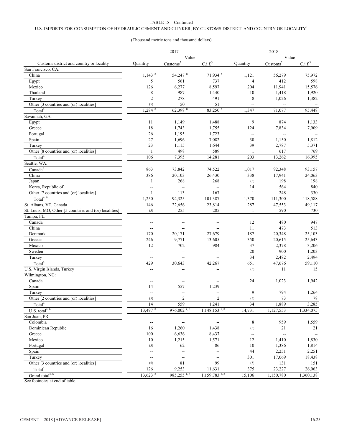### U.S. IMPORTS FOR CONSUMPTION OF HYDRAULIC CEMENT AND CLINKER, BY CUSTOMS DISTRICT AND COUNTRY OR LOCALITY<sup>1</sup>

### (Thousand metric tons and thousand dollars)

|                                                        |                          | 2017                          |                                      |                          | 2018                     |                     |
|--------------------------------------------------------|--------------------------|-------------------------------|--------------------------------------|--------------------------|--------------------------|---------------------|
|                                                        |                          | Value                         |                                      | Value                    |                          |                     |
| Customs district and country or locality               | Quantity                 | $\overline{\text{Customs}^2}$ | C.i.f. <sup>3</sup>                  | Quantity                 | $\text{Customs}^2$       | C.i.f. <sup>3</sup> |
| San Francisco, CA:                                     |                          |                               |                                      |                          |                          |                     |
| China                                                  | $1,143$ <sup>8</sup>     | 54,247 8                      | 71,934 8                             | 1,121                    | 56,279                   | 75,972              |
| Egypt                                                  | 5                        | 561                           | 737                                  | $\overline{4}$           | 412                      | 598                 |
| Mexico                                                 | 126                      | 6,277                         | 8,597                                | 204                      | 11,941                   | 15,576              |
| Thailand                                               | $\,$ 8 $\,$              | 987                           | 1,440                                | 10                       | 1,418                    | 1,920               |
| Turkey                                                 | $\overline{2}$           | 278                           | 491                                  | 8                        | 1,026                    | 1,382               |
| Other [3 countries and (or) localities]                | (5)                      | 50                            | 51                                   |                          |                          |                     |
| Total <sup>4</sup>                                     | $1,284$ <sup>8</sup>     | 62,398 8                      | 83,250 8                             | 1,347                    | 71,077                   | 95,448              |
| Savannah, GA:                                          |                          |                               |                                      |                          |                          |                     |
| Egypt                                                  | 11                       | 1,149                         | 1,488                                | 9                        | 874                      | 1,133               |
| Greece                                                 | $18\,$                   | 1,743                         | 1,755                                | 124                      | 7,834                    | 7,909               |
| Portugal                                               | 26                       | 1,195                         | 1,723                                | $\overline{\phantom{a}}$ | $\overline{\phantom{a}}$ |                     |
| Spain                                                  | $27\,$                   | 1,696                         | 7,082                                | 30                       | 1,150                    | 1,812               |
| Turkey                                                 | 23                       | 1,115                         | 1,644                                | 39                       | 2,787                    | 5,371               |
| Other [8 countries and (or) localities]                | $\mathbf{1}$             | 498                           | 589                                  | 1                        | 617                      | 769                 |
| Total <sup>4</sup>                                     | 106                      | 7,395                         | 14,281                               | 203                      | 13,262                   | 16,995              |
| Seattle, WA:                                           |                          |                               |                                      |                          |                          |                     |
| Canada <sup>6</sup>                                    | 863                      | 73,842                        | 74,522                               | 1,017                    | 92,348                   | 93,157              |
| China                                                  | 386                      | 20,103                        | 26,430                               | 338                      | 17,941                   | 24,063              |
| Japan                                                  | $\mathbf{1}$             | 268                           | 268                                  | (5)                      | 198                      | 198                 |
| Korea, Republic of                                     | ÷,                       | $\overline{a}$                | $\overline{\phantom{a}}$             | 14                       | 564                      | 840                 |
| Other [7 countries and (or) localities]                | $\mathbf{1}$             | 113                           | 167                                  | 1                        | 248                      | 330                 |
| Total <sup>4, 6</sup>                                  | 1,250                    | 94,325                        | 101,387                              | 1,370                    | 111,300                  | 118,588             |
| St. Albans, VT, Canada                                 | 146                      | 22,656                        | 23,814                               | 287                      | 47,553                   | 49,117              |
| St. Louis, MO, Other [5 countries and (or) localities] | (5)                      | 255                           | 285                                  | 1                        | 590                      | 730                 |
| Tampa, FL:                                             |                          |                               |                                      |                          |                          |                     |
| Canada                                                 | --                       |                               | --                                   | 12                       | 480                      | 947                 |
| China                                                  | $\overline{\phantom{a}}$ | ÷,                            | Ξ.                                   | 11                       | 473                      | 513                 |
| Denmark                                                | 170                      | 20,171                        | 27,679                               | 187                      | 20,348                   | 25,103              |
| Greece                                                 | 246                      | 9,771                         | 13,605                               | 350                      | 20,615                   | 25,643              |
| Mexico                                                 | 12                       | 702                           | 984                                  | 37                       | 2,378                    | 3,206               |
| Sweden                                                 | Ξ.                       | Ξ.                            | $\overline{a}$                       | 20                       | 900                      | 1,203               |
| Turkey                                                 | $-\!$                    | $-$                           | $\overline{\phantom{a}}$             | 34                       | 2,482                    | 2,494               |
| Total <sup>4</sup>                                     | 429                      | 30,643                        | 42,267                               | 651                      | 47,676                   | 59,110              |
| U.S. Virgin Islands, Turkey                            | --                       | μ.                            | $-$                                  | (5)                      | 11                       | 15                  |
| Wilmington, NC:                                        |                          |                               |                                      |                          |                          |                     |
| Canada                                                 |                          |                               |                                      | 24                       | 1,023                    | 1,942               |
| Spain                                                  | --<br>14                 | --<br>557                     | 1,239                                |                          |                          |                     |
| Turkey                                                 | $\overline{\phantom{a}}$ | --                            |                                      | 9                        | 794                      | 1,264               |
| Other [2 countries and (or) localities]                |                          |                               |                                      |                          | 73                       | 78                  |
|                                                        | (5)<br>14                | $\overline{2}$<br>559         | $\overline{2}$                       | (5)<br>34                |                          | 3,285               |
| Total <sup>4</sup>                                     | $13,497$ <sup>8</sup>    | $976,002$ <sup>r, 8</sup>     | 1,241<br>$1,148,153$ <sup>r, 8</sup> |                          | 1,889                    |                     |
| U.S. total $\overline{4, 6}$                           |                          |                               |                                      | 14,731                   | 1,127,553                | 1,334,075           |
| San Juan, PR:                                          |                          |                               |                                      |                          |                          |                     |
| Colombia                                               | --                       | $\rightarrow$                 | --                                   | 8                        | 959                      | 1,559               |
| Dominican Republic                                     | 16                       | 1,260                         | 1,438                                | $(5)$                    | 21                       | 21                  |
| Greece                                                 | $100\,$                  | 6,636                         | 8,437                                | $\overline{\phantom{a}}$ | --                       |                     |
| Mexico                                                 | $10\,$                   | 1,215                         | 1,571                                | $12\,$                   | 1,410                    | 1,830               |
| Portugal                                               | (5)                      | 62                            | 86                                   | $10\,$                   | 1,386                    | 1,814               |
| Spain                                                  | --                       | $\overline{a}$                | $\overline{a}$                       | $44\,$                   | 2,251                    | 2,251               |
| Turkey                                                 | --                       | 44                            | $\overline{\phantom{a}}$             | 301                      | 17,069                   | 18,438              |
| Other [3 countries and (or) localities]                | (5)                      | $8\sqrt{1}$                   | 99                                   | (5)                      | 131                      | 151                 |
| Total <sup>4</sup>                                     | 126                      | 9,253                         | 11,631                               | 375                      | 23,227                   | 26,063              |
| Grand total <sup>4, 6</sup>                            | $13,623$ <sup>8</sup>    | $985,255$ <sup>r, 8</sup>     | $1,159,783$ <sup>r, 8</sup>          | 15,106                   | 1,150,780                | 1,360,138           |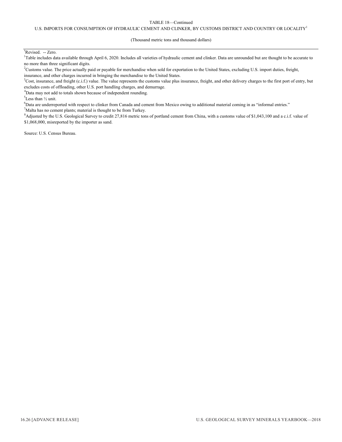### U.S. IMPORTS FOR CONSUMPTION OF HYDRAULIC CEMENT AND CLINKER, BY CUSTOMS DISTRICT AND COUNTRY OR LOCALITY<sup>1</sup>

### (Thousand metric tons and thousand dollars)

### <sup>r</sup>Revised. -- Zero.

<sup>1</sup>Table includes data available through April 6, 2020. Includes all varieties of hydraulic cement and clinker. Data are unrounded but are thought to be accurate to no more than three significant digits.

- ${}^{2}$ Customs value. The price actually paid or payable for merchandise when sold for exportation to the United States, excluding U.S. import duties, freight, insurance, and other charges incurred in bringing the merchandise to the United States.
- $3$ Cost, insurance, and freight (c.i.f.) value. The value represents the customs value plus insurance, freight, and other delivery charges to the first port of entry, but excludes costs of offloading, other U.S. port handling charges, and demurrage.
- <sup>4</sup>Data may not add to totals shown because of independent rounding.

 ${}^{5}$ Less than  $\frac{1}{2}$  unit.

<sup>6</sup>Data are underreported with respect to clinker from Canada and cement from Mexico owing to additional material coming in as "informal entries."

 $^{7}$ Malta has no cement plants; material is thought to be from Turkey.

<sup>8</sup>Adjusted by the U.S. Geological Survey to credit 27,816 metric tons of portland cement from China, with a customs value of \$1,043,100 and a c.i.f. value of \$1,068,000, misreported by the importer as sand.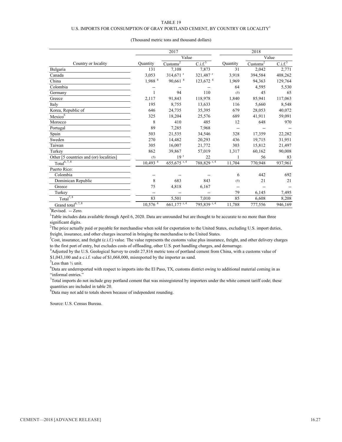### U.S. IMPORTS FOR CONSUMPTION OF GRAY PORTLAND CEMENT, BY COUNTRY OR LOCALITY  $^{\rm l}$

| (Thousand metric tons and thousand dollars) |  |
|---------------------------------------------|--|
|---------------------------------------------|--|

|                                                       |                                               | 2017                                        | 2018                      |                 |                      |                     |
|-------------------------------------------------------|-----------------------------------------------|---------------------------------------------|---------------------------|-----------------|----------------------|---------------------|
|                                                       |                                               | Value                                       | Value                     |                 |                      |                     |
| Country or locality                                   | <b>Quantity</b>                               | $\frac{\text{Customs}^2}{\text{Customs}^2}$ | C.i.f. <sup>3</sup>       | <b>Quantity</b> | Customs <sup>2</sup> | C.i.f. <sup>3</sup> |
| Bulgaria                                              | 131                                           | 7,108                                       | 7,873                     | 31              | 2,042                | 2,771               |
| Canada                                                | 3,053                                         | $314,671$ <sup>r</sup>                      | 321,487 <sup>r</sup>      | 3,918           | 394,584              | 408,262             |
| China                                                 | 1,988 <sup>4</sup>                            | 90,661 <sup>4</sup>                         | $123,672$ <sup>4</sup>    | 1,969           | 94,363               | 129,764             |
| Colombia                                              |                                               |                                             |                           | 64              | 4,595                | 5,530               |
| Germany                                               | 1                                             | 94                                          | 110                       | (5)             | 45                   | 65                  |
| Greece                                                | 2,117                                         | 91,843                                      | 118,978                   | 1,840           | 85,941               | 117,063             |
| Italy                                                 | 195                                           | 8,755                                       | 13,633                    | 116             | 5,660                | 8,548               |
| Korea, Republic of                                    | 646                                           | 24,735                                      | 35,395                    | 679             | 28,053               | 40,072              |
| Mexico <sup>6</sup>                                   | 325                                           | 18,204                                      | 25,576                    | 689             | 41,911               | 59,091              |
| Morocco                                               | 8                                             | 410                                         | 485                       | 12              | 648                  | 970                 |
| Portugal                                              | 89                                            | 7,285                                       | 7,968                     | --              |                      |                     |
| Spain                                                 | 503                                           | 21,535                                      | 34,546                    | 328             | 17,359               | 22,282              |
| Sweden                                                | 270                                           | 14,482                                      | 20,293                    | 436             | 19,715               | 31,951              |
| Taiwan                                                | 305                                           | 16,007                                      | 21,772                    | 303             | 15,812               | 21,497              |
| Turkey                                                | 862                                           | 39,867                                      | 57,019                    | 1,317           | 60,162               | 90,008              |
| Other [5 countries and (or) localities]               | (5)                                           | 19 <sup>r</sup>                             | 22                        |                 | 56                   | 83                  |
| Total $\overline{6,7,8}$                              | $10,493$ <sup><math>\overline{4}</math></sup> | 655,675 r, 4                                | 788,829 <sup>r,4</sup>    | 11,704          | 770,948              | 937,961             |
| Puerto Rico:                                          |                                               |                                             |                           |                 |                      |                     |
| Colombia                                              |                                               |                                             |                           | 6               | 442                  | 692                 |
| Dominican Republic                                    | 8                                             | 683                                         | 843                       | (5)             | 21                   | 21                  |
| Greece                                                | 75                                            | 4,818                                       | 6,167                     |                 |                      |                     |
| Turkey                                                | --                                            | --                                          | --                        | 79              | 6,145                | 7,495               |
| $\overline{\text{Total}^{7,8}}$                       | 83                                            | 5,501                                       | 7,010                     | 85              | 6,608                | 8,208               |
| Grand total <sup>6, <math>\overline{7,8}</math></sup> | $10,576^{4}$                                  | $661,177$ <sup>r, 4</sup>                   | $795,839$ <sup>r, 4</sup> | 11,788          | 777,556              | 946,169             |

<sup>&</sup>lt;sup>r</sup>Revised. -- Zero.

<sup>1</sup>Table includes data available through April 6, 2020. Data are unrounded but are thought to be accurate to no more than three significant digits.

<sup>2</sup>The price actually paid or payable for merchandise when sold for exportation to the United States, excluding U.S. import duties, freight, insurance, and other charges incurred in bringing the merchandise to the United States.

<sup>3</sup>Cost, insurance, and freight (c.i.f.) value. The value represents the customs value plus insurance, freight, and other delivery charges to the first port of entry, but excludes costs of offloading, other U.S. port handling charges, and demurrage.

4 Adjusted by the U.S. Geological Survey to credit 27,816 metric tons of portland cement from China, with a customs value of \$1,043,100 and a c.i.f. value of \$1,068,000, misreported by the importer as sand.

 ${}^{5}$ Less than  $\frac{1}{2}$  unit.

<sup>6</sup>Data are underreported with respect to imports into the El Paso, TX, customs district owing to additional material coming in as "informal entries."

 $7$ Total imports do not include gray portland cement that was misregistered by importers under the white cement tariff code; these quantities are included in table 20.

 ${}^{8}$ Data may not add to totals shown because of independent rounding.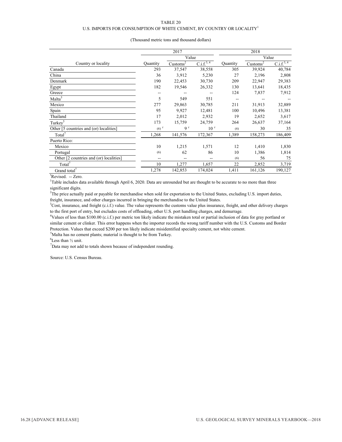### U.S. IMPORTS FOR CONSUMPTION OF WHITE CEMENT, BY COUNTRY OR LOCALITY  $^{\rm l}$

|                                         | 2017               |                      |                       | 2018     |                      |                       |
|-----------------------------------------|--------------------|----------------------|-----------------------|----------|----------------------|-----------------------|
|                                         | Value              |                      |                       |          | Value                |                       |
| Country or locality                     | Quantity           | Customs <sup>2</sup> | C.i.f. <sup>3,4</sup> | Quantity | Customs <sup>2</sup> | C.i.f. <sup>3,4</sup> |
| Canada                                  | 293                | 37,547               | 38,558                | 305      | 39,924               | 40,784                |
| China                                   | 36                 | 3,912                | 5,230                 | 27       | 2,196                | 2,808                 |
| Denmark                                 | 190                | 22,453               | 30,730                | 209      | 22,947               | 29,383                |
| Egypt                                   | 182                | 19,546               | 26,332                | 130      | 13,641               | 18,435                |
| Greece                                  |                    |                      |                       | 124      | 7,837                | 7,912                 |
| Malta <sup>5</sup>                      | 5                  | 549                  | 551                   | --       |                      |                       |
| Mexico                                  | 277                | 29,863               | 30,785                | 211      | 31,913               | 32,889                |
| Spain                                   | 95                 | 9,927                | 12,481                | 100      | 10,496               | 13,381                |
| Thailand                                | 17                 | 2,012                | 2,932                 | 19       | 2,652                | 3,617                 |
| Turkey <sup>5</sup>                     | 173                | 15,759               | 24,759                | 264      | 26,637               | 37,164                |
| Other [5 countries and (or) localities] | $(6)$ <sup>r</sup> | 9 <sup>r</sup>       | 10 <sup>r</sup>       | (6)      | 30                   | 35                    |
| Total <sup>7</sup>                      | 1,268              | 141,576              | 172,367               | 1,389    | 158,273              | 186,409               |
| Puerto Rico:                            |                    |                      |                       |          |                      |                       |
| Mexico                                  | 10                 | 1,215                | 1,571                 | 12       | 1,410                | 1,830                 |
| Portugal                                | (6)                | 62                   | 86                    | 10       | 1,386                | 1,814                 |
| Other [2 countries and (or) localities] | --                 | --                   |                       | (6)      | 56                   | 75                    |
| Total'                                  | 10                 | 1,277                | 1,657                 | 22       | 2,852                | 3,719                 |
| Grand total <sup>7</sup>                | 1,278              | 142,853              | 174,024               | 1,411    | 161,126              | 190,127               |

### (Thousand metric tons and thousand dollars)

<sup>r</sup>Revised. -- Zero.

<sup>1</sup>Table includes data available through April 6, 2020. Data are unrounded but are thought to be accurate to no more than three significant digits.

<sup>2</sup>The price actually paid or payable for merchandise when sold for exportation to the United States, excluding U.S. import duties, freight, insurance, and other charges incurred in bringing the merchandise to the United States.

 ${}^{3}$ Cost, insurance, and freight (c.i.f.) value. The value represents the customs value plus insurance, freight, and other delivery charges to the first port of entry, but excludes costs of offloading, other U.S. port handling charges, and demurrage.

4 Values of less than \$100.00 (c.i.f.) per metric ton likely indicate the mistaken total or partial inclusion of data for gray portland or similar cement or clinker. This error happens when the importer records the wrong tariff number with the U.S. Customs and Border Protection. Values that exceed \$200 per ton likely indicate misidentified specialty cement, not white cement.

<sup>5</sup>Malta has no cement plants; material is thought to be from Turkey.

 ${}^{6}$ Less than  $\frac{1}{2}$  unit.

 $7$ Data may not add to totals shown because of independent rounding.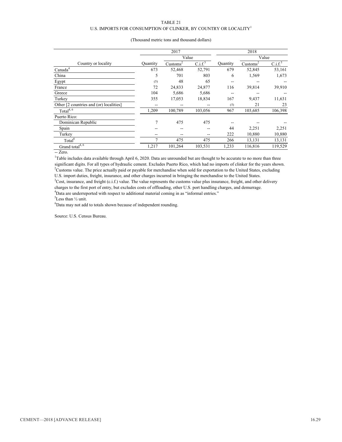### TABLE 21 U.S. IMPORTS FOR CONSUMPTION OF CLINKER, BY COUNTRY OR LOCALITY<sup>1</sup>

|                                                     | 2017<br>Value |                      |                     | 2018<br>Value |                      |                     |
|-----------------------------------------------------|---------------|----------------------|---------------------|---------------|----------------------|---------------------|
|                                                     |               |                      |                     |               |                      |                     |
| Country or locality                                 | Quantity      | Customs <sup>2</sup> | C.i.f. <sup>3</sup> | Quantity      | Customs <sup>2</sup> | C.i.f. <sup>3</sup> |
| Canada <sup>4</sup>                                 | 673           | 52,468               | 52,791              | 679           | 52,845               | 53,161              |
| China                                               | 5             | 701                  | 803                 | 6             | 1,569                | 1,673               |
| Egypt                                               | (5)           | 48                   | 65                  | --            | --                   |                     |
| France                                              | 72            | 24,833               | 24,877              | 116           | 39,814               | 39,910              |
| Greece                                              | 104           | 5,686                | 5,686               | --            |                      |                     |
| Turkey                                              | 355           | 17,053               | 18,834              | 167           | 9,437                | 11,631              |
| Other [2 countries and (or) localities]             | --            | --                   | --                  | (5)           | 21                   | 23                  |
| Total <sup>4, 6</sup>                               | 1,209         | 100,789              | 103,056             | 967           | 103,685              | 106,398             |
| Puerto Rico:                                        |               |                      |                     |               |                      |                     |
| Dominican Republic                                  | 7             | 475                  | 475                 |               |                      |                     |
| Spain                                               |               | --                   |                     | 44            | 2,251                | 2,251               |
| Turkey                                              |               | --                   | --                  | 222           | 10,880               | 10,880              |
| Total <sup>6</sup>                                  | 7             | 475                  | 475                 | 266           | 13,131               | 13,131              |
| Grand total <sup>4, <math>\overline{6}</math></sup> | 1,217         | 101,264              | 103,531             | 1,233         | 116,816              | 119,529             |

### (Thousand metric tons and thousand dollars)

-- Zero.

<sup>1</sup>Table includes data available through April 6, 2020. Data are unrounded but are thought to be accurate to no more than three significant digits. For all types of hydraulic cement. Excludes Puerto Rico, which had no imports of clinker for the years shown. <sup>2</sup>Customs value. The price actually paid or payable for merchandise when sold for exportation to the United States, excluding U.S. import duties, freight, insurance, and other charges incurred in bringing the merchandise to the United States.

<sup>3</sup>Cost, insurance, and freight (c.i.f.) value. The value represents the customs value plus insurance, freight, and other delivery charges to the first port of entry, but excludes costs of offloading, other U.S. port handling charges, and demurrage.  $4$ Data are underreported with respect to additional material coming in as "informal entries."

 ${}^{5}$ Less than  $\frac{1}{2}$  unit.

 ${}^{6}$ Data may not add to totals shown because of independent rounding.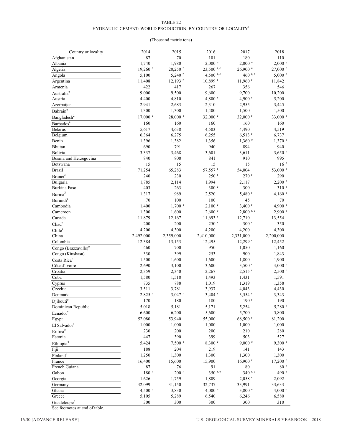### HYDRAULIC CEMENT: WORLD PRODUCTION, BY COUNTRY OR LOCALITY  ${}^{\rm l}$

### (Thousand metric tons)

| Country or locality                | 2014                  | 2015                  | 2016                  | 2017                  | 2018               |
|------------------------------------|-----------------------|-----------------------|-----------------------|-----------------------|--------------------|
| Afghanistan                        | 87                    | 70                    | 101                   | 180                   | 110                |
| Albania                            | 1,740                 | 1,980                 | $2,000$ $e$           | 2,000 °               | $2,000$ $e$        |
| Algeria                            | $19,260$ <sup>r</sup> | $20,250$ <sup>r</sup> | $23,500$ r, e         | $26,900$ $\degree$    | $27,000$ $\degree$ |
| Angola                             | 5,100                 | $5,240$ <sup>r</sup>  | 4,500 r, e            | 460 r, e              | $5,000$ $^{\circ}$ |
| Argentina                          | 11,408                | $12,193$ <sup>r</sup> | $10,899$ <sup>r</sup> | $11,960$ <sup>r</sup> | 11,842             |
| Armenia                            | 422                   | 417                   | 267                   | 356                   | 546                |
| Australia <sup>e</sup>             | 9,000                 | 9,500                 | 9,600                 | 9,700                 | 10,200             |
| Austria                            | 4,400                 | 4,810                 | 4,800 $r$             | 4,900 $r$             | 5,200              |
| Azerbaijan                         | 2,941                 | 2,683                 | 2,310                 | 2,955                 | 3,445              |
| Bahrain <sup>e</sup>               | 1,300                 | 1,300                 | 1,400                 | 1,500                 | 1,500              |
| Bangladesh <sup>2</sup>            | 17,000 e              | $28,000$ $^{\circ}$   | 32,000 e              | 32,000 r              | 33,000 $^{\circ}$  |
|                                    | 160                   | 160                   | 160                   | 160                   | 160                |
| Barbados <sup>e</sup>              |                       |                       | 4,503                 | 4,490                 |                    |
| Belarus                            | 5,617                 | 4,638                 |                       |                       | 4,519              |
| Belgium                            | 6,364                 | 6,275                 | 6,255                 | $6,513$ <sup>r</sup>  | 6,737              |
| Benin                              | 1,396                 | 1,382                 | 1,356                 | $1,360$ $^{\circ}$    | $1,370$ $^{\circ}$ |
| Bhutan                             | 690                   | 791                   | 940                   | 894                   | 940                |
| Bolivia                            | 3,337                 | 3,468                 | 3,601                 | 3,611                 | $3,650$ $\degree$  |
| Bosnia and Herzegovina             | 840                   | 808                   | 841                   | 910                   | 995                |
| Botswana                           | 15                    | 15                    | 15                    | 15                    | 16 <sup>e</sup>    |
| <b>Brazil</b>                      | 71,254                | 65,283                | 57,557 r              | 54,004                | 53,000 e           |
| Brunei <sup>e</sup>                | 240                   | 230                   | $250$ $r$             | $270$ <sup>r</sup>    | 290                |
| Bulgaria                           | 1,785                 | 2,114                 | 1,994                 | 2,117                 | $2,200$ $^{\circ}$ |
| Burkina Faso                       | 403                   | 263                   | 300 e                 | 300                   | 310 <sup>e</sup>   |
| $\mathrm{Burna}^3$                 | 1,317                 | 989                   | 2,520                 | $5,480$ <sup>r</sup>  | 4,160 $^{\circ}$   |
| Burundi <sup>e</sup>               | 70                    | 100                   | 100                   | 45                    | 70                 |
| Cambodia                           | 1,400                 | $1,700$ $\degree$     | 2,100 °               | $3,400$ <sup>r</sup>  | 4,900 $^{\circ}$   |
| Cameroon                           | 1,300                 | 1,600                 | 2,600 °               | $2,800$ r, e          | 2,900 °            |
| Canada                             | 11,879                | 12,167                | $11,693$ <sup>r</sup> | 12,710                | 13,554             |
| Chad <sup>e</sup>                  | 200                   | 200                   | $250$ <sup>r</sup>    | $300$ <sup>r</sup>    | 350                |
| Chile <sup>e</sup>                 | 4,200                 | 4,300                 | 4,200                 | 4,200                 | 4,300              |
| China                              | 2,492,000             | 2,359,000             | 2,410,000             | 2,331,000             | 2,200,000          |
| Colombia                           | 12,384                | 13,153                | 12,495                | $12,299$ <sup>r</sup> | 12,452             |
| Congo $(Brazzaville)$ <sup>e</sup> | 460                   | 700                   | 950                   | 1,050                 | 1,160              |
| Congo (Kinshasa)                   | 330                   | 399                   | 253                   | 900                   | 1,843              |
| Costa Rica <sup>e</sup>            | 1,500                 | 1,600                 | 1,600                 | 1,800                 | 1,900              |
| Côte d'Ivoire                      | 2,690                 | 3,100                 | 3,600                 | $3,500$ <sup>r</sup>  | 4,000 $^{\circ}$   |
| Croatia                            | 2,359                 | 2,340                 | 2,267                 | $2,515$ <sup>r</sup>  | 2,500 °            |
| Cuba                               | 1,580                 | 1,518                 | 1,493                 | 1,431                 | 1,591              |
| Cyprus                             | 735                   | 788                   | 1,019                 | 1,319                 | 1,358              |
| Czechia                            | 3,511                 | 3,781                 | 3,937                 | 4,043                 | 4,430              |
| Denmark                            | 2,825 r               | $3,047$ <sup>r</sup>  | $3,404$ <sup>r</sup>  | $3,554$ <sup>r</sup>  | 3,343              |
| Djibouti <sup>e</sup>              | 170                   | 180                   | 180                   | $190$ <sup>r</sup>    | 190                |
| Dominican Republic                 | 5,018                 | 5,181                 | 5,171                 | 5,254                 | 5,280 °            |
| Ecuador <sup>e</sup>               | 6,600                 | 6,200                 | 5,600                 | 5,700                 | 5,800              |
| Egypt                              | 52,080                | 53,940                | 55,000                | 68,500 r              | 81,200             |
|                                    | 1,000                 | 1,000                 | 1,000                 | 1,000                 | 1,000              |
| El Salvador <sup>e</sup>           | 230                   | 200                   | 200                   | 210                   | 280                |
| Eritrea <sup>e</sup>               | 447                   | 390                   | 399                   | 503                   | 527                |
| Estonia                            |                       |                       |                       |                       |                    |
| Ethiopia <sup>4</sup>              | 5,424                 | 7,500 °               | 8,300 °               | 9,000 °               | 9,300 °            |
| Fiji                               | 188                   | 204                   | 219                   | 141                   | 143                |
| Finland <sup>e</sup>               | 1,250                 | 1,300                 | 1,300                 | 1,300                 | 1,300              |
| France                             | 16,400                | 15,600                | 15,900                | $16,900$ <sup>r</sup> | $17,200$ $\degree$ |
| French Guiana                      | 87                    | 76                    | 91                    | 80                    | 80 <sup>°</sup>    |
| Gabon                              | $180$ <sup>r</sup>    | $200$ <sup>r</sup>    | 350 r, e              | 340 r, e              | 490 <sup>e</sup>   |
| Georgia                            | 1,626                 | 1,759                 | 1,809                 | $2,058$ <sup>r</sup>  | 2,092              |
| Germany                            | 32,099                | 31,150                | 32,737                | 33,991                | 33,633             |
| Ghana                              | 4,500 $^{\circ}$      | 3,830                 | $4,000$ $^{\circ}$    | 3,800 °               | 4,000 $^{\circ}$   |
| Greece                             | 5,105                 | 5,289                 | 6,540                 | 6,246                 | 6,580              |
| Guadeloupe <sup>e</sup>            | 300                   | 300                   | 300                   | 300                   | 310                |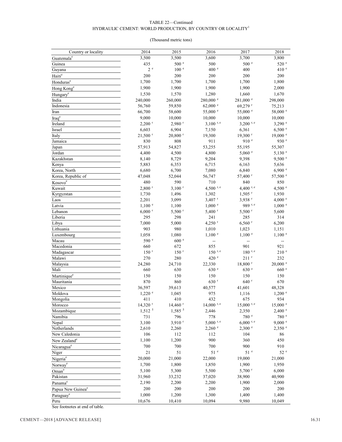### TABLE 22—Continued HYDRAULIC CEMENT: WORLD PRODUCTION, BY COUNTRY OR LOCALITY  $^{\rm l}$

### (Thousand metric tons)

| Country or locality           | 2014                  | 2015                  | 2016                 | 2017                        | 2018                       |
|-------------------------------|-----------------------|-----------------------|----------------------|-----------------------------|----------------------------|
| Guatemala <sup>e</sup>        | 3,500                 | 3,500                 | 3,600                | 3,700                       | 3,800                      |
| Guinea                        | 435                   | 500 e                 | 500                  | 500 <sup>°</sup>            | 520 <sup>°</sup>           |
| Guyana                        | 2e                    | 100 <sup>e</sup>      | 400 e                | 400                         | 410 <sup>e</sup>           |
| Haitie                        | 200                   | 200                   | 200                  | 200                         | 200                        |
| Honduras <sup>e</sup>         | 1,700                 | 1,700                 | 1,700                | 1,700                       | 1,800                      |
| Hong Kong <sup>e</sup>        | 1,900                 | 1,900                 | 1,900                | 1,900                       | 2,000                      |
| Hungary <sup>e</sup>          | 1,530                 | 1,570                 | 1,280                | 1,660                       | 1,670                      |
| India                         | 240,000               | 260,000               | 280,000 e            | 281,000 e                   | 298,000                    |
| Indonesia                     | 56,760                | 59,850                | $62,000$ $\degree$   | 69,279 r                    | 75,213                     |
| Iran                          | 66,700                | 58,600                | 55,000 °             | 55,000 °                    | 58,000 e                   |
| Iraq <sup>e</sup>             | 9,000                 | 10,000                | 10,000               | 10,000                      | 10,000                     |
| Ireland                       | $2,200$ <sup>r</sup>  | $2,980$ <sup>r</sup>  | $3,100$ r, e         | $3,200$ r, e                | $3,290$ e                  |
| Israel                        | 6,603                 | 6,904                 | 7,150                | 6,361                       | 6,500 °                    |
| Italy                         | $21,500$ <sup>r</sup> | $20,800$ <sup>r</sup> | 19,300               | $19,300$ <sup>r</sup>       | $19,000$ $\degree$         |
| Jamaica                       | 830                   | 808                   | 911                  | 910 <sup>e</sup>            | 930 e                      |
| Japan                         | 57,913                | 54,827                | 53,255               | 55,195                      | 55,307                     |
| Jordan                        | 4,400                 | 4,500                 | 4,800                | $5,060$ $\degree$           | $5,130$ $^{\circ}$         |
| Kazakhstan                    | 8,140                 | 8,729                 | 9,204                | 9,398                       | 9,500 °                    |
| Kenya                         | 5,883                 | 6,353                 | 6,715                | 6,163                       | 5,636                      |
| Korea, North                  | 6,680                 | 6,700                 | 7,080                | 6,840                       | 6,900 °                    |
| Korea, Republic of            | 47,048                | 52,044                | 56,747               | 57,400 r                    | 57,500 °                   |
| Kosovo <sup>e</sup>           | 480                   | 590                   | 710                  | 840                         | 850                        |
| Kuwait                        | $2,800$ <sup>r</sup>  | $3,100$ <sup>r</sup>  | 4,500 $r, e$         | 4,400 $r, e$                | 4,500 $^{\circ}$           |
| Kyrgyzstan                    | 1,730                 | 1,496                 | 1,302                | $1,505$ <sup>r</sup>        | 1,930                      |
| Laos                          | 2,201                 | 3,099                 | $3,407$ <sup>r</sup> | $3,938$ <sup>r</sup>        | 4,000 $^{\circ}$           |
| Latvia                        | $1,100$ $^{\circ}$    | 1,100                 | $1,000$ $^{\circ}$   | 989 r, e                    | $1,000$ $e$                |
| Lebanon                       | $6,000$ <sup>r</sup>  | $5,500$ <sup>r</sup>  | $5,400$ <sup>r</sup> | $5,500$ <sup>r</sup>        | 5,600                      |
| Liberia                       | 295<br>7,000          | 298<br>5,000          | 241<br>4,250 $r$     | 285<br>$6,560$ <sup>r</sup> | 314<br>6,200               |
| Libya                         | 903                   | 980                   | 1,010                |                             |                            |
| Lithuania                     | 1,058                 | 1,080                 | $1,100$ $^{\circ}$   | 1,023<br>$1,100$ $^{\circ}$ | 1,151<br>$1,100$ $\degree$ |
| Luxembourg<br>Macau           | 590 e                 | 600 e                 | ÷-                   | ÷-                          | $\overline{\phantom{a}}$   |
| Macedonia                     | 660                   | 672                   | 855                  | 901                         | 921                        |
| Madagascar                    | 150 <sup>r</sup>      | 150 <sup>r</sup>      | $150$ r, e           | $180$ r, e                  | 210 <sup>e</sup>           |
| Malawi                        | 270                   | 280                   | 420 e                | $211$ <sup>r</sup>          | 232                        |
| Malaysia                      | 24,280                | 24,710                | 22,330               | $18,800$ <sup>r</sup>       | $20,000$ $^{\circ}$        |
| Mali                          | 660                   | 630                   | 630 <sup>e</sup>     | 630 e                       | 660 e                      |
| Martinique                    | 150                   | 150                   | 150                  | 150                         | 150                        |
| Mauritania                    | 870                   | 860                   | 630 r                | 640 <sup>r</sup>            | 670                        |
| Mexico                        | 36,597                | 39,613                | 40,577               | 41,601                      | 48,328                     |
| Moldova                       | $1,220$ $^{\circ}$    | 1,045                 | 975                  | 1,116                       | $1,200$ $e$                |
| Mongolia                      | 411                   | 410                   | 432                  | 675                         | 934                        |
| Morocco                       | $14,320$ <sup>r</sup> | $14,460$ <sup>r</sup> | $14,000$ r, e        | $15,000$ r, e               | $15,000$ $^{\circ}$        |
| Mozambique                    | $1,512$ <sup>5</sup>  | 1,585 5               | 2,446                | 2,350                       | 2,400 °                    |
| Namibia                       | 731                   | 796                   | 778                  | 780 <sup>e</sup>            | 780 <sup>e</sup>           |
| Nepal                         | 3,100                 | $3,910$ <sup>r</sup>  | $5,000$ r, e         | $6,000$ r, e                | $9,000$ $\degree$          |
| Netherlands                   | 2,610                 | 2,260                 | $2,260$ $\degree$    | 2,300 °                     | $2,350$ $^{\circ}$         |
| New Caledonia                 | 106                   | 112                   | 112                  | 104                         | 86                         |
| New Zealand <sup>e</sup>      | 1,100                 | 1,200                 | 900                  | 360                         | 450                        |
| Nicaragua <sup>e</sup>        | 700                   | 700                   | 700                  | 900                         | 910                        |
| Niger                         | 21                    | 51                    | 51 <sup>e</sup>      | 51 <sup>e</sup>             | 52 e                       |
| Nigeria <sup>e</sup>          | 20,000                | 21,000                | 22,000               | 19,000                      | 21,000                     |
| Norway <sup>e</sup>           | 1,700                 | 1,800                 | 1,850                | 1,900                       | 1,950                      |
| Oman <sup>e</sup>             | 5,100                 | 5,300                 | 5,500                | $5,700$ <sup>r</sup>        | 6,000                      |
| Pakistan                      | 31,960                | 33,232                | 37,020               | 38,900                      | 40,900                     |
| Panama <sup>e</sup>           | 2,190                 | 2,200                 | 2,200                | 1,900                       | 2,000                      |
| Papua New Guinea <sup>e</sup> | 200                   | 200                   | 200                  | 200                         | 200                        |
| Paraguay <sup>e</sup>         | 1,000                 | 1,200                 | 1,300                | 1,400                       | 1,400                      |
| Peru                          | 10,676                | 10,410                | 10,094               | 9,980                       | 10,049                     |
|                               |                       |                       |                      |                             |                            |